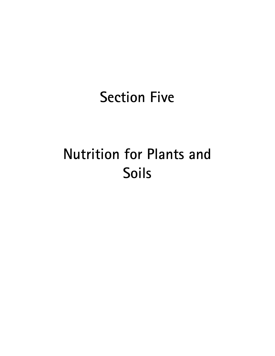# Section Five

# Nutrition for Plants and Soils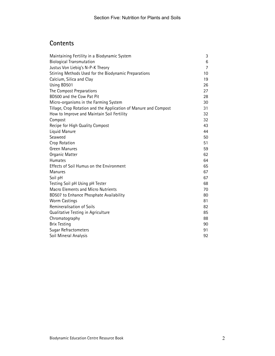## **Contents**

| Maintaining Fertility in a Biodynamic System                     | 3              |
|------------------------------------------------------------------|----------------|
| <b>Biological Transmutation</b>                                  | 6              |
| Justus Von Liebig's N-P-K Theory                                 | $\overline{7}$ |
| Stirring Methods Used for the Biodynamic Preparations            | 10             |
| Calcium, Silica and Clay                                         | 19             |
| Using BD501                                                      | 26             |
| The Compost Preparations                                         | 27             |
| BD500 and the Cow Pat Pit                                        | 28             |
| Micro-organisms in the Farming System                            | 30             |
| Tillage, Crop Rotation and the Application of Manure and Compost | 31             |
| How to Improve and Maintain Soil Fertility                       | 32             |
| Compost                                                          | 32             |
| Recipe for High Quality Compost                                  | 43             |
| Liquid Manure                                                    | 44             |
| Seaweed                                                          | 50             |
| Crop Rotation                                                    | 51             |
| <b>Green Manures</b>                                             | 59             |
| Organic Matter                                                   | 62             |
| <b>Humates</b>                                                   | 64             |
| <b>Effects of Soil Humus on the Environment</b>                  | 65             |
| Manures                                                          | 67             |
| Soil pH                                                          | 67             |
| Testing Soil pH Using pH Tester                                  | 68             |
| Macro Elements and Micro Nutrients                               | 70             |
| BD507 to Enhance Phosphate Availability                          | 80             |
| <b>Worm Castings</b>                                             | 81             |
| Remineralisation of Soils                                        | 82             |
| Qualitative Testing in Agriculture                               | 85             |
| Chromatography                                                   | 88             |
| <b>Brix Testing</b>                                              | 90             |
| Sugar Refractometers                                             | 91             |
| Soil Mineral Analysis                                            | 92             |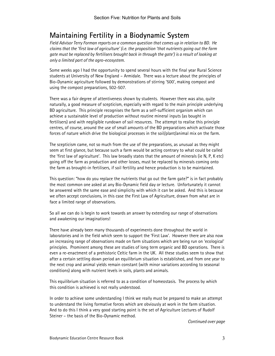## Maintaining Fertility in a Biodynamic System

Field Advisor Terry Forman reports on a common question that comes up in relation to BD. He claims that the 'first law of agriculture' (i.e. the proposition 'that nutrients going out the farm gate must be replaced by fertilisers brought back in through the gate') is a result of looking at only a limited part of the agro-ecosystem.

Some weeks ago I had the opportunity to spend several hours with the final year Rural Science students at University of New England – Armidale. There was a lecture about the principles of Bio-Dynamic agriculture followed by demonstrations of stirring '500', making compost and using the compost preparations, 502-507.

There was a fair degree of attentiveness shown by students. However there was also, quite naturally, a good measure of scepticism, especially with regard to the main principle underlying BD agriculture. This principle recognises the farm as a self-sufficient organism which can achieve a sustainable level of production without routine mineral inputs (as bought in fertilisers) and with negligible rundown of soil resources. The attempt to realise this principle centres, of course, around the use of small amounts of the BD preparations which activate those forces of nature which drive the biological processes in the soil/plant/animal mix on the farm.

The scepticism came, not so much from the use of the preparations, as unusual as they might seem at first glance, but because such a farm would be acting contrary to what could be called the 'first law of agriculture'. This law broadly states that the amount of minerals (ie N, P, K etc) going off the farm as production and other losses, must be replaced by minerals coming onto the farm as brought-in fertilisers, if soil fertility and hence production is to be maintained.

This question: "how do you replace the nutrients that go out the farm gate?" is in fact probably the most common one asked at any Bio-Dynamic field day or lecture. Unfortunately it cannot be answered with the same ease and simplicity with which it can be asked. And this is because we often accept conclusions, in this case the First Law of Agriculture, drawn from what are in face a limited range of observations.

So all we can do is begin to work towards an answer by extending our range of observations and awakening our imaginations!

There have already been many thousands of experiments done throughout the world in laboratories and in the field which seem to support the 'First Law'. However there are also now an increasing range of observations made on farm situations which are being run on 'ecological' principles. Prominent among these are studies of long term organic and BD operations. There is even a re-enactment of a prehistoric Celtic farm in the UK. All these studies seem to show that after a certain settling down period an equilibrium situation is established, and from one year to the next crop and animal yields remain constant (with minor variations according to seasonal conditions) along with nutrient levels in soils, plants and animals.

This equilibrium situation is referred to as a condition of homeostasis. The process by which this condition is achieved is not really understood.

In order to achieve some understanding I think we really must be prepared to make an attempt to understand the living formative forces which are obviously at work in the farm situation. And to do this I think a very good starting point is the set of Agriculture Lectures of Rudolf Steiner – the basis of the Bio-Dynamic method.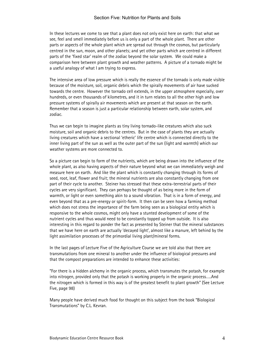In these lectures we come to see that a plant does not only exist here on earth: that what we see, feel and smell immediately before us is only a part of the whole plant. There are other parts or aspects of the whole plant which are spread out through the cosmos, but particularly centred in the sun, moon, and other planets; and yet other parts which are centred in different parts of the 'fixed star' realm of the zodiac beyond the solar system. We could make a comparison here between plant growth and weather patterns. A picture of a tornado might be a useful analogy of what I am trying to express.

The intensive area of low pressure which is really the essence of the tornado is only made visible because of the moisture, soil, organic debris which the spirally movements of air have sucked towards the centre. However the tornado cell extends, in the upper atmosphere especially, over hundreds, or even thousands of kilometres, and it in turn relates to all the other high and low pressure systems of spirally air movements which are present at that season on the earth. Remember that a season is just a particular relationship between earth, solar system, and zodiac.

Thus we can begin to imagine plants as tiny living tornado-like creatures which also suck moisture, soil and organic debris to the centres. But in the case of plants they are actually living creatures which have a sectional 'etheric' life centre which is connected directly to the inner living part of the sun as well as the outer part of the sun (light and warmth) which our weather systems are more connected to.

So a picture can begin to form of the nutrients, which are being drawn into the influence of the whole plant, as also having aspects of their nature beyond what we can immediately weigh and measure here on earth. And like the plant which is constantly changing through its forms of seed, root, leaf, flower and fruit; the mineral nutrients are also constantly changing from one part of their cycle to another. Steiner has stressed that these extra-terrestrial parts of their cycles are very significant. They can perhaps be thought of as being more in the form of warmth, or light or even something akin to a sound vibration. That is in a form of energy, and even beyond that as a pre-energy or spirit-form. It then can be seen how a farming method which does not stress the importance of the farm being seen as a biological entity which is responsive to the whole cosmos, might only have a stunted development of some of the nutrient cycles and thus would need to be constantly topped up from outside. It is also interesting in this regard to ponder the fact as presented by Steiner that the mineral substances that we have here on earth are actually 'decayed light', almost like a manure, left behind by the light assimilation processes of the primordial living plant/mineral forms.

In the last pages of Lecture Five of the Agriculture Course we are told also that there are transmutations from one mineral to another under the influence of biological pressures and that the compost preparations are intended to enhance these activities:

"For there is a hidden alchemy in the organic process, which transmutes the potash, for example into nitrogen, provided only that the potash is working properly in the organic process…..And the nitrogen which is formed in this way is of the greatest benefit to plant growth" (See Lecture Five, page 98)

Many people have derived much food for thought on this subject from the book "Biological Transmutations" by C.L. Kevran.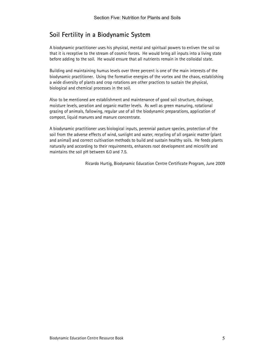## Soil Fertility in a Biodynamic System

A biodynamic practitioner uses his physical, mental and spiritual powers to enliven the soil so that it is receptive to the stream of cosmic forces. He would bring all inputs into a living state before adding to the soil. He would ensure that all nutrients remain in the colloidal state.

Building and maintaining humus levels over three percent is one of the main interests of the biodynamic practitioner. Using the formative energies of the vortex and the chaos, establishing a wide diversity of plants and crop rotations are other practices to sustain the physical, biological and chemical processes in the soil.

Also to be mentioned are establishment and maintenance of good soil structure, drainage, moisture levels, aeration and organic matter levels. As well as green manuring, rotational grazing of animals, fallowing, regular use of all the biodynamic preparations, application of compost, liquid manures and manure concentrate.

A biodynamic practitioner uses biological inputs, perennial pasture species, protection of the soil from the adverse effects of wind, sunlight and water, recycling of all organic matter (plant and animal) and correct cultivation methods to build and sustain healthy soils. He feeds plants naturally and according to their requirements, enhances root development and microlife and maintains the soil pH between 6.0 and 7.5.

Ricardo Hurtig, Biodynamic Education Centre Certificate Program, June 2009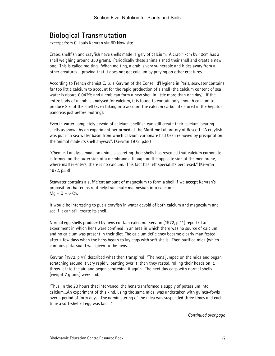# Biological Transmutation

excerpt from C. Louis Kervran via BD Now site

Crabs, shellfish and crayfish have shells made largely of calcium. A crab 17cm by 10cm has a shell weighing around 350 grams. Periodically these animals shed their shell and create a new one. This is called molting. When molting, a crab is very vulnerable and hides away from all other creatures – proving that it does not get calcium by preying on other creatures.

According to French chemist C. Luis Kervran of the Conseil d'Hygiene in Paris, seawater contains far too little calcium to account for the rapid production of a shell (the calcium content of sea water is about 0.042% and a crab can form a new shell in little more than one day). If the entire body of a crab is analysed for calcium, it is found to contain only enough calcium to produce 3% of the shell (even taking into account the calcium carbonate stored in the hepatopancreas just before molting).

Even in water completely devoid of calcium, shellfish can still create their calcium-bearing shells as shown by an experiment performed at the Maritime Laboratory of Roscoff: "A crayfish was put in a sea water basin from which calcium carbonate had been removed by precipitation; the animal made its shell anyway". (Kervran 1972, p.58)

"Chemical analysis made on animals secreting their shells has revealed that calcium carbonate is formed on the outer side of a membrane although on the opposite side of the membrane, where matter enters, there is no calcium. This fact has left specialists perplexed." (Kervran 1972, p.58)

Seawater contains a sufficient amount of magnesium to form a shell if we accept Kervran's proposition that crabs routinely transmute magnesium into calcium;  $Mq + 0 = 0$  Ca.

It would be interesting to put a crayfish in water devoid of both calcium and magnesium and see if it can still create its shell.

Normal egg shells produced by hens contain calcium. Kervran (1972, p.41) reported an experiment in which hens were confined in an area in which there was no source of calcium and no calcium was present in their diet. The calcium deficiency became clearly manifested after a few days when the hens began to lay eggs with soft shells. Then purified mica (which contains potassium) was given to the hens.

Kervran (1972, p.41) described what then transpired: "The hens jumped on the mica and began scratching around it very rapidly, panting over it; then they rested, rolling their heads on it, threw it into the air, and began scratching it again. The next day eggs with normal shells (weight 7 grams) were laid.

"Thus, in the 20 hours that intervened, the hens transformed a supply of potassium into calcium…An experiment of this kind, using the same mica, was undertaken with guinea-fowls over a period of forty days. The administering of the mica was suspended three times and each time a soft-shelled egg was laid..."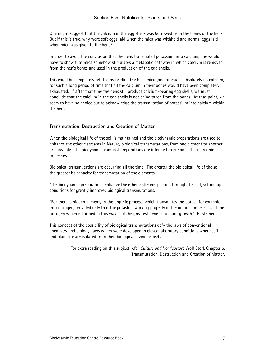One might suggest that the calcium in the egg shells was borrowed from the bones of the hens. But if this is true, why were soft eggs laid when the mica was withheld and normal eggs laid when mica was given to the hens?

In order to avoid the conclusion that the hens transmuted potassium into calcium, one would have to show that mica somehow stimulates a metabolic pathway in which calcium is removed from the hen's bones and used in the production of the egg shells.

This could be completely refuted by feeding the hens mica (and of course absolutely no calcium) for such a long period of time that all the calcium in their bones would have been completely exhausted. If after that time the hens still produce calcium-bearing egg shells, we must conclude that the calcium in the egg shells is not being taken from the bones. At that point, we seem to have no choice but to acknowledge the transmutation of potassium into calcium within the hens.

#### Transmutation, Destruction and Creation of Matter

When the biological life of the soil is maintained and the biodynamic preparations are used to enhance the etheric streams in Nature, biological transmutations, from one element to another are possible. The biodynamic compost preparations are intended to enhance these organic processes.

Biological transmutations are occurring all the time. The greater the biological life of the soil the greater its capacity for transmutation of the elements.

"The biodynamic preparations enhance the etheric streams passing through the soil, setting up conditions for greatly improved biological transmutations.

"For there is hidden alchemy in the organic process, which transmutes the potash for example into nitrogen, provided only that the potash is working properly in the organic process….and the nitrogen which is formed in this way is of the greatest benefit to plant growth." R. Steiner

This concept of the possibility of biological transmutations defy the laws of conventional chemistry and biology, laws which were developed in closed laboratory conditions where soil and plant life are isolated from their biological, living aspects.

> For extra reading on this subject refer Culture and Horticulture Wolf Storl, Chapter 5, Transmutation, Destruction and Creation of Matter.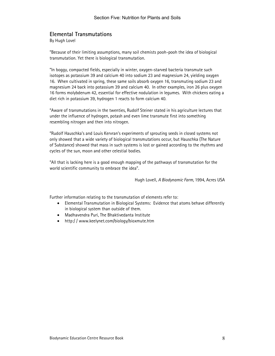## Elemental Transmutations

By Hugh Lovel

"Because of their limiting assumptions, many soil chemists pooh-pooh the idea of biological transmutation. Yet there is biological transmutation.

"In boggy, compacted fields, especially in winter, oxygen-starved bacteria transmute such isotopes as potassium 39 and calcium 40 into sodium 23 and magnesium 24, yielding oxygen 16. When cultivated in spring, these same soils absorb oxygen 16, transmuting sodium 23 and magnesium 24 back into potassium 39 and calcium 40. In other examples, iron 26 plus oxygen 16 forms molybdenum 42, essential for effective nodulation in legumes. With chickens eating a diet rich in potassium 39, hydrogen 1 reacts to form calcium 40.

"Aware of transmutations in the twenties, Rudolf Steiner stated in his agriculture lectures that under the influence of hydrogen, potash and even lime transmute first into something resembling nitrogen and then into nitrogen.

"Rudolf Hauschka's and Louis Kervran's experiments of sprouting seeds in closed systems not only showed that a wide variety of biological transmutations occur, but Hauschka (The Nature of Substance) showed that mass in such systems is lost or gained according to the rhythms and cycles of the sun, moon and other celestial bodies.

"All that is lacking here is a good enough mapping of the pathways of transmutation for the world scientific community to embrace the idea".

Hugh Lovell, A Biodynamic Farm, 1994, Acres USA

Further information relating to the transmutation of elements refer to:

- Elemental Transmutation in Biological Systems: Evidence that atoms behave differently in biological system than outside of them.
- Madhavendra Puri, The Bhaktivedanta Institute
- http:/ / www.keelynet.com/biology/bioxmute.htm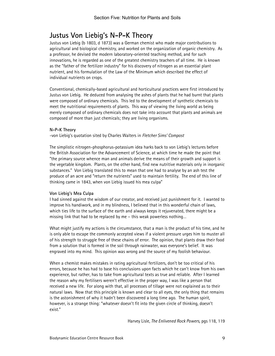# Justus Von Liebig's N-P-K Theory

Justus von Liebig (b 1803, d 1873) was a German chemist who made major contributions to agricultural and biological chemistry, and worked on the organization of organic chemistry. As a professor, he devised the modern laboratory-oriented teaching method, and for such innovations, he is regarded as one of the greatest chemistry teachers of all time. He is known as the "father of the fertilizer industry" for his discovery of nitrogen as an essential plant nutrient, and his formulation of the Law of the Minimum which described the effect of individual nutrients on crops.

Conventional, chemically-based agricultural and horticultural practices were first introduced by Justus von Liebig. He deduced from analysing the ashes of plants that he had burnt that plants were composed of ordinary chemicals. This led to the development of synthetic chemicals to meet the nutritional requirements of plants. This way of viewing the living world as being merely composed of ordinary chemicals does not take into account that plants and animals are composed of more than just chemicals; they are living organisms.

#### N-P-K Theory

-von Liebig's quotation sited by Charles Walters in Fletcher Sims' Compost

The simplistic nitrogen-phosphorus-potassium idea harks back to von Liebig's lectures before the British Association for the Advancement of Science, at which time he made the point that "the primary source whence man and animals derive the means of their growth and support is the vegetable kingdom. Plants, on the other hand, find new nutritive materials only in inorganic substances." Von Liebig translated this to mean that one had to analyse by an ash test the produce of an acre and "return the nutrients" used to maintain fertility. The end of this line of thinking came in 1843, when von Liebig issued his mea culpa"

#### Von Liebig's Mea Culpa

I had sinned against the wisdom of our creator, and received just punishment for it. I wanted to improve his handiwork, and in my blindness, I believed that in this wonderful chain of laws, which ties life to the surface of the earth and always keeps it rejuvenated, there might be a missing link that had to be replaced by me – this weak powerless nothing…

What might justify my actions is the circumstance, that a man is the product of his time, and he is only able to escape the commonly accepted views if a violent pressure urges him to muster all of his strength to struggle free of these chains of error. The opinion, that plants draw their food from a solution that is formed in the soil through rainwater, was everyone's belief. It was engraved into my mind. This opinion was wrong and the source of my foolish behaviour.

When a chemist makes mistakes in rating agricultural fertilizers, don't be too critical of his errors, because he has had to base his conclusions upon facts which he can't know from his own experience, but rather, has to take from agricultural texts as true and reliable. After I learned the reason why my fertilisers weren't effective in the proper way, I was like a person that received a new life. For along with that, all processes of tillage were not explained as to their natural laws. Now that this principle is known and clear to all eyes, the only thing that remains is the astonishment of why it hadn't been discovered a long time ago. The human spirit, however, is a strange thing: "whatever doesn't fit into the given circle of thinking, doesn't exist."

Harvey Lisle, The Enlivened Rock Powers, pgs 118, 119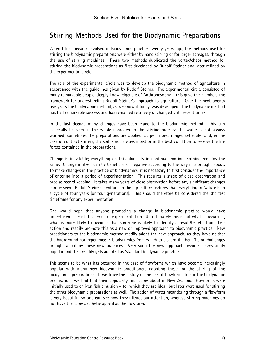## Stirring Methods Used for the Biodynamic Preparations

When I first became involved in Biodynamic practice twenty years ago, the methods used for stirring the biodynamic preparations were either by hand stirring or for larger acreages, through the use of stirring machines. These two methods duplicated the vortex/chaos method for stirring the biodynamic preparations as first developed by Rudolf Steiner and later refined by the experimental circle.

The role of the experimental circle was to develop the biodynamic method of agriculture in accordance with the guidelines given by Rudolf Steiner. The experimental circle consisted of many remarkable people, deeply knowledgeable of Anthroposophy – this gave the members the framework for understanding Rudolf Steiner's approach to agriculture. Over the next twenty five years the biodynamic method, as we know it today, was developed. The biodynamic method has had remarkable success and has remained relatively unchanged until recent times.

In the last decade many changes have been made to the biodynamic method. This can especially be seen in the whole approach to the stirring process: the water is not always warmed; sometimes the preparations are applied, as per a prearranged schedule; and, in the case of contract stirrers, the soil is not always moist or in the best condition to receive the life forces contained in the preparations.

Change is inevitable; everything on this planet is in continual motion, nothing remains the same. Change in itself can be beneficial or negative according to the way it is brought about. To make changes in the practice of biodynamics, it is necessary to first consider the importance of entering into a period of experimentation. This requires a stage of close observation and precise record keeping. It takes many years of close observation before any significant changes can be seen. Rudolf Steiner mentions in the agriculture lectures that everything in Nature is in a cycle of four years (or four generations). This should therefore be considered the shortest timeframe for any experimentation.

One would hope that anyone promoting a change in biodynamic practice would have undertaken at least this period of experimentation. Unfortunately this is not what is occurring; what is more likely to occur is that someone is likely to identify a result/benefit from their action and readily promote this as a new or improved approach to biodynamic practice. New practitioners to the biodynamic method readily adopt the new approach, as they have neither the background nor experience in biodynamics from which to discern the benefits or challenges brought about by these new practices. Very soon the new approach becomes increasingly popular and then readily gets adopted as 'standard biodynamic practice.'

This seems to be what has occurred in the case of flowforms which have become increasingly popular with many new biodynamic practitioners adopting these for the stirring of the biodynamic preparations. If we trace the history of the use of flowforms to stir the biodynamic preparations we find that their popularity first came about in New Zealand. Flowforms were initially used to enliven fish emulsion – for which they are ideal, but later were used for stirring the other biodynamic preparations as well. The action of water meandering through a flowform is very beautiful so one can see how they attract our attention, whereas stirring machines do not have the same aesthetic appeal as the flowform.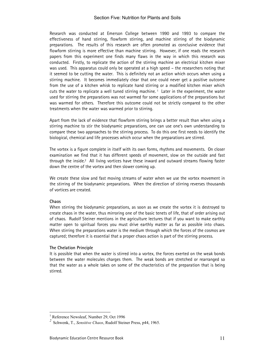Research was conducted at Emerson College between 1990 and 1993 to compare the effectiveness of hand stirring, flowform stirring, and machine stirring of the biodynamic preparations. The results of this research are often promoted as conclusive evidence that flowform stirring is more effective than machine stirring. However, if one reads the research papers from this experiment one finds many flaws in the way in which this research was conducted. Firstly, to replicate the action of the stirring machine an electrical kitchen mixer was used. This apparatus could only be operated at a high speed – the researchers noting that it seemed to be cutting the water. This is definitely not an action which occurs when using a stirring machine. It becomes immediately clear that one could never get a positive outcome from the use of a kitchen whisk to replicate hand stirring or a modified kitchen mixer which cuts the water to replicate a well tuned stirring machine.<sup>1</sup> Later in the experiment, the water used for stirring the preparations was not warmed for some applications of the preparations but was warmed for others. Therefore this outcome could not be strictly compared to the other treatments when the water was warmed prior to stirring.

Apart from the lack of evidence that flowform stirring brings a better result than when using a stirring machine to stir the biodynamic preparations, one can use one's own understanding to compare these two approaches to the stirring process. To do this one first needs to identify the biological, chemical and life processes which occur when the preparations are stirred.

The vortex is a figure complete in itself with its own forms, rhythms and movements. On closer examination we find that it has different speeds of movement, slow on the outside and fast through the inside.2 All living vortices have these inward and outward streams flowing faster down the centre of the vortex and then slower coming up.

We create these slow and fast moving streams of water when we use the vortex movement in the stirring of the biodynamic preparations. When the direction of stirring reverses thousands of vortices are created.

#### Chaos

When stirring the biodynamic preparations, as soon as we create the vortex it is destroyed to create chaos in the water, thus mirroring one of the basic tenets of life, that of order arising out of chaos. Rudolf Steiner mentions in the agriculture lectures that if you want to make earthly matter open to spiritual forces you must drive earthly matter as far as possible into chaos. When stirring the preparations water is the medium through which the forces of the cosmos are captured; therefore it is essential that a proper chaos action is part of the stirring process.

#### The Chelation Principle

It is possible that when the water is stirred into a vortex, the forces exerted on the weak bonds between the water molecules charges them. The weak bonds are stretched or rearranged so that the water as a whole takes on some of the chacteristics of the preparation that is being stirred.

 1 Reference Newsleaf, Number 29, Oct 1996

<sup>&</sup>lt;sup>2</sup> Schwenk, T., Sensitive Chaos, Rudolf Steiner Press, p44, 1965.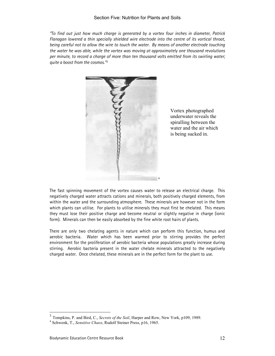"To find out just how much charge is generated by a vortex four inches in diameter, Patrick Flanagan lowered a thin specially shielded wire electrode into the centre of its vortical throat, being careful not to allow the wire to touch the water. By means of another electrode touching the water he was able, while the vortex was moving at approximately one thousand revolutions per minute, to record a charge of more than ten thousand volts emitted from its swirling water; quite a boost from the cosmos."<sup>3</sup>



Vortex photographed underwater reveals the spiralling between the water and the air which is being sucked in.

The fast spinning movement of the vortex causes water to release an electrical charge. This negatively charged water attracts cations and minerals, both positively charged elements, from within the water and the surrounding atmosphere. These minerals are however not in the form which plants can utilise. For plants to utilise minerals they must first be chelated. This means they must lose their positive charge and become neutral or slightly negative in charge (ionic form). Minerals can then be easily absorbed by the fine white root hairs of plants.

There are only two chelating agents in nature which can perform this function, humus and aerobic bacteria. Water which has been warmed prior to stirring provides the perfect environment for the proliferation of aerobic bacteria whose populations greatly increase during stirring. Aerobic bacteria present in the water chelate minerals attracted to the negatively charged water. Once chelated, these minerals are in the perfect form for the plant to use.

-

 $3$  Tompkins, P. and Bird, C., Secrets of the Soil, Harper and Row, New York, p109, 1989.

<sup>&</sup>lt;sup>4</sup> Schwenk, T., Sensitive Chaos, Rudolf Steiner Press, p16, 1965.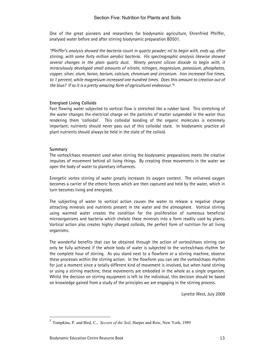One of the great pioneers and researchers for biodynamic agriculture, Ehrenfried Pfeiffer, analysed water before and after stirring biodynamic preparation BD501.

"Pfeiffer's analysis showed the bacteria count in quartz powder; nil to begin with, ends up, after stirring, with some forty million aerobic bacteria. His spectrographic analysis likewise showed several changes in the plain quartz dust. Ninety percent silicon dioxide to begin with, it miraculously developed small amounts of nitrate, nitrogen, magnesium, potassium, phosphates, copper, silver, alum, boron, barium, calcium, chromium and zirconium. Iron increased five times, to 1 percent, while magnesium increased one hundred times. Does this amount to creation out of the blue? If so it is a pretty amazing form of agricultural endeavour."<sup>5</sup>

#### Energised Living Colloids

Fast flowing water subjected to vortical flow is stretched like a rubber band. This stretching of the water changes the electrical charge on the particles of matter suspended in the water thus rendering them 'colloidal'. This colloidal bonding of the organic molecules is extremely important; nutrients should never pass out of this colloidal state. In biodynamic practice all plant nutrients should always be held in the state of the colloid.

#### Summary

The vortex/chaos movement used when stirring the biodynamic preparations meets the creative impulses of movement behind all living things. By creating these movements in the water we open the body of water to planetary influences.

Energetic vortex stirring of water greatly increases its oxygen content. The enlivened oxygen becomes a carrier of the etheric forces which are then captured and held by the water, which in turn becomes living and energised.

The subjecting of water to vortical action causes the water to release a negative charge attracting minerals and nutrients present in the water and the atmosphere. Vortical stirring using warmed water creates the condition for the proliferation of numerous beneficial microorganisms and bacteria which chelate these minerals into a form readily used by plants. Vortical action also creates highly charged colloids, the perfect form of nutrition for all living organisms.

The wonderful benefits that can be obtained through the action of vortex/chaos stirring can only be fully achieved if the whole body of water is subjected to the vortex/chaos rhythm for the complete hour of stirring. As you stand next to a flowform or a stirring machine, observe these processes within the stirring action. In the flowform you can see the vortex/chaos rhythm for just a moment since a totally different kind of movement is involved, but when hand stirring or using a stirring machine, these movements are embodied in the whole as a single organism. Whilst the decision on stirring equipment is left to the individual, this decision should be based on knowledge gained from a study of the principles we are engaging in the stirring process.

Lynette West, July 2009

-

 $<sup>5</sup>$  Tompkins, P. and Bird, C., *Secrets of the Soil*, Harper and Row, New York, 1989</sup>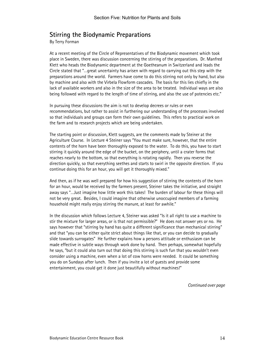## Stirring the Biodynamic Preparations

By Terry Forman

At a recent meeting of the Circle of Representatives of the Biodynamic movement which took place in Sweden, there was discussion concerning the stirring of the preparations. Dr. Manfred Klett who heads the Biodynamic department at the Goetheanum in Switzerland and leads the Circle stated that "…great uncertainty has arisen with regard to carrying out this step with the preparations around the world. Farmers have come to do this stirring not only by hand, but also by machine and also with the Virbela Flowform cascades. The basis for this lies chiefly in the lack of available workers and also in the size of the area to be treated. Individual ways are also being followed with regard to the length of time of stirring, and also the use of potencies etc."

In pursuing these discussions the aim is not to develop decrees or rules or even recommendations, but rather to assist in furthering our understanding of the processes involved so that individuals and groups can form their own guidelines. This refers to practical work on the farm and to research projects which are being undertaken.

The starting point or discussion, Klett suggests, are the comments made by Steiner at the Agriculture Course. In Lecture 4 Steiner says "You must make sure, however, that the entire contents of the horn have been thoroughly exposed to the water. To do this, you have to start stirring it quickly around the edge of the bucket, on the periphery, until a crater forms that reaches nearly to the bottom, so that everything is rotating rapidly. Then you reverse the direction quickly, so that everything seethes and starts to swirl in the opposite direction. If you continue doing this for an hour, you will get it thoroughly mixed."

And then, as if he was well prepared for how his suggestion of stirring the contents of the horn for an hour, would be received by the farmers present, Steiner takes the initiative, and straight away says "…Just imagine how little work this takes! The burden of labour for these things will not be very great. Besides, I could imagine that otherwise unoccupied members of a farming household might really enjoy stirring the manure, at least for awhile."

In the discussion which follows Lecture 4, Steiner was asked "Is it all right to use a machine to stir the mixture for larger areas, or is that not permissible?" He does not answer yes or no. He says however that "stirring by hand has quite a different significance than mechanical stirring" and that "you can be either quite strict about things like that, or you can decide to gradually slide towards surrogates" He further explains how a persons attitude or enthusiasm can be made effective in subtle ways through work done by hand. Then perhaps, somewhat hopefully he says, "but it could also turn out that doing this stirring is such fun that you wouldn't even consider using a machine, even when a lot of cow horns were needed. It could be something you do on Sundays after lunch. Then if you invite a lot of guests and provide some entertainment, you could get it done just beautifully without machines!"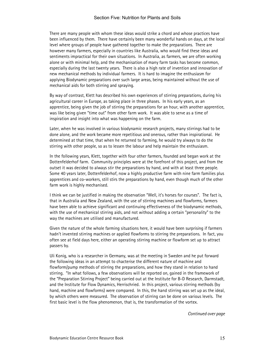There are many people with whom these ideas would strike a chord and whose practices have been influenced by them. There have certainly been many wonderful hands on days, at the local level where groups of people have gathered together to make the preparations. There are however many farmers, especially in countries like Australia, who would find these ideas and sentiments impractical for their own situations. In Australia, as farmers, we are often working alone or with minimal help, and the mechanisation of many farm tasks has become common, especially during the last twenty years. There is also a high rate of invention and innovation of new mechanical methods by individual farmers. It is hard to imagine the enthusiasm for applying Biodynamic preparations over such large areas, being maintained without the use of mechanical aids for both stirring and spraying.

By way of contrast, Klett has described his own experiences of stirring preparations, during his agricultural career in Europe, as taking place in three phases. In his early years, as an apprentice, being given the job of stirring the preparations for an hour, with another apprentice, was like being given "time out" from other farm work. It was able to serve as a time of inspiration and insight into what was happening on the farm.

Later, when he was involved in various biodynamic research projects, many stirrings had to be done alone, and the work became more repetitious and onerous, rather than inspirational. He determined at that time, that when he returned to farming, he would try always to do the stirring with other people, so as to lessen the labour and help maintain the enthusiasm.

In the following years, Klett, together with four other farmers, founded and began work at the Dottenfelderhof farm. Community principles were at the forefront of this project, and from the outset it was decided to always stir the preparations by hand, and with at least three people. Some 40 years later, Dottenfelderhof, now a highly productive farm with nine farm families plus apprentices and co-workers, still stirs the preparations by hand, even though much of the other farm work is highly mechanised.

I think we can be justified in making the observation "Well, it's horses for courses". The fact is, that in Australia and New Zealand, with the use of stirring machines and flowforms, farmers have been able to achieve significant and continuing effectiveness of the biodynamic methods, with the use of mechanical stirring aids, and not without adding a certain "personality" to the way the machines are utilised and manufactured.

Given the nature of the whole farming situations here, it would have been surprising if farmers hadn't invented stirring machines or applied flowforms to stirring the preparations. In fact, you often see at field days here, either an operating stirring machine or flowform set up to attract passers by.

Uli Konig, who is a researcher in Germany, was at the meeting in Sweden and he put forward the following ideas in an attempt to chacterise the different nature of machine and flowform/pump methods of stirring the preparations, and how they stand in relation to hand stirring. "In what follows, a few observations will be reported on, gained in the framework of the "Preparation Stirring Project" being carried out at the Institute for B-D Research, Darmstadt, and the Institute for Flow Dynamics, Herrischried. In this project, various stirring methods (by hand, machine and flowforms) were compared. In this, the hand stirring was set up as the ideal, by which others were measured. The observation of stirring can be done on various levels. The first basic level is the flow phenomenon, that is, the transformation of the vortex.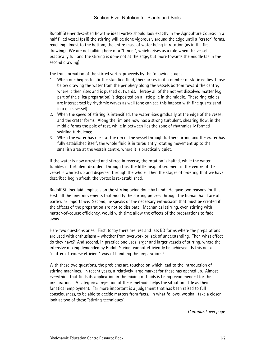#### Section Five: Nutrition for Plants and Soils

Rudolf Steiner described how the ideal vortex should look exactly in the Agriculture Course: in a half filled vessel (pail) the stirring will be done vigorously around the edge until a "crater" forms, reaching almost to the bottom, the entire mass of water being in rotation (as in the first drawing). We are not talking here of a "funnel", which arises as a rule when the vessel is practically full and the stirring is done not at the edge, but more towards the middle (as in the second drawing).

The transformation of the stirred vortex proceeds by the following stages:

- 1. When one begins to stir the standing fluid, there arises in it a number of static eddies, those below drawing the water from the periphery along the vessels bottom toward the centre, where it then rises and is pushed outwards. Hereby all of the not yet dissolved matter (e.g. part of the silica preparation) is deposited on a little pile in the middle. These ring eddies are interspersed by rhythmic waves as well (one can see this happen with fine quartz sand in a glass vessel).
- 2. When the speed of stirring is intensified, the water rises gradually at the edge of the vessel, and the crater forms. Along the rim one now has a strong turbulent, shearing flow, in the middle forms the pole of rest, while in between lies the zone of rhythmically formed swirling turbulence.
- 3. When the water has risen at the rim of the vessel through further stirring and the crater has fully established itself, the whole fluid is in turbulently rotating movement up to the smallish area at the vessels centre, where it is practically quiet.

If the water is now arrested and stirred in reverse, the rotation is halted, while the water tumbles in turbulent disorder. Through this, the little heap of sediment in the centre of the vessel is whirled up and dispersed through the whole. Then the stages of ordering that we have described begin afresh, the vortex is re-established.

Rudolf Steiner laid emphasis on the stirring being done by hand. He gave two reasons for this. First, all the finer movements that modify the stirring process through the human hand are of particular importance. Second, he speaks of the necessary enthusiasm that must be created if the effects of the preparation are not to dissipate. Mechanical stirring, even stirring with matter-of-course efficiency, would with time allow the effects of the preparations to fade away.

Here two questions arise. First, today there are less and less BD farms where the preparations are used with enthusiasm – whether from overwork or lack of understanding. Then what effect do they have? And second, in practice one uses larger and larger vessels of stirring, where the intensive mixing demanded by Rudolf Steiner cannot efficiently be achieved. Is this not a "matter-of-course efficient" way of handling the preparations?.

With these two questions, the problems are touched on which lead to the introduction of stirring machines. In recent years, a relatively large market for these has opened up. Almost everything that finds its application in the mixing of fluids is being recommended for the preparations. A categorical rejection of these methods helps the situation little as their fanatical employment. Far more important is a judgement that has been raised to full consciousness, to be able to decide matters from facts. In what follows, we shall take a closer look at two of these "stirring techniques".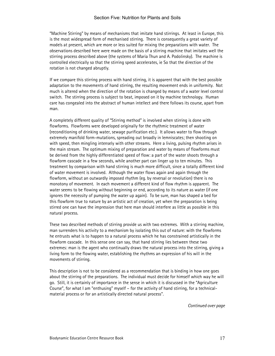"Machine Stirring" by means of mechanisms that imitate hand stirrings. At least in Europe, this is the most widespread form of mechanised stirring. There is consequently a great variety of models at present, which are more or less suited for mixing the preparations with water. The observations described here were made on the basis of a stirring machine that imitates well the stirring process described above (the systems of Maria Thun and A. Podolinsky). The machine is controlled electrically so that the stirring speed accelerates, ie So that the direction of the rotation is not changed abruptly.

If we compare this stirring process with hand stirring, it is apparent that with the best possible adaptation to the movements of hand stirring, the resulting movement ends in uniformity. Not much is altered when the direction of the rotation is changed by means of a water level control switch. The stirring process is subject to beat, imposed on it by machine technology. Human care has congealed into the abstract of human intellect and there follows its course, apart from man.

A completely different quality of "Stirring method" is involved when stirring is done with flowforms. Flowforms were developed originally for the rhythmic treatment of water (reconditioning of drinking water, sewage purification etc.). It allows water to flow through extremely manifold form-mutations, spreading out broadly in lemniscates; then shooting on with speed, then mingling intensely with other streams. Here a living, pulsing rhythm arises in the main stream. The optimum mixing of preparation and water by means of flowforms must be derived from the highly differentiated speed of flow: a part of the water shoots through a flowform cascade in a few seconds, while another part can linger up to ten minutes. This treatment by comparison with hand stirring is much more difficult, since a totally different kind of water movement is involved. Although the water flows again and again through the flowform, without an outwardly imposed rhythm (eg. by reversal or revolution) there is no monotony of movement. In each movement a different kind of flow rhythm is apparent. The water seems to be flowing without beginning or end, according to its nature as water (if one ignores the necessity of pumping the water up again). To be sure, man has shaped a bed for this flowform true to nature by an artistic act of creation, yet when the preparation is being stirred one can have the impression that here man should interfere as little as possible in this natural process.

These two described methods of stirring provide us with two extremes. With a stirring machine, man surrenders his activity to a mechanism by isolating this out of nature: with the flowforms he entrusts what is to happen to a natural process which he has constrained artistically in the flowform cascade. In this sense one can say, that hand stirring lies between these two extremes: man is the agent who continually draws the natural process into the stirring, giving a living form to the flowing water, establishing the rhythms an expression of his will in the movements of stirring.

This description is not to be considered as a recommendation that is binding in how one goes about the stirring of the preparations. The individual must decide for himself which way he will go. Still, it is certainly of importance in the sense in which it is discussed in the "Agriculture Course", for what I am "enthusing" myself – for the activity of hand stirring, for a technicalmaterial process or for an artistically directed natural process".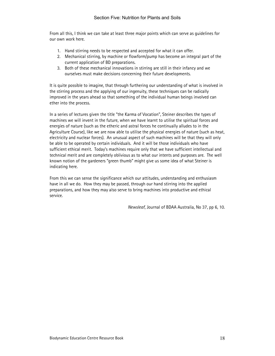From all this, I think we can take at least three major points which can serve as guidelines for our own work here.

- 1. Hand stirring needs to be respected and accepted for what it can offer.
- 2. Mechanical stirring, by machine or flowform/pump has become an integral part of the current application of BD preparations.
- 3. Both of these mechanical innovations in stirring are still in their infancy and we ourselves must make decisions concerning their future developments.

It is quite possible to imagine, that through furthering our understanding of what is involved in the stirring process and the applying of our ingenuity, these techniques can be radically improved in the years ahead so that something of the individual human beings involved can ether into the process.

In a series of lectures given the title "the Karma of Vocation", Steiner describes the types of machines we will invent in the future, when we have learnt to utilise the spiritual forces and energies of nature (such as the etheric and astral forces he continually alludes to in the Agriculture Course), like we are now able to utilise the physical energies of nature (such as heat, electricity and nuclear forces). An unusual aspect of such machines will be that they will only be able to be operated by certain individuals. And it will be those individuals who have sufficient ethical merit. Today's machines require only that we have sufficient intellectual and technical merit and are completely oblivious as to what our intents and purposes are. The well known notion of the gardeners "green thumb" might give us some idea of what Steiner is indicating here.

From this we can sense the significance which our attitudes, understanding and enthusiasm have in all we do. How they may be passed, through our hand stirring into the applied preparations, and how they may also serve to bring machines into productive and ethical service.

Newsleaf, Journal of BDAA Australia, No 37, pp 6, 10.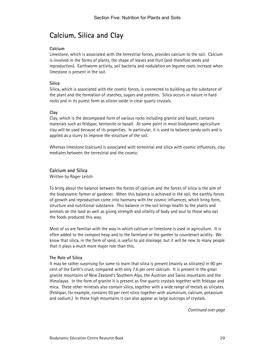# Calcium, Silica and Clay

#### Calcium

Limestone, which is associated with the terrestrial forces, provides calcium to the soil. Calcium is involved in the forms of plants, the shape of leaves and fruit (and therefore seeds and reproduction). Earthworm activity, soil bacteria and nodulation on legume roots increase when limestone is present in the soil.

#### Silica

Silica, which is associated with the cosmic forces, is connected to building up the substance of the plant and the formation of starches, sugars and proteins. Silica occurs in nature in hard rocks and in its purest form as silicon oxide in clear quartz crystals.

#### Clay

Clay, which is the decomposed form of various rocks including granite and basalt, contains materials such as feldspar, bentonite or basalt. At some point in most biodynamic agriculture clay will be used because of its properties. In particular, it is used to balance sandy soils and is applied as a slurry to improve the structure of the soil.

Whereas limestone (calcium) is associated with terrestrial and silica with cosmic influences, clay mediates between the terrestrial and the cosmic.

## Calcium and Silica

Written by Roger Leitch

To bring about the balance between the forces of calcium and the forces of silica is the aim of the biodynamic farmer or gardener. When this balance is achieved in the soil, the earthly forces of growth and reproduction come into harmony with the cosmic influences, which bring form, structure and nutritional substance. This balance in the soil brings health to the plants and animals on the land as well as giving strength and vitality of body and soul to those who eat the foods produced this way.

Most of us are familiar with the way in which calcium or limestone is used in agriculture. It is often added to the compost heap and to the farmland or the garden to counteract acidity. We know that silica, in the form of sand, is useful to aid drainage, but it will be new to many people that it plays a much more major role than this.

#### The Role of Silica

It may be rather surprising for some to learn that silica is present (mainly as silicates) in 90 per cent of the Earth's crust, compared with only 7.6 per cent calcium. It is present in the great granite mountains of New Zealand's Southern Alps, the Austrian and Swiss mountains and the Himalayas. In the form of granite it is present as fine quartz crystals together with feldspar and mica. These other minerals also contain silica, together with a wide range of metals as silicates. (Feldspar, for example, contains 50 per cent silica together with aluminium, calcium, potassium and sodium.) In these high mountains it can also appear as large outcrops of crystals.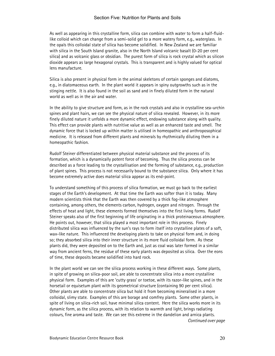As well as appearing in this crystalline form, silica can combine with water to form a half-fluidlike colloid which can change from a semi-solid gel to a more watery form, e.g., waterglass. In the opals this colloidal state of silica has become solidified. In New Zealand we are familiar with silica in the South Island granite, also in the North Island volcanic basalt (0-20 per cent silica) and as volcanic glass or obsidian. The purest form of silica is rock crystal which as silicon dioxide appears as large hexagonal crystals. This is transparent and is highly valued for optical lens manufacture.

Silica is also present in physical form in the animal skeletons of certain sponges and diatoms, e.g., in diatomaceous earth. In the plant world it appears in spiny outgrowths such as in the stinging nettle. It is also found in the soil as sand and in finely diluted form in the natural world as well as in the air and water.

In the ability to give structure and form, as in the rock crystals and also in crystalline sea-urchin spines and plant hairs, we can see the physical nature of silica revealed. However, in its more finely diluted nature it unfolds a more dynamic effect, endowing substance along with quality. This effect can provide plants with nutritive value as well as an enhanced taste and smell. The dynamic force that is locked up within matter is utilised in homeopathic and anthroposophical medicine. It is released from different plants and minerals by rhythmically diluting them in a homeopathic fashion.

Rudolf Steiner differentiated between physical material substance and the process of its formation, which is a dynamically potent force of becoming. Thus the silica process can be described as a force leading to the crystallisation and the forming of substance, e.g., production of plant spines. This process is not necessarily bound to the substance silica. Only where it has become extremely active does material silica appear as its end-point.

To understand something of this process of silica formation, we must go back to the earliest stages of the Earth's development. At that time the Earth was softer than it is today. Many modern scientists think that the Earth was then covered by a thick fog-like atmosphere containing, among others, the elements carbon, hydrogen, oxygen and nitrogen. Through the effects of heat and light, these elements formed themselves into the first living forms. Rudolf Steiner speaks also of the first beginning of life originating in a thick proteinaceous atmosphere. He points out, however, that silica played a most important role in this process. Finely distributed silica was influenced by the sun's rays to form itself into crystalline plates of a soft, wax-like nature. This influenced the developing plants to take on physical form and, in doing so; they absorbed silica into their inner structure in its more fluid colloidal form. As these plants did, they were deposited on to the Earth and, just as coal was later formed in a similar way from ancient ferns, the residue of these early plants was deposited as silica. Over the eons of time, these deposits became solidified into hard rock.

In the plant world we can see the silica process working in these different ways. Some plants, in spite of growing on silica-poor soil, are able to concentrate silica into a more crystalline physical form. Examples of this are 'cutty grass' or toetoe, with its razor-like spines, and in the horsetail or equisetum plant with its geometrical structure (containing 90 per cent silica). Other plants are able to concentrate silica but hold it from becoming mineralised in a more colloidal, slimy state. Examples of this are borage and comfrey plants. Some other plants, in spite of living on silica-rich soil, have minimal silica content. Here the silica works more in its dynamic form, as the silica process, with its relation to warmth and light, brings radiating colours, fine aroma and taste. We can see this extreme in the dandelion and arnica plants. Continued over page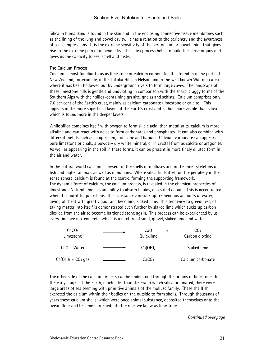Silica in humankind is found in the skin and in the enclosing connective tissue membranes such as the lining of the lung and bowel cavity. It has a relation to the periphery and the awareness of sense impressions. It is the extreme sensitivity of the peritoneum or bowel lining that gives rise to the extreme pain of appendicitis. The silica process helps to build the sense organs and gives us the capacity to see, smell and taste.

#### The Calcium Process

Calcium is most familiar to us as limestone or calcium carbonate. It is found in many parts of New Zealand, for example, in the Takaka Hills in Nelson and in the well known Waitomo area where it has been hollowed out by underground rivers to form large caves. The landscape of these limestone hills is gentle and undulating in comparison with the sharp, craggy forms of the Southern Alps with their silica-containing granite, gneiss and schists. Calcium comprises only 7.6 per cent of the Earth's crust, mainly as calcium carbonate (limestone or calcite). This appears in the more superficial layers of the Earth's crust and is thus more visible than silica which is found more in the deeper layers.

While silica combines itself with oxygen to form silicic acid, then metal salts, calcium is more alkaline and can react with acids to form carbonates and phosphates. It can also combine with different metals such as magnesium, iron, zinc and barium. Calcium carbonate can appear as pure limestone or chalk, a powdery dry white mineral, or in crystal from as calcite or aragonite. As well as appearing in the soil in these forms, it can be present in more finely diluted form in the air and water.

In the natural world calcium is present in the shells of molluscs and in the inner skeletons of fish and higher animals as well as in humans. Where silica finds itself on the periphery in the sense sphere, calcium is found at the centre, forming the supporting framework. The dynamic force of calcium, the calcium process, is revealed in the chemical properties of limestone. Natural lime has an ability to absorb liquids, gases and odours. This is accentuated when it is burnt to quick-lime. This substance can suck up tremendous amounts of water, giving off heat with great vigour and becoming slaked lime. This tendency to greediness, of taking matter into itself is demonstrated even further by slaked lime which sucks up carbon dioxide from the air to become hardened stone again. This process can be experienced by us every time we mix concrete, which is a mixture of sand, gravel, slaked lime and water.

| CaCO <sub>3</sub><br>l imestone. | CaO<br>Quicklime  | $\ddot{}$ | CO <sub>2</sub><br>Carbon dioxide |
|----------------------------------|-------------------|-----------|-----------------------------------|
| $CaO + Water$                    | $Ca(OH)_2$        |           | Slaked lime                       |
| $Ca(OH)_2 + CO_2$ gas            | CaCO <sub>3</sub> |           | Calcium carbonate                 |

The other side of the calcium process can be understood through the origins of limestone. In the early stages of the Earth, much later than the era in which silica originated, there were large areas of sea teeming with primitive animals of the mollusc family. These shellfish excreted the calcium within their bodies on the outside to form shells. Through thousands of years these calcium shells, which were once animal substance, deposited themselves onto the ocean floor and became hardened into the rock we know as limestone.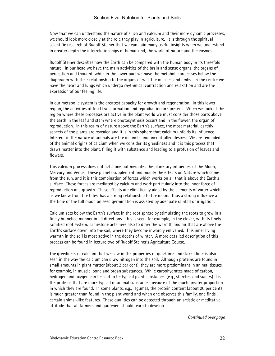Now that we can understand the nature of silica and calcium and their more dynamic processes, we should look more closely at the role they play in agriculture. It is through the spiritual scientific research of Rudolf Steiner that we can gain many useful insights when we understand in greater depth the interrelationships of humankind, the world of nature and the cosmos.

Rudolf Steiner describes how the Earth can be compared with the human body in its threefold nature. In our head we have the main activities of the brain and sense organs, the organs of perception and thought, while in the lower part we have the metabolic processes below the diaphragm with their relationship to the organs of will, the muscles and limbs. In the centre we have the heart and lungs which undergo rhythmical contraction and relaxation and are the expression of our feeling life.

In our metabolic system is the greatest capacity for growth and regeneration. In this lower region, the activities of food transformation and reproduction are present. When we look at the region where these processes are active in the plant world we must consider those parts above the earth in the leaf and stem where photosynthesis occurs and in the flower, the organ of reproduction. In this realm of nature above the Earth's surface, the most material, earthly aspects of the plants are revealed and it is in this sphere that calcium unfolds its influence. Inherent in the nature of animals are the instincts and uncontrolled desires. We are reminded of the animal origins of calcium when we consider its greediness and it is this process that draws matter into the plant, filling it with substance and leading to a profusion of leaves and flowers.

This calcium process does not act alone but mediates the planetary influences of the Moon, Mercury and Venus. These planets supplement and modify the effects on Nature which come from the sun, and it is this combination of forces which works on all that is above the Earth's surface. These forces are mediated by calcium and work particularly into the inner force of reproduction and growth. These effects are climatically aided by the elements of water which, as we know from the tides, has a strong relationship to the moon. Thus a strong influence at the time of the full moon on seed germination is assisted by adequate rainfall or irrigation.

Calcium acts below the Earth's surface in the root sphere by stimulating the roots to grow in a finely branched manner in all directions. This is seen, for example, in the clover, with its finely ramified root system. Limestone acts here also to draw the warmth and air that are above the Earth's surface down into the soil, where they become inwardly enlivened. This inner living warmth in the soil is most active in the depths of winter. A more detailed description of this process can be found in lecture two of Rudolf Steiner's Agriculture Course.

The greediness of calcium that we saw in the properties of quicklime and slaked lime is also seen in the way the calcium can draw nitrogen into the soil. Although proteins are found in small amounts in plant matter (about 2 per cent), they are more predominant in animal tissues, for example, in muscle, bone and organ substances. While carbohydrates made of carbon, hydrogen and oxygen can be said to be typical plant substances (e.g., starches and sugars) it is the proteins that are more typical of animal substance, because of the much greater proportion in which they are found. In some plants, e.g., legumes, the protein content (about 20 per cent) is much greater than found in the plant world and when one observes this family, one finds certain animal-like features. These qualities can be detected through an artistic or meditative attitude that all farmers and gardeners should learn to develop.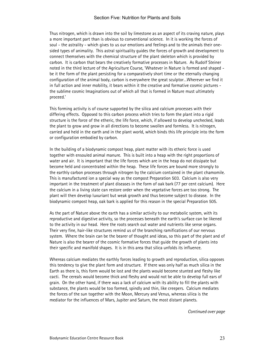Thus nitrogen, which is drawn into the soil by limestone as an aspect of its craving nature, plays a more important part than is obvious to conventional science. In it is working the forces of soul - the astrality - which gives to us our emotions and feelings and to the animals their onesided types of animality. This astral spirituality guides the forces of growth and development to connect themselves with the chemical structure of the plant skeleton which is provided by carbon. It is carbon that bears the creatively formative processes in Nature. As Rudolf Steiner noted in the third lecture of the Agriculture Course, 'Whatever in Nature is formed and shaped be it the form of the plant persisting for a comparatively short time or the eternally changing configuration of the animal body, carbon is everywhere the great sculptor…Wherever we find it in full action and inner mobility, it bears within it the creative and formative cosmic pictures the sublime cosmic Imaginations out of which all that is formed in Nature must ultimately proceed.'

This forming activity is of course supported by the silica and calcium processes with their differing effects. Opposed to this carbon process which tries to form the plant into a rigid structure is the force of the etheric, the life force, which, if allowed to develop unchecked, leads the plant to grow and grow in all directions to become swollen and formless. It is nitrogen, carried and held in the earth and in the plant world, which binds this life principle into the form or configuration embodied by carbon.

In the building of a biodynamic compost heap, plant matter with its etheric force is used together with ensouled animal manure. This is built into a heap with the right proportions of water and air. It is important that the life forces which are in the heap do not dissipate but become held and concentrated within the heap. These life forces are bound more strongly to the earthly carbon processes through nitrogen by the calcium contained in the plant chamomile. This is manufactured ion a special way as the compost Preparation 503. Calcium is also very important in the treatment of plant diseases in the form of oak bark (77 per cent calcium). Here the calcium in a living state can restore order when the vegetative forces are too strong. The plant will then develop luxuriant but weak growth and thus become subject to disease. In the biodynamic compost heap, oak bark is applied for this reason in the special Preparation 505.

As the part of Nature above the earth has a similar activity to our metabolic system, with its reproductive and digestive activity, so the processes beneath the earth's surface can be likened to the activity in our head. Here the roots search out water and nutrients like sense organs. Their very fine, hair-like structures remind us of the branching ramifications of our nervous system. Where the brain can be the bearer of thought and ideas, so this part of the plant and of Nature is also the bearer of the cosmic formative forces that guide the growth of plants into their specific and manifold shapes. It is in this area that silica unfolds its influence.

Whereas calcium mediates the earthly forces leading to growth and reproduction, silica opposes this tendency to give the plant form and structure. If there was only half as much silica in the Earth as there is, this form would be lost and the plants would become stunted and fleshy like cacti. The cereals would become thick and fleshy and would not be able to develop full ears of grain. On the other hand, if there was a lack of calcium with its ability to fill the plants with substance, the plants would be too formed, spindly and thin, like creepers. Calcium mediates the forces of the sun together with the Moon, Mercury and Venus, whereas silica is the mediator for the influences of Mars, Jupiter and Saturn, the most distant planets.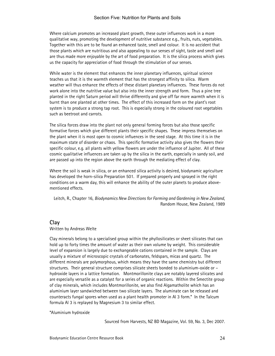Where calcium promotes an increased plant growth, these outer influences work in a more qualitative way, promoting the development of nutritive substance e.g., fruits, nuts, vegetables. Together with this are to be found an enhanced taste, smell and colour. It is no accident that those plants which are nutritious and also appealing to our senses of sight, taste and smell and are thus made more enjoyable by the art of food preparation. It is the silica process which gives us the capacity for appreciation of food through the stimulation of our senses.

While water is the element that enhances the inner planetary influences, spiritual science teaches us that it is the warmth element that has the strongest affinity to silica. Warm weather will thus enhance the effects of these distant planetary influences. These forces do not work alone into the nutritive value but also into the inner strength and form. Thus a pine tree planted in the right Saturn period will thrive differently and give off far more warmth when it is burnt than one planted at other times. The effect of this increased form on the plant's root system is to produce a strong tap root. This is especially strong in the coloured root vegetables such as beetroot and carrots.

The silica forces draw into the plant not only general forming forces but also those specific formative forces which give different plants their specific shapes. These impress themselves on the plant when it is most open to cosmic influences in the seed stage. At this time it is in the maximum state of disorder or chaos. This specific formative activity also gives the flowers their specific colour, e.g. all plants with yellow flowers are under the influence of Jupiter. All of these cosmic qualitative influences are taken up by the silica in the earth, especially in sandy soil, and are passed up into the region above the earth through the mediating effect of clay.

Where the soil is weak in silica, or an enhanced silica activity is desired, biodynamic agriculture has developed the horn-silica Preparation 501. If prepared properly and sprayed in the right conditions on a warm day, this will enhance the ability of the outer planets to produce abovementioned effects.

Leitch, R., Chapter 16, Biodynamics New Directions for Farming and Gardening in New Zealand, Random House, New Zealand, 1989

#### Clay

#### Written by Andreas Welte

Clay minerals belong to a specialised group within the phyllosilicates or sheet silicates that can hold up to forty times the amount of water as their own volume by weight. This considerable level of expansion is largely due to exchangeable cations contained in the sample. Clays are usually a mixture of microscopic crystals of carbonates, feldspars, micas and quartz. The different minerals are polymorphous, which means they have the same chemistry but different structures. Their general structure comprises silicate sheets bonded to aluminium-oxide or – hydroxide layers in a lattice formation. Montmorillonite clays are notably layered silicates and are especially versatile as a catalyst for a series of organic reactions. Within the Smectite group of clay minerals, which includes Montmorillonite, we also find Algamatholite which has an aluminium layer sandwiched between two silicate layers. The aluminate can be released and counteracts fungal spores when used as a plant health promoter in Al 3 form.\* In the Talcum formula Al 3 is replayed by Magnesium 3 to similar effect.

\*Aluminium hydroxide

Sourced from Harvests, NZ BD Magazine, Vol. 59, No. 3, Dec 2007.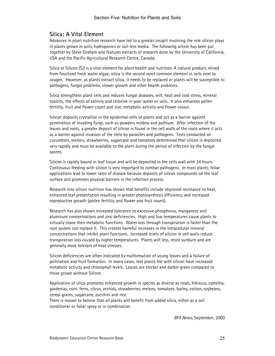## Silica: A Vital Element

Advances in plant nutrition research have led to a greater insight involving the role silicon plays in plants grown in soils, hydroponics or soil-less media. The following article has been put together by Steve Graham and features extracts of research done by the University of California, USA and the Pacific Agricultural Research Centre, Canada.

Silica or Silicon (Si) is a vital element for plant health and nutrition. A natural product, mined from fossilized fresh water algae, silica is the second most common element in soils next to oxygen. However, as plants extract silica, it needs to be replaced or plants will be susceptible to pathogens, fungal problems, slower growth and other health problems.

Silica strengthens plant cells and reduces fungal diseases, wilt, heat and cold stress, mineral toxicity, the effects of salinity and chlorine in poor water or soils. It also enhances pollen fertility, fruit and flower count and size, metabolic activity and flower colour.

Silicon deposits crystallize in the epidermal cells of plants and act as a barrier against penetration of invading fungi, such as powdery mildew and pythium. After infection of the leaves and roots, a greater deposit of silicon is found in the cell walls of the roots where it acts as a barrier against invasion of the stele by parasites and pathogens. Tests conducted on cucumbers, melons, strawberries, sugarcane and tomatoes determined that silicon is deposited very rapidly and must be available to the plant during the period of infection by the fungal spores.

Silicon is rapidly bound in leaf tissue and will be deposited in the cells wall with 24 hours. Continuous feeding with silicon is very important to combat pathogens. In most plants, foliar applications lead to lower rates of disease because deposits of silicon compounds on the leaf surface and promotes physical barriers in the infection process.

Research into silicon nutrition has shown that benefits include improved resistance to heat, enhanced leaf presentation resulting in greater photosynthesis efficiency, and increased reproductive growth (pollen fertility and flower and fruit count).

Research has also shown increased tolerance to excessive phosphorus, manganese and aluminum concentrations and zinc deficiencies. High and low temperatures cause plants to virtually cease their metabolic functions. Water loss through transpiration is faster than the root system can replace it. This creates harmful increases in the intracellular mineral concentrations that inhibit plant functions. Increased levels of silicon in cell walls reduce transpiration loss caused by higher temperatures. Plants wilt less, resist sunburn and are generally more tolerant of heat stresses.

Silicon deficiencies are often indicated by malformation of young leaves and a failure of pollination and fruit formation. In many cases, test plants fed with silicon have increased metabolic activity and chlorophyll levels. Leaves are thicker and darker green compared to those grown without Silicon.

Application of silica promotes enhanced growth in species as diverse as roses, hibiscus, camellia, gardenias, corn, ferns, citrus, orchids, strawberries, melons, tomatoes, barley, cotton, soybeans, cereal grains, sugarcane, zucchini and rice.

There is reason to believe that all plants will benefit from added silica, either as a soil conditioner or foliar spray or in combination.

BFA News, September, 2000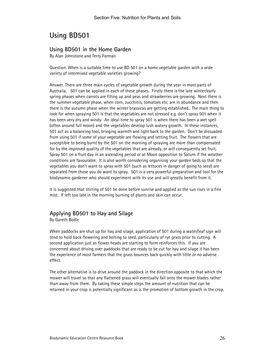# Using BD501

## Using BD501 in the Home Garden

By Alan Johnstone and Terry Forman

Question. When is a suitable time to use BD 501 on a home vegetable garden with a wide variety of intermixed vegetable varieties growing?

Answer. There are three main cycles of vegetable growth during the year in most parts of Australia. 501 can be applied in each of these phases. Firstly there is the late winter/early spring phases when carrots are filling up and peas and strawberries are growing. Next there is the summer vegetable phase, when corn, zucchinis, tomatoes etc. are in abundance and then there is the autumn phase when the winter brassicas are getting established. The main thing to look for when spraying 501 is that the vegetables are not stressed e.g. don't spray 501 when it has been very dry and windy. An ideal time to spray 501 is when there has been a wet spell (often around full moon) and the vegetables develop lush watery growth. In these instances, 501 act as a balancing tool, bringing warmth and light back to the garden. Don't be dissuaded from using 501 if some of your vegetable are flowing and setting fruit. The flowers that are susceptible to being burnt by the 501 on the morning of spraying are more than compensated for by the improved quality of the vegetables that are already, or will consequently set fruit. Spray 501 on a fruit day in an ascending period or at Moon opposition to Saturn if the weather conditions are favourable. It is also worth considering organising your garden beds so that the vegetables you don't want to spray with 501 (such as lettuces in danger of going to seed) are separated from those you do want to spray. 501 is a very powerful preparation and tool for the biodynamic gardener who should experiment with its use and will greatly benefit from it.

It is suggested that stirring of 501 be done before sunrise and applied as the sun rises in a fine mist. If left too late in the morning burning of plants and skin can occur.

## Applying BD501 to Hay and Silage

By Gareth Bodle

When paddocks are shut up for hay and silage, application of 501 during a water/leaf sign will tend to hold back flowering and bolting to seed, particularly of rye grass prior to cutting. A second application just as flower heads are starting to form reinforces this. If you are concerned about driving over paddocks that are ready to be cut for hay and silage it has been the experience of most farmers that the grass bounces back quickly with little or no adverse effect.

The other alternative is to drive around the paddock in the direction opposite to that which the mower will travel so that any flattened grass will eventually fall onto the mower blades rather than away from them. By taking these simple steps the amount of nutrition that can be retained in your crop is potentially significant as is the promotion of bottom growth in the crop.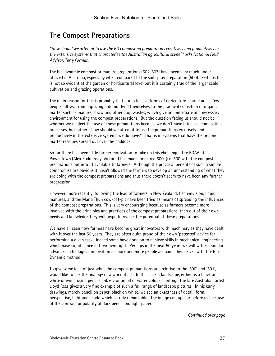## The Compost Preparations

"How should we attempt to use the BD composting preparations creatively and productively in the extensive systems that characterize the Australian agricultural scene?" asks National Field Advisor, Terry Forman.

The bio-dynamic compost or manure preparations (502-507) have been very much underutilized in Australia, especially when compared to the soil spray preparation (500). Perhaps this is not so evident at the garden or horticultural level but it is certainly true of the larger scale cultivation and grazing operations.

The main reason for this is probably that our extensive forms of agriculture – large areas, few people, all year round grazing – do not lend themselves to the practical collection of organic matter such as manure, straw and other crop wastes, which give an immediate and necessary environment for using the compost preparations. But the question facing us should not be whether we neglect the use of these preparations because we don't have intensive composting processes, but rather: "how should we attempt to use the preparations creatively and productively in the extensive systems we do have?" That is in systems that have the organic matter residues spread out over the paddock.

So far there has been little farmer motivation to take up this challenge. The BDAA at Powelltown (Alex Podolinsky, Victoria) has made 'prepared 500' (i.e. 500 with the compost preparations put into it) available to farmers. Although the practical benefits of such a simple compromise are obvious it hasn't allowed the farmers to develop an understanding of what they are doing with the compost preparations and thus there doesn't seem to have been any further progression.

However, more recently, following the lead of farmers in New Zealand, fish emulsion, liquid manures, and the Maria Thun cow-pat-pit have been tried as means of spreading the influences of the compost preparations. This is very encouraging because as farmers become more involved with the principles and practices of the compost preparations, then out of their own needs and knowledge they will begin to realize the potential of these preparations.

We have all seen how farmers have become great innovators with machinery as they have dealt with it over the last 50 years. They are often quite proud of their own 'patented' device for performing a given task. Indeed some have gone on to achieve skills in mechanical engineering which have significance in their own right. Perhaps in the next 50 years we will witness similar advances in biological innovation as more and more people acquaint themselves with the Bio-Dynamic method.

To give some idea of just what the compost preparations are, relative to the '500' and '501', I would like to use the analogy of a work of art. In this case a landscape, either as a black and white drawing using pencils, ink etc or an oil or water colour painting. The late Australian artist Lloyd Rees gives a very fine example of such a full range of landscape pictures. In his early drawings, merely pencil on paper, black on white, we see an exactness of detail, form, perspective, light and shade which is truly remarkable. The image can appear before us because of the contrast or polarity of dark pencil and light paper.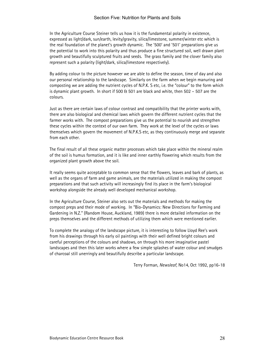#### Section Five: Nutrition for Plants and Soils

In the Agriculture Course Steiner tells us how it is the fundamental polarity in existence, expressed as light/dark, sun/earth, levity/gravity, silica/limestone, summer/winter etc which is the real foundation of the planet's growth dynamic. The '500' and '501' preparations give us the potential to work into this polarity and thus produce a fine structured soil, well drawn plant growth and beautifully sculptured fruits and seeds. The grass family and the clover family also represent such a polarity (light/dark, silica/limestone respectively).

By adding colour to the picture however we are able to define the season, time of day and also our personal relationship to the landscape. Similarly on the farm when we begin manuring and composting we are adding the nutrient cycles of N.P.K. S etc, i.e. the "colour" to the form which is dynamic plant growth. In short if 500  $\&$  501 are black and white, then 502 – 507 are the colours.

Just as there are certain laws of colour contrast and compatibility that the printer works with, there are also biological and chemical laws which govern the different nutrient cycles that the farmer works with. The compost preparations give us the potential to nourish and strengthen these cycles within the context of our own farm. They work at the level of the cycles or laws themselves which govern the movement of N.P.K.S etc, as they continuously merge and separate from each other.

The final result of all these organic matter processes which take place within the mineral realm of the soil is humus formation, and it is like and inner earthly flowering which results from the organized plant growth above the soil.

It really seems quite acceptable to common sense that the flowers, leaves and bark of plants, as well as the organs of farm and game animals, are the materials utilized in making the compost preparations and that such activity will increasingly find its place in the farm's biological workshop alongside the already well developed mechanical workshop.

In the Agriculture Course, Steiner also sets out the materials and methods for making the compost preps and their mode of working. In "Bio-Dynamics: New Directions for Farming and Gardening in N.Z." (Random House, Auckland, 1989) there is more detailed information on the preps themselves and the different methods of utilizing them which were mentioned earlier.

To complete the analogy of the landscape picture, it is interesting to follow Lloyd Ree's work from his drawings through his early oil paintings with their well defined bright colours and careful perceptions of the colours and shadows, on through his more imaginative pastel landscapes and then this later works where a few simple splashes of water colour and smudges of charcoal still unerringly and beautifully describe a particular landscape.

Terry Forman, Newsleaf, No14, Oct 1992, pp16-18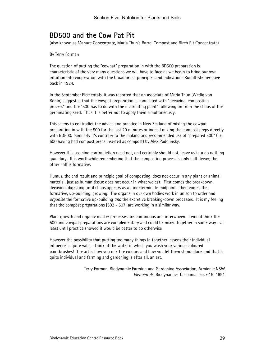## BD500 and the Cow Pat Pit

(also known as Manure Concentrate, Maria Thun's Barrel Compost and Birch Pit Concentrate)

By Terry Forman

The question of putting the "cowpat" preparation in with the BD500 preparation is characteristic of the very many questions we will have to face as we begin to bring our own intuition into cooperation with the broad brush principles and indications Rudolf Steiner gave back in 1924.

In the September Elementals, it was reported that an associate of Maria Thun (Wedig von Bonin) suggested that the cowpat preparation is connected with "decaying, composting process" and the "500 has to do with the incarnating plant" following on from the chaos of the germinating seed. Thus it is better not to apply them simultaneously.

This seems to contradict the advice and practice in New Zealand of mixing the cowpat preparation in with the 500 for the last 20 minutes or indeed mixing the compost preps directly with BD500. Similarly it's contrary to the making and recommended use of "prepared 500" (i.e. 500 having had compost preps inserted as compost) by Alex Podolinsky.

However this seeming contradiction need not, and certainly should not, leave us in a do nothing quandary. It is worthwhile remembering that the composting process is only half decay; the other half is formative.

Humus, the end result and principle goal of composting, does not occur in any plant or animal material, just as human tissue does not occur in what we eat. First comes the breakdown, decaying, digesting until chaos appears as an indeterminate midpoint. Then comes the formative, up-building, growing. The organs in our own bodies work in unison to order and organise the formative up-building and the excretive breaking-down processes. It is my feeling that the compost preparations (502 - 507) are working in a similar way.

Plant growth and organic matter processes are continuous and interwoven. I would think the 500 and cowpat preparations are complementary and could be mixed together in some way - at least until practice showed it would be better to do otherwise

However the possibility that putting too many things in together lessens their individual influence is quite valid - think of the water in which you wash your various coloured paintbrushes! The art is how you mix the colours and how you let them stand alone and that is quite individual and farming and gardening is after all, an art.

> Terry Forman, Biodynamic Farming and Gardening Association, Armidale NSW Elementals, Biodynamics Tasmania, Issue 19, 1991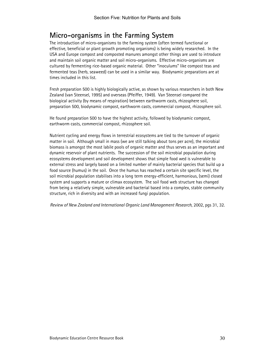# Micro-organisms in the Farming System

The introduction of micro-organisms to the farming system (often termed functional or effective, beneficial or plant growth promoting organisms) is being widely researched. In the USA and Europe compost and composted manures amongst other things are used to introduce and maintain soil organic matter and soil micro-organisms. Effective micro-organisms are cultured by fermenting rice-based organic material. Other "inoculums" like compost teas and fermented teas (herb, seaweed) can be used in a similar way. Biodynamic preparations are at times included in this list.

Fresh preparation 500 is highly biologically active, as shown by various researchers in both New Zealand (van Steensel, 1995) and overseas (Pfeiffer, 1949). Van Steensel compared the biological activity (by means of respiration) between earthworm casts, rhizosphere soil, preparation 500, biodynamic compost, earthworm casts, commercial compost, rhizosphere soil.

He found preparation 500 to have the highest activity, followed by biodynamic compost, earthworm casts, commercial compost, rhizosphere soil.

Nutrient cycling and energy flows in terrestrial ecosystems are tied to the turnover of organic matter in soil. Although small in mass (we are still talking about tons per acre), the microbial biomass is amongst the most labile pools of organic matter and thus serves as an important and dynamic reservoir of plant nutrients. The succession of the soil microbial population during ecosystems development and soil development shows that simple food wed is vulnerable to external stress and largely based on a limited number of mainly bacterial species that build up a food source (humus) in the soil. Once the humus has reached a certain site specific level, the soil microbial population stabilises into a long term energy-efficient, harmonious, (semi) closed system and supports a mature or climax ecosystem. The soil food web structure has changed from being a relatively simple, vulnerable and bacterial based into a complex, stable community structure, rich in diversity and with an increased fungi population.

Review of New Zealand and International Organic Land Management Research, 2002, pgs 31, 32.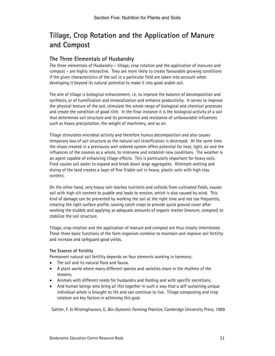# Tillage, Crop Rotation and the Application of Manure and Compost

## The Three Elementals of Husbandry

The three elementals of Husbandry – tillage, crop rotation and the application of manures and compost – are highly interactive. They are more likely to create favourable growing conditions if the given characteristics of the soil in a particular field are taken into account when developing it beyond its natural potential to make it into good arable soil.

The aim of tillage is biological enhancement, i.e. to improve the balance of decomposition and synthesis, or of humification and mineralization and enhance productivity. It serves to improve the physical texture of the soil, stimulate the whole range of biological and chemical processes and create the condition of good tilth. In the final instance it is the biological activity of a soil that determines soil structure and its permanence and resistance of unfavourable influences such as heavy precipitation, the weight of machinery, and so on.

Tillage stimulates microbial activity and therefore humus decomposition and also causes temporary loss of soil structure as the natural soil stratification is destroyed. At the same time the chaos created in a previously well ordered system offers potential for heat, light, air and the influences of the cosmos as a whole, to intervene and establish new conditions. The weather is an agent capable of enhancing tillage effects. This is particularly important for heavy soils. Frost causes soil water to expand and break down large aggregates. Alternate wetting and drying of the land creates a layer of fine friable soil in heavy, plastic soils with high clay content.

On the other hand, very heavy rain leaches nutrients and colloids from cultivated fields, causes soil with high silt content to puddle and leads to erosion, which is also caused by wind. This kind of damage can be prevented by working the soil at the right time and not too frequently, creating the right surface profile, sowing catch crops to provide quick ground cover after working the stubble and applying as adequate amounts of organic matter (manure, compost) to stabilize the soil structure.

Tillage, crop rotation and the application of manure and compost are thus closely interrelated. These three basic functions of the farm organism combine to maintain and improve soil fertility and increase and safeguard good yields.

#### The Essence of Fertility

Permanent natural soil fertility depends on four elements working in harmony:

- The soil and its natural flora and fauna.
- A plant world where many different species and varieties share in the rhythms of the seasons.
- Animals with different needs for husbandry and feeding and with specific excretions.
- And human beings who bring all this together in such a way that a self sustaining unique individual whole is brought to life and can continue to live. Tillage composting and crop rotation are key factors in achieving this goal.

Sattler, F. & Wistinghausen, E, Bio-Dynamic Farming Practice, Cambridge University Press, 1989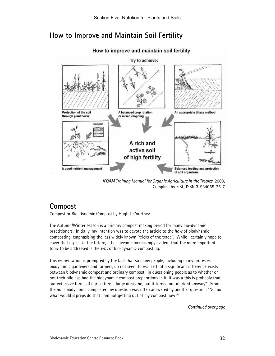# How to Improve and Maintain Soil Fertility



How to improve and maintain soil fertility

IFOAM Training Manual for Organic Agriculture in the Tropics, 2003, Complied by FiBL, ISBN 3-934055-25-7

## Compost

Compost or Bio-Dynamic Compost by Hugh J. Courtney

The Autumn/Winter season is a primary compost making period for many bio-dynamic practitioners. Initially, my intention was to devote the article to the how of biodynamic composting, emphasising the less widely known "tricks of the trade". While I certainly hope to cover that aspect in the future, it has become increasingly evident that the more important topic to be addressed is the why of bio-dynamic composting.

This reorientation is prompted by the fact that so many people, including many professed biodynamic gardeners and farmers, do not seem to realize that a significant difference exists between biodynamic compost and ordinary compost. In questioning people as to whether or not their pile has had the biodynamic compost preparations in it, it was a this is probably that our extensive forms of agriculture – large areas, no, but it turned out all right anyway". From the non-biodynamic composter, my question was often answered by another question, "No, but what would B preps do that I am not getting out of my compost now?"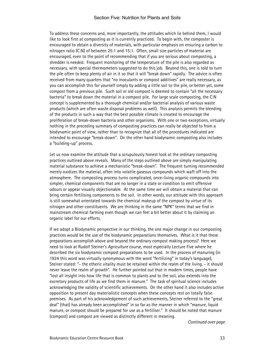To address these concerns and, more importantly, the attitudes which lie behind them, I would like to look first at composting as it is currently practiced. To begin with, the composter is encouraged to obtain a diversity of materials, with particular emphasis on ensuring a carbon to nitrogen ratio (C:N) of between 25:1 and 15:1. Often, small size particles of material are encouraged, even to the point of recommending that if you are serious about composting, a shredder is needed. Frequent monitoring of the temperature of the pile is also regarded as necessary, with special thermometers suggested to do this job. Beyond this, one is told to turn the pile often to keep plenty of air in it so that it will "break down" rapidly. The advice is often received from many quarters that "no inoculants or compost additives" are really necessary, as you can accomplish this for yourself simply by adding a little soil to the pile, or better yet, some compost from a previous pile. Such soil or old compost is deemed to contain "all the necessary bacteria" to break down the material in a compost pile. For large scale composting, the C:N concept is supplemented by a thorough chemical and/or bacterial analysis of various waste products (which are often waste disposal problems as well). This analysis permits the blending of the products in such a way that the best possible climate is created to encourage the proliferation of break-down bacteria and other organisms. With one or two exceptions, virtually nothing in the preceding summary of composting practices can really be objected to from a biodynamic point of view, rather than to recognize that all of the procedures indicated are intended to encourage "break-down". On the other hand biodynamic composting also includes a "building-up" process.

Let us now examine the attitude that a scrupulously honest look at the ordinary composting practices outlined above reveals. Many of the steps outlined above are simply manipulating material substance to achieve a mechanistic "break-down". The frequent turning recommended merely oxidizes the material, often into volatile gaseous compounds which waft off into the atmosphere. The composting process turns complicated, once-living organic compounds into simpler, chemical components that are no longer in a state or condition to emit offensive odours or appear visually objectionable. At the same time we will obtain a material that can bring certain fertilising components to the soil. In other words, our attitude with this approach is still somewhat orientated towards the chemical makeup of the compost by virtue of its nitrogen and other constituents. We are thinking in the same "NPK" terms that we find in mainstream chemical farming even though we can feel a bit better about it by claiming an organic label for our efforts.

If we adopt a Biodynamic perspective in our thinking, the one major change in our composting practices would be the use of the biodynamic preparations themselves. What is it that these preparations accomplish above and beyond the ordinary compost making process? Here we need to look at Rudolf Steiner's Agriculture course, most especially Lecture Five where he described the six biodynamic compost preparations to be used. In the process of manuring (in 1924 this word was virtually synonymous with the word "fertilizing" in today's language), Steiner stated: "- the etheric vitality must be retained within the realm of the living, - it should never leave the realm of growth". He further pointed out that in modern times, people have "lost all insight into how life that is common to plants and to the soil, also extends into the excretory products of life as we find them in manure." The task of spiritual science includes acknowledging the validity of scientific achievements. On the other hand it also includes active opposition to present day materialistic concepts when these concepts rest on totally false premises. As part of his acknowledgement of such achievements, Steiner referred to the "great deal" (that) has already been accomplished" in so far as the manner in which "manure, liquid manure, or compost should be prepared for use as a fertiliser." It should be noted that manure (compost) and compost are viewed as distinctly different in meaning.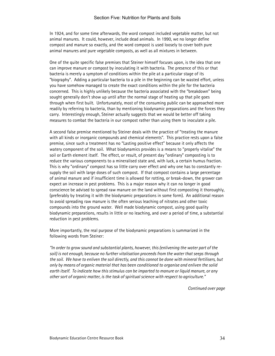In 1924, and for some time afterwards, the word compost included vegetable matter, but not animal manures. It could, however, include dead animals. In 1990, we no longer define compost and manure so exactly, and the word compost is used loosely to cover both pure animal manures and pure vegetable composts, as well as all mixtures in between.

One of the quite specific false premises that Steiner himself focuses upon, is the idea that one can improve manure or compost by inoculating it with bacteria. The presence of this or that bacteria is merely a symptom of conditions within the pile at a particular stage of its "biography". Adding a particular bacteria to a pile in the beginning can be wasted effort, unless you have somehow managed to create the exact conditions within the pile for the bacteria concerned. This is highly unlikely because the bacteria associated with the "breakdown" being sought generally don't show up until after the normal stage of heating up that pile goes through when first built. Unfortunately, most of the consuming public can be approached more readily by referring to bacteria, than by mentioning biodynamic preparations and the forces they carry. Interestingly enough, Steiner actually suggests that we would be better off taking measures to combat the bacteria in our compost rather than using them to inoculate a pile.

A second false premise mentioned by Steiner deals with the practice of "treating the manure with all kinds or inorganic compounds and chemical elements". This practice rests upon a false premise, since such a treatment has no "Lasting positive effect" because it only affects the watery component of the soil. What biodynamics provides is a means to "properly vitalise" the soil or Earth element itself. The effect, or result, of present day "ordinary" composting is to reduce the various components to a mineralised state and, with luck, a certain humus fraction. This is why "ordinary" compost has so little carry over effect and why one has to constantly resupply the soil with large doses of such compost. If that compost contains a large percentage of animal manure and if insufficient time is allowed for rotting, or break-down, the grower can expect an increase in pest problems. This is a major reason why it can no longer in good conscience be advised to spread raw manure on the land without first composting it thoroughly, (preferably by treating it with the biodynamic preparations in some form). An additional reason to avoid spreading raw manure is the often serious leaching of nitrates and other toxic compounds into the ground water. Well made biodynamic compost, using good quality biodynamic preparations, results in little or no leaching, and over a period of time, a substantial reduction in pest problems.

More importantly, the real purpose of the biodynamic preparations is summarized in the following words from Steiner:

"In order to grow sound and substantial plants, however, this (enlivening the water part of the soil) is not enough, because no further vitalisation proceeds from the water that seeps through the soil. We have to enliven the soil directly, and this cannot be done with mineral fertilisers, but only by means of organic material that has been conditioned to organise and enliven the solid earth itself. To indicate how this stimulus can be imparted to manure or liquid manure, or any other sort of organic matter, is the task of spiritual science with respect to agriculture."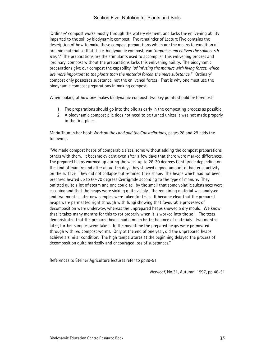#### Section Five: Nutrition for Plants and Soils

'Ordinary' compost works mostly through the watery element, and lacks the enlivening ability imparted to the soil by biodynamic compost. The remainder of Lecture Five contains the description of how to make these compost preparations which are the means to condition all organic material so that it (i.e. biodynamic compost) can "organise and enliven the solid earth itself." The preparations are the stimulants used to accomplish this enlivening process and 'ordinary' compost without the preparations lacks this enlivening ability. The biodynamic preparations give our compost the capability "of infusing the manure with living forces, which are more important to the plants than the material forces, the mere substance." 'Ordinary' compost only possesses substance, not the enlivened forces. That is why one must use the biodynamic compost preparations in making compost.

When looking at how one makes biodynamic compost, two key points should be foremost:

- 1. The preparations should go into the pile as early in the composting process as possible.
- 2. A biodynamic compost pile does not need to be turned unless it was not made properly in the first place.

Maria Thun in her book Work on the Land and the Constellations, pages 28 and 29 adds the following:

"We made compost heaps of comparable sizes, some without adding the compost preparations, others with them. It became evident even after a few days that there were marked differences. The prepared heaps warmed up during the week up to 26-30 degrees Centigrade depending on the kind of manure and after about ten days they showed a good amount of bacterial activity on the surface. They did not collapse but retained their shape. The heaps which had not been prepared heated up to 60-70 degrees Centigrade according to the type of manure. They omitted quite a lot of steam and one could tell by the smell that some volatile substances were escaping and that the heaps were sinking quite visibly. The remaining material was analysed and two months later new samples were taken for tests. It became clear that the prepared heaps were permeated right through with fungi showing that favourable processes of decomposition were underway, whereas the unprepared heaps showed a dry mould. We know that it takes many months for this to rot properly when it is worked into the soil. The tests demonstrated that the prepared heaps had a much better balance of materials. Two months later, further samples were taken. In the meantime the prepared heaps were permeated through with red compost worms. Only at the end of one year, did the unprepared heaps achieve a similar condition. The high temperatures at the beginning delayed the process of decomposition quite markedly and encouraged loss of substances."

References to Steiner Agriculture lectures refer to pp89-91

Newleaf, No.31, Autumn, 1997, pp 48-51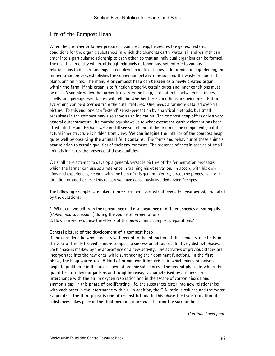## Life of the Compost Heap

When the gardener or farmer prepares a compost heap, he creates the general external conditions for the organic substances in which the elements earth, water, air and warmth can enter into a particular relationship to each other, so that an individual organism can be formed. The result is an entity which, although relatively autonomous, yet enter into various relationships to its surroundings. It can develop a life of its own. In farming and gardening, the fermentation process establishes the connection between the soil and the waste products of plants and animals. The manure or compost heap can be seen as a newly created organ within the farm If this organ is to function properly, certain outer and inner conditions must be met. A sample which the farmer takes from the heap, looks at, rubs between his fingers, smells, and perhaps even tastes, will tell him whether these conditions are being met. But not everything can be discerned from the outer features. One needs a far more detailed over-all picture. To this end, one can "extend" sense-perception by analytical methods, but small organisms in the compost may also serve as an indication. The compost heap offers only a very general outer structure. Its morphology shows us to what extent the earthly element has been lifted into the air. Perhaps we can still see something of the origin of the components, but its actual inner structure is hidden from view. We can imagine the interior of the compost heap quite well by observing the animal life it contains. The forms and behaviour of these animals bear relation to certain qualities of their environment. The presence of certain species of small animals indicates the presence of these qualities.

We shall here attempt to develop a general, versatile picture of the fermentation processes, which the farmer can use as a reference in training his observation. In accord with his own aims and experiences, he can, with the help of this general picture, direct the processes in one direction or another. For this reason we have consciously avoided giving "recipes".

The following examples are taken from experiments carried out over a ten year period, prompted by the questions:

1. What can we tell from the appearance and disappearance of different species of springtails (Collembola successions) during the course of fermentation? 2. How can we recognise the effects of the bio-dynamic compost preparations?

#### General picture of the development of a compost heap

If one considers the whole process with regard to the interaction of the elements, one finds, in the case of freshly heaped manure compost, a succession of four qualitatively distinct phases. Each phase is marked by the appearance of a new activity. The activities of previous stages are incorporated into the new ones, while surrendering their dominant functions. In the first phase, the heap warms up. A kind of primal condition arises, in which micro-organisms begin to proliferate in the break-down of organic substances. The second phase, in which the quantities of micro-organisms and fungi increase, is characterised by an increased interchange with the air, in oxygen respiration and in the escape of carbon dioxide and ammonia gas In this phase of proliferating life, the substances enter into new relationships with each other in the interchange with air. In addition, the C-N-ratio is reduced and the water evaporates. The third phase is one of reconstitution. In this phase the transformation of substances takes pace in the fluid medium, more cut off from the surroundings.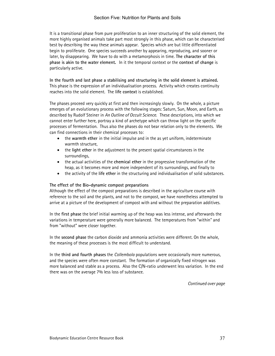It is a transitional phase from pure proliferation to an inner structuring of the solid element, the more highly organised animals take part most strongly in this phase, which can be characterised best by describing the way these animals appear. Species which are but little differentiated begin to proliferate. One species succeeds another by appearing, reproducing, and sooner or later, by disappearing. We have to do with a metamorphosis in time. The character of this phase is akin to the water element. In it the temporal context or the context of change is particularly active.

In the fourth and last phase a stabilising and structuring in the solid element is attained. This phase is the expression of an individualisation process. Activity which creates continuity reaches into the solid element. The life context is established.

The phases proceed very quickly at first and then increasingly slowly. On the whole, a picture emerges of an evolutionary process with the following stages: Saturn, Sun, Moon, and Earth, as described by Rudolf Steiner in An Outline of Occult Science. These descriptions, into which we cannot enter further here, portray a kind of archetype which can throw light on the specific processes of fermentation. Thus also the phases do not bear relation only to the elements. We can find connections in their chemical processes to:

- the warmth ether in the initial impulse and in the as yet uniform, indeterminate warmth structure,
- the light ether in the adjustment to the present spatial circumstances in the surroundings,
- the actual activities of the chemical ether in the progressive transformation of the heap, as it becomes more and more independent of its surroundings, and finally to
- the activity of the life ether in the structuring and individualisation of solid substances.

### The effect of the Bio-dynamic compost preparations

Although the effect of the compost preparations is described in the agriculture course with reference to the soil and the plants, and not to the compost, we have nonetheless attempted to arrive at a picture of the development of compost with and without the preparation additives.

In the first phase the brief initial warming up of the heap was less intense, and afterwards the variations in temperature were generally more balanced. The temperatures from "within" and from "without" were closer together.

In the second phase the carbon dioxide and ammonia activities were different. On the whole, the meaning of these processes is the most difficult to understand.

In the third and fourth phases the *Collembola* populations were occasionally more numerous, and the species were often more constant. The formation of organically fixed nitrogen was more balanced and stable as a process. Also the C/N-ratio underwent less variation. In the end there was on the average 7% less loss of substance.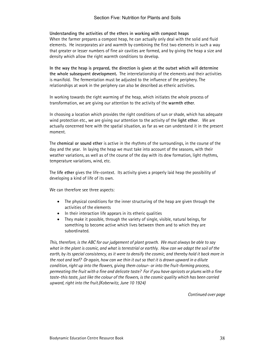Understanding the activities of the ethers in working with compost heaps When the farmer prepares a compost heap, he can actually only deal with the solid and fluid elements. He incorporates air and warmth by combining the first two elements in such a way that greater or lesser numbers of fine air cavities are formed, and by giving the heap a size and density which allow the right warmth conditions to develop.

In the way the heap is prepared, the direction is given at the outset which will determine the whole subsequent development. The interrelationship of the elements and their activities is manifold. The fermentation must be adjusted to the influence of the periphery. The relationships at work in the periphery can also be described as etheric activities.

In working towards the right warming of the heap, which initiates the whole process of transformation, we are giving our attention to the activity of the warmth ether.

In choosing a location which provides the right conditions of sun or shade, which has adequate wind protection etc., we are giving our attention to the activity of the light ether. We are actually concerned here with the spatial situation, as far as we can understand it in the present moment.

The chemical or sound ether is active in the rhythms of the surroundings, in the course of the day and the year. In laying the heap we must take into account of the seasons, with their weather variations, as well as of the course of the day with its dew formation, light rhythms, temperature variations, wind, etc.

The life ether gives the life-context. Its activity gives a properly laid heap the possibility of developing a kind of life of its own.

We can therefore see three aspects:

- The physical conditions for the inner structuring of the heap are given through the activities of the elements
- In their interaction life appears in its etheric qualities
- They make it possible, through the variety of single, visible, natural beings, for something to become active which lives between them and to which they are subordinated.

This, therefore, is the ABC for our judgement of plant growth. We must always be able to say what in the plant is cosmic, and what is terrestrial or earthly. How can we adapt the soil of the earth, by its special consistency, as it were to densify the cosmic, and thereby hold it back more in the root and leaf? Or again, how can we thin it out so that it is drawn upward in a dilute condition, right up into the flowers, giving them colour- or into the fruit-forming process, permeating the fruit with a fine and delicate taste? For if you have apricots or plums with a fine taste-this taste, just like the colour of the flowers, is the cosmic quality which has been carried upward, right into the fruit.(Koberwitz, June 10 1924)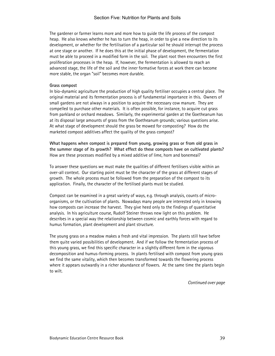The gardener or farmer learns more and more how to guide the life process of the compost heap. He also knows whether he has to turn the heap, in order to give a new direction to its development, or whether for the fertilisation of a particular soil he should interrupt the process at one stage or another. If he does this at the initial phase of development, the fermentation must be able to proceed in a modified form in the soil. The plant root then encounters the first proliferation processes in the heap. If, however, the fermentation is allowed to reach an advanced stage, the life of the soil and the inner formative forces at work there can become more stable, the organ "soil" becomes more durable.

#### Grass compost

In bio-dynamic agriculture the production of high quality fertiliser occupies a central place. The original material and its fermentation process is of fundamental importance in this. Owners of small gardens are not always in a position to acquire the necessary cow manure. They are compelled to purchase other materials. It is often possible, for instance, to acquire cut grass from parkland or orchard meadows. Similarly, the experimental garden at the Goetheanum has at its disposal large amounts of grass from the Goetheanum grounds; various questions arise. At what stage of development should the grass be mowed for composting? How do the marketed compost additives affect the quality of the grass compost?

What happens when compost is prepared from young, growing grass or from old grass in the summer stage of its growth? What effect do these composts have on cultivated plants? How are these processes modified by a mixed additive of lime, horn and bonemeal?

To answer these questions we must make the qualities of different fertilisers visible within an over-all context. Our starting point must be the character of the grass at different stages of growth. The whole process must be followed from the preparation of the compost to its application. Finally, the character of the fertilised plants must be studied.

Compost can be examined in a great variety of ways, e.g. through analysis, counts of microorganisms, or the cultivation of plants. Nowadays many people are interested only in knowing how composts can increase the harvest. They give heed only to the findings of quantitative analysis. In his agriculture course, Rudolf Steiner throws new light on this problem. He describes in a special way the relationship between cosmic and earthly forces with regard to humus formation, plant development and plant structure.

The young grass on a meadow makes a fresh and vital impression. The plants still have before them quite varied possibilities of development. And if we follow the fermentation process of this young grass, we find this specific character in a slightly different form in the vigorous decomposition and humus-forming process. In plants fertilised with compost from young grass we find the same vitality, which then becomes transformed towards the flowering process where it appears outwardly in a richer abundance of flowers. At the same time the plants begin to wilt.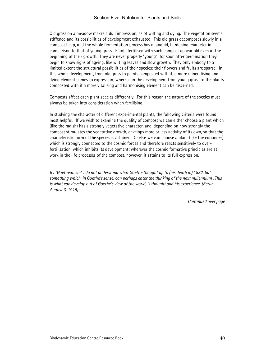Old grass on a meadow makes a dull impression, as of wilting and dying. The vegetation seems stiffened and its possibilities of development exhausted. This old grass decomposes slowly in a compost heap, and the whole fermentation process has a languid, hardening character in comparison to that of young grass. Plants fertilised with such compost appear old even at the beginning of their growth. They are never properly "young", for soon after germination they begin to show signs of ageing, like wilting leaves and slow growth. They only embody to a limited extent the structural possibilities of their species; their flowers and fruits are sparse. In this whole development, from old grass to plants composted with it, a more mineralising and dying element comes to expression; whereas in the development from young grass to the plants composted with it a more vitalising and harmonising element can be discerned.

Composts affect each plant species differently. For this reason the nature of the species must always be taken into consideration when fertilising.

In studying the character of different experimental plants, the following criteria were found most helpful. If we wish to examine the quality of compost we can either choose a plant which (like the radish) has a strongly vegetative character, and, depending on how strongly the compost stimulates the vegetative growth, develops more or less activity of its own, so that the characteristic form of the species is attained. Or else we can choose a plant (like the coriander) which is strongly connected to the cosmic forces and therefore reacts sensitively to overfertilisation, which inhibits its development; wherever the cosmic formative principles are at work in the life processes of the compost, however, it attains to its full expression.

By "Goetheanism" I do not understand what Goethe thought up to (his death in) 1832, but something which, in Goethe's sense, can perhaps enter the thinking of the next millennium . This is what can develop out of Goethe's view of the world, is thought and his experience. (Berlin, August 6, 1918)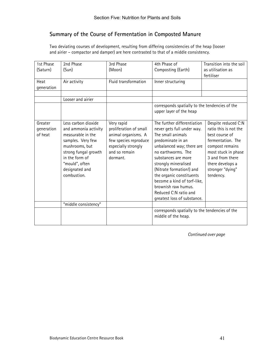# Summary of the Course of Fermentation in Composted Manure

Two deviating courses of development, resulting from differing consistencies of the heap (looser and airier – compactor and damper) are here contrasted to that of a middle consistency.

| 1st Phase  | 2nd Phase            | 3rd Phase              | 4th Phase of<br>Transition into the soil                                  |                       |  |
|------------|----------------------|------------------------|---------------------------------------------------------------------------|-----------------------|--|
| (Saturn)   | (Sun)                | (Moon)                 | Composting (Earth)                                                        | as utilisation as     |  |
|            |                      |                        |                                                                           | fertiliser            |  |
| Heat       | Air activity         | Fluid transformation   | Inner structuring                                                         |                       |  |
| generation |                      |                        |                                                                           |                       |  |
|            |                      |                        |                                                                           |                       |  |
|            | Looser and airier    |                        |                                                                           |                       |  |
|            |                      |                        | corresponds spatially to the tendencies of the<br>upper layer of the heap |                       |  |
| Greater    | Less carbon dioxide  | Very rapid             | The further differentiation                                               | Despite reduced C:N   |  |
| generation | and ammonia activity | proliferation of small | never gets full under way.                                                | ratio this is not the |  |
| of heat    | measurable in the    | animal organisms. A    | The small animals                                                         | best course of        |  |
|            | samples. Very few    | few species reproduce  | predominate in an                                                         | fermentation. The     |  |
|            | mushrooms, but       | especially strongly    | unbalanced way; there are                                                 | compost remains       |  |
|            | strong fungal growth | and so remain          | no earthworms. The                                                        | most stuck in phase   |  |
|            | in the form of       | dormant.               | substances are more                                                       | 3 and from there      |  |
|            | "mould", often       |                        | strongly mineralised                                                      | there develops a      |  |
|            | designated and       |                        | (Nitrate formation!) and                                                  | stronger "dying"      |  |
|            | combustion.          |                        | the organic constituents                                                  | tendency.             |  |
|            |                      |                        | become a kind of torf-like,                                               |                       |  |
|            |                      |                        | brownish raw humus.                                                       |                       |  |
|            |                      |                        | Reduced C:N ratio and                                                     |                       |  |
|            |                      |                        | greatest loss of substance.                                               |                       |  |
|            | "middle consistency" |                        |                                                                           |                       |  |
|            |                      |                        | corresponds spatially to the tendencies of the                            |                       |  |
|            |                      |                        | middle of the heap.                                                       |                       |  |
|            |                      |                        |                                                                           |                       |  |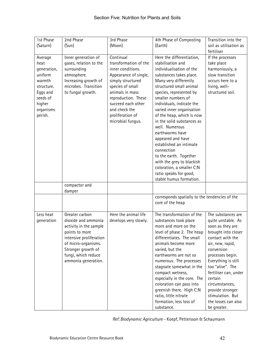| 1st Phase<br>(Saturn)                                                                                                       | 2nd Phase<br>(Sun)                                                                                                                                                                                      | 3rd Phase<br>(Moon)                                                                                                                                                                                                                                 | 4th Phase of Composting<br>(Earth)                                                                                                                                                                                                                                                                                                                                                                                                                                                                                                                                          | Transition into the<br>soil as utilisation as                                                                                                                                                                                                                                                                                                |
|-----------------------------------------------------------------------------------------------------------------------------|---------------------------------------------------------------------------------------------------------------------------------------------------------------------------------------------------------|-----------------------------------------------------------------------------------------------------------------------------------------------------------------------------------------------------------------------------------------------------|-----------------------------------------------------------------------------------------------------------------------------------------------------------------------------------------------------------------------------------------------------------------------------------------------------------------------------------------------------------------------------------------------------------------------------------------------------------------------------------------------------------------------------------------------------------------------------|----------------------------------------------------------------------------------------------------------------------------------------------------------------------------------------------------------------------------------------------------------------------------------------------------------------------------------------------|
|                                                                                                                             |                                                                                                                                                                                                         |                                                                                                                                                                                                                                                     |                                                                                                                                                                                                                                                                                                                                                                                                                                                                                                                                                                             | fertiliser                                                                                                                                                                                                                                                                                                                                   |
| Average<br>heat<br>generation,<br>uniform<br>warmth<br>structure.<br>Eggs and<br>seeds of<br>higher<br>organisms<br>perish. | Inner generation of<br>gases, relation to the<br>surrounding<br>atmosphere.<br>Increasing growth of<br>microbes. Transition<br>to fungal growth.                                                        | Continual<br>transformation of the<br>inner conditions.<br>Appearance of single,<br>simply structured<br>species of small<br>animals in mass<br>reproduction. These<br>succeed each other<br>and check the<br>proliferation of<br>microbial fungus. | Here the differentiation,<br>stabilisation and<br>individualisation of the<br>substances takes place.<br>Many very differently<br>structured small animal<br>species, represented by<br>smaller numbers of<br>individuals, indicate the<br>varied inner organisation<br>of the heap, which is now<br>in the solid substances as<br>well. Numerous<br>earthworms have<br>appeared and have<br>established an intimate<br>connection<br>to the earth. Together<br>with the grey to blackish<br>coloration, a smaller C:N<br>ratio speaks for good,<br>stable humus formation. | If the processes<br>take place<br>harmoniously, a<br>slow transition<br>occurs here to a<br>living, well-<br>structured soil.                                                                                                                                                                                                                |
|                                                                                                                             | compactor and<br>damper                                                                                                                                                                                 |                                                                                                                                                                                                                                                     |                                                                                                                                                                                                                                                                                                                                                                                                                                                                                                                                                                             |                                                                                                                                                                                                                                                                                                                                              |
|                                                                                                                             |                                                                                                                                                                                                         |                                                                                                                                                                                                                                                     | corresponds spatially to the tendencies of the<br>core of the heap                                                                                                                                                                                                                                                                                                                                                                                                                                                                                                          |                                                                                                                                                                                                                                                                                                                                              |
| Less heat<br>generation                                                                                                     | Greater carbon<br>dioxide and ammonia<br>activity in the sample<br>points to more<br>intensive proliferation<br>of micro-organisms.<br>Stronger growth of<br>fungi, which reduce<br>ammonia generation. | Here the animal life<br>develops very slowly.                                                                                                                                                                                                       | The transformation of the<br>substances took place<br>more and more on the<br>level of phase 2. The heap<br>differentiates. The small<br>animals become more<br>varied, but the<br>earthworms are not so<br>numerous. The processes<br>stagnate somewhat in the<br>compact wetness,<br>especially in the core. The<br>coloration can pass into<br>greenish there. High C:N<br>ratio, little nitrate<br>formation, less loss of<br>substance.                                                                                                                                | The substances are<br>quite unstable. As<br>soon as they are<br>brought into closer<br>contact with the<br>air, new, rapid,<br>conversion<br>processes begin.<br>Everything is still<br>too "alive". The<br>fertiliser can, under<br>certain<br>circumstances,<br>provide stronger<br>stimulation. But<br>the losses can also<br>be greater. |

Ref: Biodynamic Agriculture - Koepf, Pettersson & Schaumann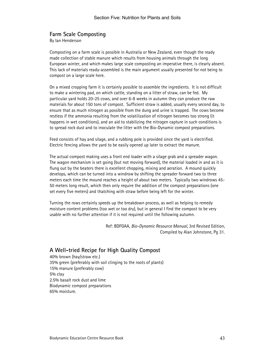## Farm Scale Composting

By Ian Henderson

Composting on a farm scale is possible in Australia or New Zealand, even though the ready made collection of stable manure which results from housing animals through the long European winter, and which makes large scale composting an imperative there, is clearly absent. This lack of materials ready-assembled is the main argument usually presented for not being to compost on a large scale here.

On a mixed cropping farm it is certainly possible to assemble the ingredients. It is not difficult to make a wintering pad, on which cattle, standing on a litter of straw, can be fed. My particular yard holds 20-25 cows, and over 6-8 weeks in autumn they can produce the raw materials for about 150 tons of compost. Sufficient straw is added, usually every second day, to ensure that as much nitrogen as possible from the dung and urine is trapped. The cows become restless if the ammonia resulting from the volatilization of nitrogen becomes too strong (it happens in wet conditions), and an aid to stabilizing the nitrogen capture in such conditions is to spread rock dust and to inoculate the litter with the Bio-Dynamic compost preparations.

Feed consists of hay and silage, and a rubbing pole is provided since the yard is electrified. Electric fencing allows the yard to be easily opened up later to extract the manure.

The actual compost making uses a front end loader with a silage grab and a spreader wagon. The wagon mechanism is set going (but not moving forward), the material loaded in and as it is flung out by the beaters there is excellent chopping, mixing and aeration. A mound quickly develops, which can be turned into a windrow by shifting the spreader forward two to three meters each time the mound reaches a height of about two meters. Typically two windrows 45- 50 meters long result, which then only require the addition of the compost preparations (one set every five meters) and thatching with straw before being left for the winter.

Turning the rows certainly speeds up the breakdown process, as well as helping to remedy moisture content problems (too wet or too dry), but in general I find the compost to be very usable with no further attention if it is not required until the following autumn.

> Ref: BDFGAA, Bio-Dynamic Resource Manual, 3rd Revised Edition, Compiled by Alan Johnstone, Pg 31.

### A Well-tried Recipe for High Quality Compost

40% brown (hay/straw etc.) 35% green (preferably with soil clinging to the roots of plants) 15% manure (preferably cow) 5% clay 2.5% basalt rock dust and lime Biodynamic compost preparations 65% moisture.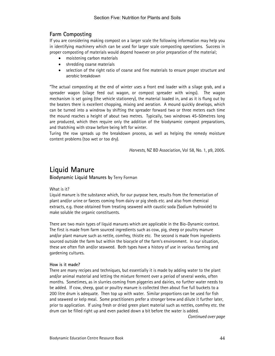## Farm Composting

If you are considering making compost on a larger scale the following information may help you in identifying machinery which can be used for larger scale composting operations. Success in proper composting of materials would depend however on prior preparation of the material;

- moistening carbon materials
- shredding coarse materials
- selection of the right ratio of coarse and fine materials to ensure proper structure and aerobic breakdown

"The actual composting at the end of winter uses a front end loader with a silage grab, and a spreader wagon (silage feed out wagon, or compost spreader with wings). The wagon mechanism is set going (the vehicle stationery), the material loaded in, and as it is flung out by the beaters there is excellent chopping, mixing and aeration. A mound quickly develops, which can be turned into a windrow by shifting the spreader forward two or three meters each time the mound reaches a height of about two metres. Typically, two windrows 45-50metres long are produced, which then require only the addition of the biodynamic compost preparations, and thatching with straw before being left for winter.

Turing the row spreads up the breakdown process, as well as helping the remedy moisture content problems (too wet or too dry).

Harvests, NZ BD Association, Vol 58, No. 1, p9, 2005.

# Liquid Manure

Biodynamic Liquid Manures by Terry Forman

### What is it?

Liquid manure is the substance which, for our purpose here, results from the fermentation of plant and/or urine or faeces coming from dairy or pig sheds etc. and also from chemical extracts, e.g. those obtained from treating seaweed with caustic soda (Sodium hydroxide) to make soluble the organic constituents.

There are two main types of liquid manures which are applicable in the Bio-Dynamic context. The first is made from farm sourced ingredients such as cow, pig, sheep or poultry manure and/or plant manure such as nettle, comfrey, thistle etc. The second is made from ingredients sourced outside the farm but within the biocycle of the farm's environment. In our situation, these are often fish and/or seaweed. Both types have a history of use in various farming and gardening cultures.

### How is it made?

There are many recipes and techniques, but essentially it is made by adding water to the plant and/or animal material and letting the mixture ferment over a period of several weeks, often months. Sometimes, as in slurries coming from piggeries and dairies, no further water needs to be added. If cow, sheep, goat or poultry manure is collected then about five full buckets to a 200 litre drum is adequate. Then top up with water. Similar proportions can be used for fish and seaweed or kelp meal. Some practitioners prefer a stronger brew and dilute it further later, prior to application. If using fresh or dried green plant material such as nettles, comfrey etc. the drum can be filled right up and even packed down a bit before the water is added.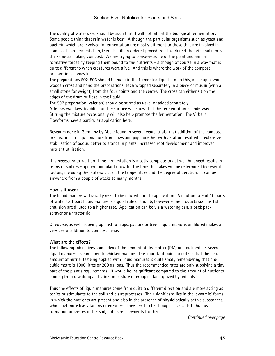### Section Five: Nutrition for Plants and Soils

The quality of water used should be such that it will not inhibit the biological fermentation. Some people think that rain water is best. Although the particular organisms such as yeast and bacteria which are involved in fermentation are mostly different to those that are involved in compost heap fermentation, there is still an ordered procedure at work and the principal aim is the same as making compost. We are trying to conserve some of the plant and animal formative forces by keeping them bound to the nutrients – although of course in a way that is quite different to when creatures were alive. And this is where the work of the compost preparations comes in.

The preparations 502-506 should be hung in the fermented liquid. To do this, make up a small wooden cross and hand the preparations, each wrapped separately in a piece of muslin (with a small stone for weight) from the four points and the centre. The cross can either sit on the edges of the drum or float in the liquid.

The 507 preparation (valerian) should be stirred as usual or added separately. After several days, bubbling on the surface will show that the fermentation is underway. Stirring the mixture occasionally will also help promote the fermentation. The Virbella Flowforms have a particular application here.

Research done in Germany by Abele found in several years' trials, that addition of the compost preparations to liquid manure from cows and pigs together with aeration resulted in extensive stabilisation of odour, better tolerance in plants, increased root development and improved nutrient utilisation.

It is necessary to wait until the fermentation is mostly complete to get well balanced results in terms of soil development and plant growth. The time this takes will be determined by several factors, including the materials used, the temperature and the degree of aeration. It can be anywhere from a couple of weeks to many months.

#### How is it used?

The liquid manure will usually need to be diluted prior to application. A dilution rate of 10 parts of water to 1 part liquid manure is a good rule of thumb, however some products such as fish emulsion are diluted to a higher rate. Application can be via a watering can, a back pack sprayer or a tractor rig.

Of course, as well as being applied to crops, pasture or trees, liquid manure, undiluted makes a very useful addition to compost heaps.

#### What are the effects?

The following table gives some idea of the amount of dry matter (DM) and nutrients in several liquid manures as compared to chicken manure. The important point to note is that the actual amount of nutrients being applied with liquid manures is quite small, remembering that one cubic metre is 1000 litres or 200 gallons. Thus the recommended rates are only supplying a tiny part of the plant's requirements. It would be insignificant compared to the amount of nutrients coming from raw dung and urine on pasture or cropping land grazed by animals.

Thus the effects of liquid manures come from quite a different direction and are more acting as tonics or stimulants to the soil and plant processes. Their significant lies in the 'dynamic' forms in which the nutrients are present and also in the presence of physiologically active substances, which act more like vitamins or enzymes. They need to be thought of as aids to humus formation processes in the soil, not as replacements fro them.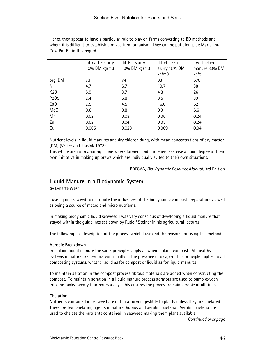Hence they appear to have a particular role to play on farms converting to BD methods and where it is difficult to establish a mixed farm organism. They can be put alongside Maria Thun Cow Pat Pit in this regard.

|                 | dil. cattle slurry | dil. Pig slurry | dil. chicken  | dry chicken   |
|-----------------|--------------------|-----------------|---------------|---------------|
|                 | 10% DM kg/m3       | 10% DM kg/m3    | slurry 15% DM | manure 80% DM |
|                 |                    |                 | kg/m3         | kg/t          |
| org. DM         | 73                 | 74              | 98            | 570           |
| Ν               | 4.7                | 6.7             | 10.7          | 38            |
| K20             | 5.9                | 3.7             | 4.8           | 26            |
| P205            | 2.4                | 5.8             | 9.5           | 39            |
| Ca <sub>O</sub> | 2.5                | 4.5             | 16.0          | 52            |
| Mg <sub>0</sub> | 0.6                | 0.8             | 0.9           | 6.6           |
| Mn              | 0.02               | 0.03            | 0.06          | 0.24          |
| Zn              | 0.02               | 0.04            | 0.05          | 0.24          |
| Cu              | 0.005              | 0.028           | 0.009         | 0.04          |

Nutrient levels in liquid manures and dry chicken dung, with mean concentrations of dry matter (DM) (Vetter and Klasink 1973)

This whole area of manuring is one where farmers and gardeners exercise a good degree of their own initiative in making up brews which are individually suited to their own situations.

BDFGAA, Bio-Dynamic Resource Manual, 3rd Edition

### Liquid Manure in a Biodynamic System

by Lynette West

I use liquid seaweed to distribute the influences of the biodynamic compost preparations as well as being a source of macro and micro nutrients.

In making biodynamic liquid seaweed I was very conscious of developing a liquid manure that stayed within the guidelines set down by Rudolf Steiner in his agricultural lectures.

The following is a description of the process which I use and the reasons for using this method.

### Aerobic Breakdown

In making liquid manure the same principles apply as when making compost. All healthy systems in nature are aerobic, continually in the presence of oxygen. This principle applies to all composting systems, whether solid as for compost or liquid as for liquid manures.

To maintain aeration in the compost process fibrous materials are added when constructing the compost. To maintain aeration in a liquid manure process aerators are used to pump oxygen into the tanks twenty four hours a day. This ensures the process remain aerobic at all times

### Chelation

Nutrients contained in seaweed are not in a form digestible to plants unless they are chelated. There are two chelating agents in nature; humus and aerobic bacteria. Aerobic bacteria are used to chelate the nutrients contained in seaweed making them plant available.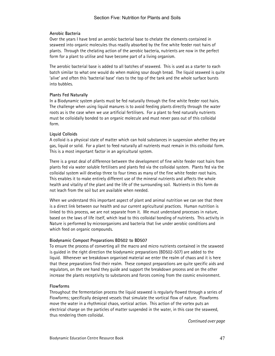### Aerobic Bacteria

Over the years I have bred an aerobic bacterial base to chelate the elements contained in seaweed into organic molecules thus readily absorbed by the fine white feeder root hairs of plants. Through the chelating action of the aerobic bacteria, nutrients are now in the perfect form for a plant to utilise and have become part of a living organism.

The aerobic bacterial base is added to all batches of seaweed. This is used as a starter to each batch similar to what one would do when making sour dough bread. The liquid seaweed is quite 'alive' and often this 'bacterial base' rises to the top of the tank and the whole surface bursts into bubbles.

### Plants Fed Naturally

In a Biodynamic system plants must be fed naturally through the fine white feeder root hairs. The challenge when using liquid manures is to avoid feeding plants directly through the water roots as is the case when we use artificial fertilisers. For a plant to feed naturally nutrients must be colloidally bonded to an organic molecule and must never pass out of this colloidal form.

### Liquid Colloids

A colloid is a physical state of matter which can hold substances in suspension whether they are gas, liquid or solid. For a plant to feed naturally all nutrients must remain in this colloidal form. This is a most important factor in an agricultural system.

There is a great deal of difference between the development of fine white feeder root hairs from plants fed via water soluble fertilisers and plants fed via the colloidal system. Plants fed via the colloidal system will develop three to four times as many of the fine white feeder root hairs. This enables it to make entirely different use of the mineral nutrients and affects the whole health and vitality of the plant and the life of the surrounding soil. Nutrients in this form do not leach from the soil but are available when needed.

When we understand this important aspect of plant and animal nutrition we can see that there is a direct link between our health and our current agricultural practices. Human nutrition is linked to this process, we are not separate from it. We must understand processes in nature, based on the laws of life itself, which lead to this colloidal bonding of nutrients. This activity in Nature is performed by microorganisms and bacteria that live under aerobic conditions and which feed on organic compounds.

### Biodynamic Compost Preparations BD502 to BD507

To ensure the process of converting all the macro and micro nutrients contained in the seaweed is guided in the right direction the biodynamic preparations (BD502-507) are added to the liquid. Whenever we breakdown organised material we enter the realm of chaos and it is here that these preparations find their realm. These compost preparations are quite specific aids and regulators, on the one hand they guide and support the breakdown process and on the other increase the plants receptivity to substances and forces coming from the cosmic environment.

### Flowforms

Throughout the fermentation process the liquid seaweed is regularly flowed through a series of Flowforms; specifically designed vessels that simulate the vortical flow of nature. Flowforms move the water in a rhythmical chaos, vortical action. This action of the vortex puts an electrical charge on the particles of matter suspended in the water, in this case the seaweed, thus rendering them colloidal.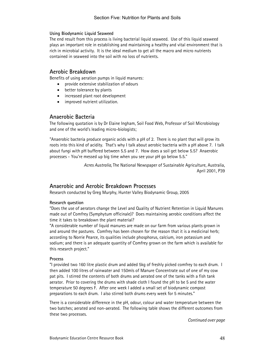### Using Biodynamic Liquid Seaweed

The end result from this process is living bacterial liquid seaweed. Use of this liquid seaweed plays an important role in establishing and maintaining a healthy and vital environment that is rich in microbial activity. It is the ideal medium to get all the macro and micro nutrients contained in seaweed into the soil with no loss of nutrients.

### Aerobic Breakdown

Benefits of using aeration pumps in liquid manures:

- provide extensive stabilization of odours
- better tolerance by plants
- increased plant root development
- improved nutrient utilization.

### Anaerobic Bacteria

The following quotation is by Dr Elaine Ingham, Soil Food Web, Professor of Soil Microbiology and one of the world's leading micro-biologists;

"Anaerobic bacteria produce organic acids with a pH of 2. There is no plant that will grow its roots into this kind of acidity. That's why I talk about aerobic bacteria with a pH above 7. I talk about fungi with pH buffered between 5.5 and 7. How does a soil get below 5.5? Anaerobic processes - You're messed up big time when you see your pH go below 5.5."

> Acres Australia, The National Newspaper of Sustainable Agriculture, Australia, April 2001, P39

### Anaerobic and Aerobic Breakdown Processes

Research conducted by Greg Murphy, Hunter Valley Biodynamic Group, 2005

### Research question

"Does the use of aerators change the Level and Quality of Nutrient Retention in Liquid Manures made out of Comfrey (Symphytum officinale)? Does maintaining aerobic conditions affect the time it takes to breakdown the plant material?

"A considerable number of liquid manures are made on our farm from various plants grown in and around the pastures. Comfrey has been chosen for the reason that it is a medicinal herb; according to Norrie Pearce, its qualities include phosphorus, calcium, iron potassium and sodium; and there is an adequate quantity of Comfrey grown on the farm which is available for this research project."

### Process

"I provided two 160 litre plastic drum and added 5kg of freshly picked comfrey to each drum. I then added 100 litres of rainwater and 150mls of Manure Concentrate out of one of my cow pat pits. I stirred the contents of both drums and aerated one of the tanks with a fish tank aerator. Prior to covering the drums with shade cloth I found the pH to be 5 and the water temperature 50 degrees F. After one week I added a small set of biodynamic compost preparations to each drum. I also stirred both drums every week for 5 minutes."

There is a considerable difference in the pH, odour, colour and water temperature between the two batches; aerated and non-aerated. The following table shows the different outcomes from these two processes.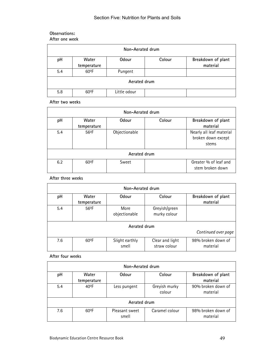### Observations: After one week

|     |                      | Non-Aerated drum |        |                                |  |
|-----|----------------------|------------------|--------|--------------------------------|--|
| pH  | Water<br>temperature | Odour            | Colour | Breakdown of plant<br>material |  |
| 5.4 | $60^{\circ}F$        | Pungent          |        |                                |  |
|     | Aerated drum         |                  |        |                                |  |
| 5.8 | $60^{\circ}F$        | Little odour     |        |                                |  |

### After two weeks

|     |                             | Non-Aerated drum |        |                                                         |
|-----|-----------------------------|------------------|--------|---------------------------------------------------------|
| рH  | <b>Water</b><br>temperature | Odour            | Colour | Breakdown of plant<br>material                          |
| 5.4 | 56 <sup>°</sup> F           | Objectionable    |        | Nearly all leaf material<br>broken down except<br>stems |
|     |                             | Aerated drum     |        |                                                         |
| 6.2 | $60^{\circ}F$               | Sweet            |        | Greater % of leaf and<br>stem broken down               |

### After three weeks

|     | Non-Aerated drum     |                         |                                 |                                |  |  |
|-----|----------------------|-------------------------|---------------------------------|--------------------------------|--|--|
| pH  | Water<br>temperature | Odour                   | Colour                          | Breakdown of plant<br>material |  |  |
| 5.4 | $56^{\circ}F$        | More<br>objectionable   | Greyish/green<br>murky colour   |                                |  |  |
|     |                      | Aerated drum            |                                 |                                |  |  |
|     |                      |                         |                                 | Continued over page            |  |  |
| 7.6 | $60^{\circ}$ F       | Slight earthly<br>smell | Clear and light<br>straw colour | 98% broken down of<br>material |  |  |

### After four weeks

|     |                      | Non-Aerated drum        |                         |                                |  |
|-----|----------------------|-------------------------|-------------------------|--------------------------------|--|
| pH  | Water<br>temperature | Odour                   | Colour                  | Breakdown of plant<br>material |  |
| 5.4 | $40^{\circ}$ F       | Less pungent            | Greyish murky<br>colour | 90% broken down of<br>material |  |
|     | Aerated drum         |                         |                         |                                |  |
| 7.6 | $60^{\circ}$ F       | Pleasant sweet<br>smell | Caramel colour          | 98% broken down of<br>material |  |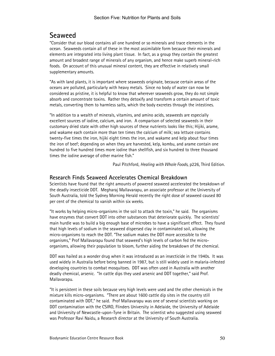# Seaweed

"Consider that our blood contains all one hundred or so minerals and trace elements in the ocean. Seaweeds contain all of these in the most assimilable form because their minerals and elements are integrated into living plant tissue. In fact, as a group they contain the greatest amount and broadest range of minerals of any organism, and hence make superb mineral-rich foods. On account of this unusual mineral content, they are effective in relatively small supplementary amounts.

"As with land plants, it is important where seaweeds originate, because certain areas of the oceans are polluted, particularly with heavy metals. Since no body of water can now be considered as pristine, it is helpful to know that wherever seaweeds grow, they do not simple absorb and concentrate toxins. Rather they detoxify and transform a certain amount of toxic metals, converting them to harmless salts, which the body excretes through the intestines.

"In addition to a wealth of minerals, vitamins, and amino acids, seaweeds are especially excellent sources of iodine, calcium, and iron. A comparison of selected seaweeds in their customary dried state with other high sources of these nutrients looks like this; Hijiki, arame, and wakame each contain more than ten times the calcium of milk; sea lettuce contains twenty-five times the iron, hijiki eight times the iron, and wakame and kelp about four times the iron of beef; depending on when they are harvested, kelp, kombu, and arame contain one hundred to five hundred times more iodine than shellfish, and six hundred to three thousand times the iodine average of other marine fish."

Paul Pitchford, Healing with Whole Foods, p226, Third Edition.

### Research Finds Seaweed Accelerates Chemical Breakdown

Scientists have found that the right amounts of powered seaweed accelerated the breakdown of the deadly insecticide DDT. Megharaj Mallavarapu, an associate professor at the University of South Australia, told the Sydney Morning Herald recently the right dose of seaweed caused 80 per cent of the chemical to vanish within six weeks.

"It works by helping micro-organisms in the soil to attack the toxin," he said. The organisms have enzymes that convert DDT into other substances that deteriorate quickly. The scientists' main hurdle was to build a big enough base of microbes to have a significant effect. They found that high levels of sodium in the seaweed dispersed clay in contaminated soil, allowing the micro-organisms to reach the DDT. "The sodium makes the DDT more accessible to the organisms," Prof Mallavarapu found that seaweed's high levels of carbon fed the microorganisms, allowing their population to bloom, further aiding the breakdown of the chemical.

DDT was hailed as a wonder drug when it was introduced as an insecticide in the 1940s. It was used widely in Australia before being banned in 1987, but is still widely used in malaria-infested developing countries to combat mosquitoes. DDT was often used in Australia with another deadly chemical, arsenic. "In cattle dips they used arsenic and DDT together," said Prof. Mallavarapu.

"It is persistent in these soils because very high levels were used and the other chemicals in the mixture kills micro-organisms. "There are about 1600 cattle dip sites in the country still contaminated with DDT," he said. Prof Mallavarapu was one of several scientists working on DDT contamination with the CSIRO, Flinders University in Adelaide, the University of Adelaide and University of Newcastle-upon-Tyne in Britain. The scientist who suggested using seaweed was Professor Ravi Naidu, a Research director at the University of South Australia.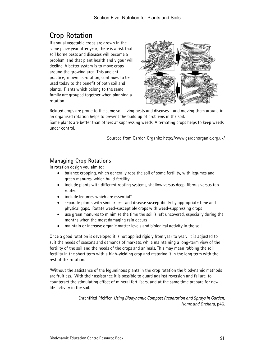# Crop Rotation

If annual vegetable crops are grown in the same place year after year, there is a risk that soil borne pests and diseases will become a problem, and that plant health and vigour will decline. A better system is to move crops around the growing area. This ancient practice, known as rotation, continues to be used today to the benefit of both soil and plants. Plants which belong to the same family are grouped together when planning a rotation.



Related crops are prone to the same soil-living pests and diseases - and moving them around in an organised rotation helps to prevent the build up of problems in the soil.

Some plants are better than others at suppressing weeds. Alternating crops helps to keep weeds under control.

Sourced from Garden Organic: http://www.gardenorganic.org.uk/

## Managing Crop Rotations

In rotation design you aim to:

- balance cropping, which generally robs the soil of some fertility, with legumes and green manures, which build fertility
- include plants with different rooting systems, shallow versus deep, fibrous versus taprooted
- include legumes which are essential\*
- separate plants with similar pest and disease susceptibility by appropriate time and physical gaps. Rotate weed-susceptible crops with weed-suppressing crops
- use green manures to minimise the time the soil is left uncovered, especially during the months when the most damaging rain occurs
- maintain or increase organic matter levels and biological activity in the soil.

Once a good rotation is developed it is not applied rigidly from year to year. It is adjusted to suit the needs of seasons and demands of markets, while maintaining a long-term view of the fertility of the soil and the needs of the crops and animals. This may mean robbing the soil fertility in the short term with a high-yielding crop and restoring it in the long term with the rest of the rotation.

\*Without the assistance of the leguminous plants in the crop rotation the biodynamic methods are fruitless. With their assistance it is possible to guard against reversion and failure, to counteract the stimulating effect of mineral fertilisers, and at the same time prepare for new life activity in the soil.

> Ehrenfried Pfeiffer, Using Biodynamic Compost Preparation and Sprays in Garden, Home and Orchard, p46.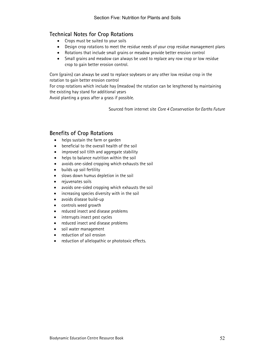# Technical Notes for Crop Rotations

- Crops must be suited to your soils
- Design crop rotations to meet the residue needs of your crop residue management plans
- Rotations that include small grains or meadow provide better erosion control
- Small grains and meadow can always be used to replace any row crop or low residue crop to gain better erosion control.

Corn (grains) can always be used to replace soybeans or any other low residue crop in the rotation to gain better erosion control

For crop rotations which include hay (meadow) the rotation can be lengthened by maintaining the existing hay stand for additional years

Avoid planting a grass after a grass if possible.

Sourced from internet site Core 4 Conservation for Earths Future

## Benefits of Crop Rotations

- helps sustain the farm or garden
- beneficial to the overall health of the soil
- improved soil tilth and aggregate stability
- helps to balance nutrition within the soil
- avoids one-sided cropping which exhausts the soil
- builds up soil fertility
- slows down humus depletion in the soil
- rejuvenates soils
- avoids one-sided cropping which exhausts the soil
- increasing species diversity with in the soil
- avoids disease build-up
- controls weed growth
- reduced insect and disease problems
- interrupts insect pest cycles
- reduced insect and disease problems
- soil water management
- reduction of soil erosion
- reduction of allelopathic or phototoxic effects.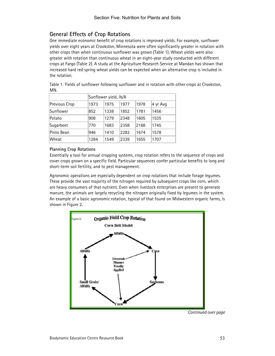# General Effects of Crop Rotations

One immediate economic benefit of crop rotations is improved yields. For example, sunflower yields over eight years at Crookston, Minnesota were often significantly greater in rotation with other crops than when continuous sunflower was grown (Table 1). Wheat yields were also greater with rotation than continuous wheat in an eight-year study conducted with different crops at Fargo (Table 2). A study at the Agriculture Research Service at Mandan has shown that increased hard red spring wheat yields can be expected when an alternative crop is included in the rotation.

|               | Sunflower yield, lb/A |      |      |      |          |
|---------------|-----------------------|------|------|------|----------|
| Previous Crop | 1973                  | 1975 | 1977 | 1978 | 4 yr Avg |
| Sunflower     | 852                   | 1338 | 1852 | 1781 | 1456     |
| Potato        | 908                   | 1279 | 2348 | 1605 | 1535     |
| Sugarbeet     | 770                   | 1683 | 2358 | 2168 | 1745     |
| Pinto Bean    | 946                   | 1410 | 2282 | 1674 | 1578     |
| Wheat         | 1284                  | 1549 | 2339 | 1655 | 1707     |

Table 1. Yields of sunflower following sunflower and in rotation with other crops at Crookston, MN.

### Planning Crop Rotations

Essentially a tool for annual cropping systems, crop rotation refers to the sequence of crops and cover crops grown on a specific field. Particular sequences confer particular benefits to long and short-term soil fertility, and to pest management.

Agronomic operations are especially dependent on crop rotations that include forage legumes. These provide the vast majority of the nitrogen required by subsequent crops like corn, which are heavy consumers of that nutrient. Even when livestock enterprises are present to generate manure, the animals are largely recycling the nitrogen originally fixed by legumes in the system. An example of a basic agronomic rotation, typical of that found on Midwestern organic farms, is shown in Figure 2.

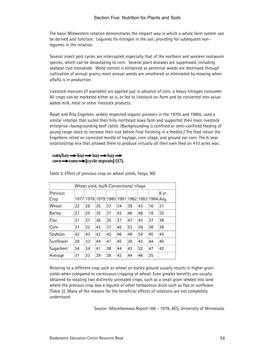The basic Midwestern rotation demonstrates the elegant way in which a whole farm system can be derived and function: Legumes fix nitrogen in the soil, providing for subsequent nonlegumes in the rotation.

Several insect pest cycles are interrupted, especially that of the northern and western rootworm species, which can be devastating to corn. Several plant diseases are suppressed, including soybean cyst nematode. Weed control is enhanced as perennial weeds are destroyed through cultivation of annual grains; most annual weeds are smothered or eliminated by mowing when alfalfa is in production.

Livestock manures (if available) are applied just in advance of corn, a heavy nitrogen consumer. All crops can be marketed either as is, or fed to livestock on-farm and be converted into valueadded milk, meat or other livestock products.

Ralph and Rita Engelken, widely respected organic pioneers in the 1970s and 1980s, used a similar rotation that suited their hilly northeast Iowa farm and supported their main livestock enterprise—backgrounding beef cattle. (Backgrounding is confined or semi-confined feeding of young range stock to increase their size before final finishing in a feedlot.) The feed ration the Engelkens relied on consisted mostly of haylage, corn silage, and ground ear corn. The 6-year rotation/crop mix that allowed them to produce virtually all their own feed on 410 acres was:

### $\alpha$ ats/hav  $\rightarrow$  hav  $\rightarrow$  hav  $\rightarrow$  hav  $\rightarrow$ corn->corn->[cycle repeats] (17).

|           |    | Wheat yield, bu/A-Conventional tillage |    |    |    |    |    |      |       |
|-----------|----|----------------------------------------|----|----|----|----|----|------|-------|
| Previous  |    |                                        |    |    |    |    |    |      | 8 yr. |
| Crop      |    | 1977 1978 1979 1980 1981 1982 1983     |    |    |    |    |    | 1984 | Avg.  |
| Wheat     | 22 | 26                                     | 35 | 37 | 34 | 39 | 43 | 16   | 31    |
| Barley    | 27 | 25                                     | 35 | 37 | 42 | 46 | 48 | 18   | 35    |
| Flax      | 31 | 37                                     | 36 | 35 | 37 | 47 | 43 | 37   | 38    |
| Corn      | 31 | 32                                     | 43 | 37 | 45 | 53 | 39 | 38   | 38    |
| Soybean   | 42 | 43                                     | 42 | 42 | 46 | 49 | 54 | 45   | 45    |
| Sunflower | 29 | 33                                     | 44 | 41 | 45 | 39 | 43 | 44   | 40    |
| Sugarbeet | 34 | 34                                     | 41 | 38 | 44 | 43 | 52 | 47   | 42    |
| Average   | 31 | 33                                     | 39 | 38 | 42 | 44 | 46 | 35   |       |

Table 2. Effect of previous crop on wheat yields, Fargo, ND

Rotating to a different crop such as wheat on barley ground usually results in higher grain yields when compared to continuous cropping of wheat. Even greater benefits are usually obtained by rotating two distinctly unrelated crops, such as a small grain seeded into land where the previous crop was a legume or other herbaceous dicot such as flax or sunflower (Table 2). Many of the reasons for the beneficial effects of rotations are not completely understood.

Source: Miscellaneous Report 166 - 1979, AES, University of Minnesota.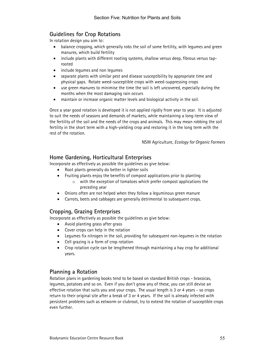# Guidelines for Crop Rotations

In rotation design you aim to:

- balance cropping, which generally robs the soil of some fertility, with legumes and green manures, which build fertility
- include plants with different rooting systems, shallow versus deep, fibrous versus taprooted
- include legumes and non legumes
- separate plants with similar pest and disease susceptibility by appropriate time and physical gaps. Rotate weed-susceptible crops with weed-suppressing crops
- use green manures to minimise the time the soil is left uncovered, especially during the months when the most damaging rain occurs
- maintain or increase organic matter levels and biological activity in the soil.

Once a year good rotation is developed it is not applied rigidly from year to year. It is adjusted to suit the needs of seasons and demands of markets, while maintaining a long-term view of the fertility of the soil and the needs of the crops and animals. This may mean robbing the soil fertility in the short term with a high-yielding crop and restoring it in the long term with the rest of the rotation.

NSW Agriculture, Ecology for Organic Farmers

## Home Gardening, Horticultural Enterprises

Incorporate as effectively as possible the guidelines as give below:

- Root plants generally do better in lighter soils
- Fruiting plants enjoy the benefits of compost applications prior to planting
	- o with the exception of tomatoes which prefer compost applications the preceding year
- Onions often are not helped when they follow a leguminous green manure
- Carrots, beets and cabbages are generally detrimental to subsequent crops.

## Cropping, Grazing Enterprises

Incorporate as effectively as possible the guidelines as give below:

- Avoid planting grass after grass
- Cover crops can help in the rotation
- Legumes fix nitrogen in the soil, providing for subsequent non-legumes in the rotation
- Cell grazing is a form of crop rotation
- Crop rotation cycle can be lengthened through maintaining a hay crop for additional years.

## Planning a Rotation

Rotation plans in gardening books tend to be based on standard British crops - brassicas, legumes, potatoes and so on. Even if you don't grow any of these, you can still devise an effective rotation that suits you and your crops. The usual length is 3 or 4 years - so crops return to their original site after a break of 3 or 4 years. If the soil is already infected with persistent problems such as eelworm or clubroot, try to extend the rotation of susceptible crops even further.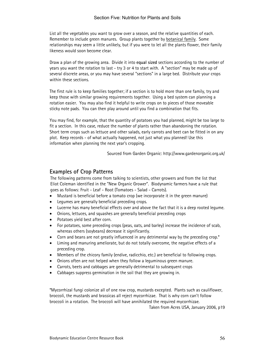List all the vegetables you want to grow over a season, and the relative quantities of each. Remember to include green manures. Group plants together by botanical family. Some relationships may seem a little unlikely, but if you were to let all the plants flower, their family likeness would soon become clear.

Draw a plan of the growing area. Divide it into equal sized sections according to the number of years you want the rotation to last - try 3 or 4 to start with. A "section" may be made up of several discrete areas, or you may have several "sections" in a large bed. Distribute your crops within these sections.

The first rule is to keep families together; if a section is to hold more than one family, try and keep those with similar growing requirements together. Using a bed system can planning a rotation easier. You may also find it helpful to write crops on to pieces of those moveable sticky note pads. You can then play around until you find a combination that fits.

You may find, for example, that the quantity of potatoes you had planned, might be too large to fit a section. In this case, reduce the number of plants rather than abandoning the rotation. Short term crops such as lettuce and other salads, early carrots and beet can be fitted in on any plot. Keep records - of what actually happened, not just what you planned! Use this information when planning the next year's cropping.

Sourced from Garden Organic: http://www.gardenorganic.org.uk/

### Examples of Crop Patterns

The following patterns come from talking to scientists, other growers and from the list that Eliot Coleman identified in the "New Organic Grower". Biodynamic farmers have a rule that goes as follows: Fruit - Leaf - Root (Tomatoes - Salad - Carrots).

- Mustard is beneficial before a tomato crop (we incorporate it in the green manure)
- Legumes are generally beneficial preceding crops.
- Lucerne has many beneficial effects over and above the fact that it is a deep rooted legume.
- Onions, lettuces, and squashes are generally beneficial preceding crops
- Potatoes yield best after corn.
- For potatoes, some preceding crops (peas, oats, and barley) increase the incidence of scab, whereas others (soybeans) decrease it significantly.
- Corn and beans are not greatly influenced in any detrimental way by the preceding crop.\*
- Liming and manuring ameliorate, but do not totally overcome, the negative effects of a preceding crop.
- Members of the chicory family (endive, radicchio, etc.) are beneficial to following crops.
- Onions often are not helped when they follow a leguminous green manure.
- Carrots, beets and cabbages are generally detrimental to subsequent crops
- Cabbages suppress germination in the soil that they are growing in.

\*Mycorrhizal fungi colonize all of one row crop, mustards excepted. Plants such as cauliflower, broccoli, the mustards and brassicas all reject mycorrhizae. That is why corn can't follow broccoli in a rotation. The broccoli will have annihilated the required mycorrhizae.

Taken from Acres USA, January 2006, p19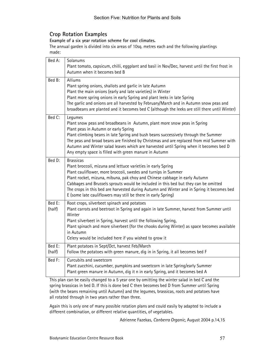# Crop Rotation Examples

Example of a six year rotation scheme for cool climates.

The annual garden is divided into six areas of 10sq. metres each and the following plantings made:

| Bed A:           | Solanums<br>Plant tomato, capsicum, chilli, eggplant and basil in Nov/Dec, harvest until the first frost in<br>Autumn when it becomes bed B                                                                                                                                                                                                                                                                                                                                           |
|------------------|---------------------------------------------------------------------------------------------------------------------------------------------------------------------------------------------------------------------------------------------------------------------------------------------------------------------------------------------------------------------------------------------------------------------------------------------------------------------------------------|
| Bed B:           | <b>Alliums</b><br>Plant spring onions, shallots and garlic in late Autumn<br>Plant the main onions (early and late varieties) in Winter<br>Plant more spring onions in early Spring and plant leeks in late Spring<br>The garlic and onions are all harvested by February/March and in Autumn snow peas and<br>broadbeans are planted and it becomes bed C (although the leeks are still there until Winter)                                                                          |
| Bed C:           | Legumes<br>Plant snow peas and broadbeans in Autumn, plant more snow peas in Spring<br>Plant peas in Autumn or early Spring<br>Plant climbing beans in late Spring and bush beans successively through the Summer<br>The peas and broad beans are finished by Christmas and are replaced from mid Summer with<br>Autumn and Winter salad leaves which are harvested until Spring when it becomes bed D<br>Any empty space is filled with green manure in Autumn                       |
| Bed D:           | <b>Brassicas</b><br>Plant broccoli, mizuna and lettuce varieties in early Spring<br>Plant cauliflower, more broccoli, swedes and turnips in Summer<br>Plant rocket, mizuna, mibuna, pak choy and Chinese cabbage in early Autumn<br>Cabbages and Brussels sprouts would be included in this bed but they can be omitted<br>The crops in this bed are harvested during Autumn and Winter and in Spring it becomes bed<br>E (some late cauliflowers may still be there in early Spring) |
| Bed E:<br>(half) | Root crops, silverbeet spinach and potatoes<br>Plant carrots and beetroot in Spring and again in late Summer, harvest from Summer until<br>Winter<br>Plant silverbeet in Spring, harvest until the following Spring,<br>Plant spinach and more silverbeet (for the chooks during Winter) as space becomes available<br>in Autumn<br>Celery would be included here if you wished to grow it                                                                                            |
| Bed E:<br>(half) | Plant potatoes in Sept/Oct, harvest Feb/March<br>Follow the potatoes with green manure, dig in in Spring, it all becomes bed F                                                                                                                                                                                                                                                                                                                                                        |
| Bed F:           | Curcubits and sweetcorn<br>Plant zucchini, cucumber, pumpkins and sweetcorn in late Spring/early Summer<br>Plant green manure in Autumn, dig it n in early Spring, and it becomes bed A                                                                                                                                                                                                                                                                                               |

This plan can be easily changed to a 5 year one by omitting the winter salad in bed C and the spring brassicas in bed D. If this is done bed C then becomes bed D from Summer until Spring (with the beans remaining until Autumn) and the legumes, brassicas, roots and potatoes have all rotated through in two years rather than three.

Again this is only one of many possible rotation plans and could easily by adapted to include a different combination, or different relative quantities, of vegetables.

Adrienne Fazekas, Canberra Organic, August 2004 p.14,15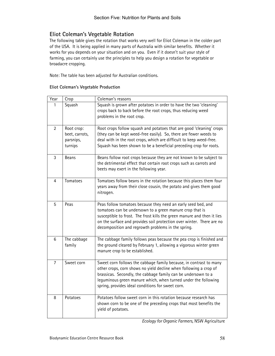# Eliot Coleman's Vegetable Rotation

The following table gives the rotation that works very well for Eliot Coleman in the colder part of the USA. It is being applied in many parts of Australia with similar benefits. Whether it works for you depends on your situation and on you. Even if it doesn't suit your style of farming, you can certainly use the principles to help you design a rotation for vegetable or broadacre cropping.

Note: The table has been adjusted for Australian conditions.

| Eliot Coleman's Vegetable Production |  |
|--------------------------------------|--|
|--------------------------------------|--|

| Year           | Crop                                                 | Coleman's reasons                                                                                                                                                                                                                                                                                                                   |
|----------------|------------------------------------------------------|-------------------------------------------------------------------------------------------------------------------------------------------------------------------------------------------------------------------------------------------------------------------------------------------------------------------------------------|
| 1              | Squash                                               | Squash is grown after potatoes in order to have the two 'cleaning'<br>crops back to back before the root crops, thus reducing weed<br>problems in the root crop.                                                                                                                                                                    |
| $\overline{2}$ | Root crop:<br>beet, carrots,<br>parsnips,<br>turnips | Root crops follow squash and potatoes that are good 'cleaning' crops<br>(they can be kept weed-free easily). So, there are fewer weeds to<br>deal with in the root crops, which are difficult to keep weed-free.<br>Squash has been shown to be a beneficial preceding crop for roots.                                              |
| 3              | <b>Beans</b>                                         | Beans follow root crops because they are not known to be subject to<br>the detrimental effect that certain root crops such as carrots and<br>beets may exert in the following year.                                                                                                                                                 |
| $\overline{4}$ | Tomatoes                                             | Tomatoes follow beans in the rotation because this places them four<br>years away from their close cousin, the potato and gives them good<br>nitrogen.                                                                                                                                                                              |
| 5              | Peas                                                 | Peas follow tomatoes because they need an early seed bed, and<br>tomatoes can be undersown to a green manure crop that is<br>susceptible to frost. The frost kills the green manure and then it lies<br>on the surface and provides soil protection over winter. There are no<br>decomposition and regrowth problems in the spring. |
| 6              | The cabbage<br>family                                | The cabbage family follows peas because the pea crop is finished and<br>the ground cleared by February 1, allowing a vigorous winter green<br>manure crop to be established.                                                                                                                                                        |
| $\overline{7}$ | Sweet corn                                           | Sweet corn follows the cabbage family because, in contrast to many<br>other crops, corn shows no yield decline when following a crop of<br>brassicas. Secondly, the cabbage family can be undersown to a<br>leguminous green manure which, when turned under the following<br>spring, provides ideal conditions for sweet corn.     |
| 8              | Potatoes                                             | Potatoes follow sweet corn in this rotation because research has<br>shown corn to be one of the preceding crops that most benefits the<br>yield of potatoes.                                                                                                                                                                        |

Ecology for Organic Farmers, NSW Agriculture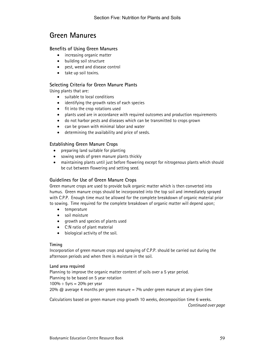# Green Manures

### Benefits of Using Green Manures

- increasing organic matter
- building soil structure
- pest, weed and disease control
- take up soil toxins.

### Selecting Criteria for Green Manure Plants

Using plants that are:

- suitable to local conditions
- identifying the growth rates of each species
- fit into the crop rotations used
- plants used are in accordance with required outcomes and production requirements
- do not harbor pests and diseases which can be transmitted to crops grown
- can be grown with minimal labor and water
- determining the availability and price of seeds.

### Establishing Green Manure Crops

- preparing land suitable for planting
- sowing seeds of green manure plants thickly
- maintaining plants until just before flowering except for nitrogenous plants which should be cut between flowering and setting seed.

### Guidelines for Use of Green Manure Crops

Green manure crops are used to provide bulk organic matter which is then converted into humus. Green manure crops should be incorporated into the top soil and immediately sprayed with C.P.P. Enough time must be allowed for the complete breakdown of organic material prior to sowing. Time required for the complete breakdown of organic matter will depend upon;

- temperature
- soil moisture
- growth and species of plants used
- C:N ratio of plant material
- biological activity of the soil.

### Timing

Incorporation of green manure crops and spraying of C.P.P. should be carried out during the afternoon periods and when there is moisture in the soil.

### Land area required

Planning to improve the organic matter content of soils over a 5 year period. Planning to be based on 5 year rotation  $100\% \div 5y$ rs = 20% per year 20% @ average 4 months per green manure = 7% under green manure at any given time

Calculations based on green manure crop growth 10 weeks, decomposition time 6 weeks.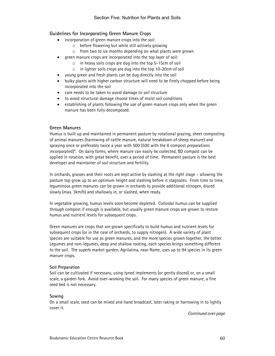### Guidelines for Incorporating Green Manure Crops

- incorporation of green manure crops into the soil:
	- o before flowering but while still actively growing
	- o from two to six months depending on what plants were grown
- green manure crops are incorporated into the top layer of soil:
	- o in heavy soils crops are dug into the top 5-15cm of soil
	- o in lighter soils crops are dug into the top 10-20cm of soil
- young green and fresh plants can be dug directly into the soil
- bulky plants with higher carbon structure will need to be finely chopped before being incorporated into the soil
- care needs to be taken to avoid damage to soil structure
- to avoid structural damage choose times of moist soil conditions
- establishing of plants following the use of green manure crops only when the green manure has been fully decomposed.

### Green Manures

Humus is built up and maintained in permanent pasture by rotational grazing, sheet composting of animal manures (harrowing of cattle manure, natural breakdown of sheep manure) and spraying once or preferably twice a year with 500 (500 with the 6 compost preparations incorporated)\*. On dairy farms, where manure can easily be collected, BD compost can be applied in rotation, with great benefit, over a period of time. Permanent pasture is the best developer and maintainer of soil structure and fertility.

In orchards, grasses and their roots are kept active by slashing at the right stage – allowing the pasture top grow up to an optimum height and slashing before it stagnates. From time to time, leguminous green manures can be grown in orchards to provide additional nitrogen, disced slowly (max. 3km/h) and shallowly in, or slashed, when ready.

In vegetable growing, humus levels soon become depleted. Colloidal humus can be supplied through compost if enough is available, but usually green manure crops are grown to restore humus and nutrient levels for subsequent crops.

Green manures are crops that are grown specifically to build humus and nutrient levels for subsequent crops (or in the case of orchards, to supply nitrogen). A wide variety of plant species are suitable for use as green manures, and the more species grown together, the better. Legumes and non-legumes, deep and shallow rooting, each species brings something different to the soil. The superb market garden, Agrilatina, near Rome, uses up to 94 species in its green manure crops.

### Soil Preparation

Soil can be cultivated if necessary, using tyned implements (or gently disced) or, on a small scale, a garden fork. Avoid over-working the soil. For many species of green manure, a fine seed bed is not necessary.

### Sowing

On a small scale, seed can be mixed and hand broadcast, later raking or harrowing in to lightly cover it.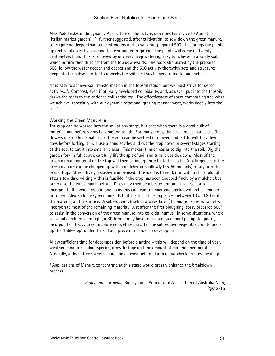Alex Podolinsky, in Biodynamic Agriculture of the Future, describes his advice to Agrilatina (Italian market garden): "I further suggested, after cultivation, to sow down the green manure, to irrigate no deeper than ten centimeters and to walk out prepared 500. This brings the plants up and is followed by a second ten centimeter irrigation. The plants will come up twenty centimeters high. This is followed by one very deep watering, easy to achieve in a sandy soil, which in turn then dries off from the top downwards. The roots stimulated by the prepared 500, follow the water deeper and deeper and the 500 activity therewith acts and structures deep into the subsoil. After four weeks the soil can thus be penetrated to one meter.

"It is easy to achieve soil transformation in the topsoil region, but we must strive for depth activity…". Compost, even if of really developed colloidality, and, as usual, put into the topsoil, draws the roots to the enriched soil at the top. The effectiveness of sheet composting and what we achieve, especially with our dynamic rotational grazing management, works deeply into the soil."

### Working the Green Manure in

The crop can be worked into the soil at any stage, but best when there is a good bulk of material, and before stems become too tough. For many crops, the best time is just as the first flowers open. On a small scale, the crop can be scythed or mowed and left to wilt for a few days before forking it in. I use a hand scythe, and cut the crop down in several stages starting at the top, to cut it into smaller pieces. This makes it much easier to dig into the soil. Dig the garden fork in full depth, carefully lift the spit of soil and turn it upside down. Most of the green manure material on the top will then be incorporated into the soil. On a larger scale, the green manure can be chopped up with a mulcher or shallowly (25-50mm only) rotary hoed to break it up. Alternatively a slasher can be used. The ideal is to work it in with a chisel plough after a few days wilting – this is feasible if the crop has been chopped finely by a mulcher, but otherwise the tynes may block up. Discs may then be a better option. It is best not to incorporate the whole crop in one go as this can lead to anaerobic breakdown and leaching of nitrogen. Alex Podolinsky recommends that the first chiseling leaves between 10 and 30% of the material on the surface. A subsequent chiseling a week later (if conditions are suitable) will incorporate most of the remaining material. Just after the first ploughing, spray prepared 500\* to assist in the conversion of the green manure into colloidal humus. In some situations, where seasonal conditions are tight, a BD farmer may have to use a mouldboard plough to quickly incorporate a heavy green manure crop, chiseling after the subsequent vegetable crop to break up the "table-top" under the soil and prevent a hard-pan developing.

Allow sufficient time for decomposition before planting – this will depend on the time of year, weather conditions, plant species, growth stage and the amount of material incorporated. Normally, at least three weeks should be allowed before planting, but check progress by digging.

\* Applications of Manure concentrate at this stage would greatly enhance the breakdown process.

> Biodynamic Growing, Bio-dynamic Agricultural Association of Australia No.5, Pgs12-15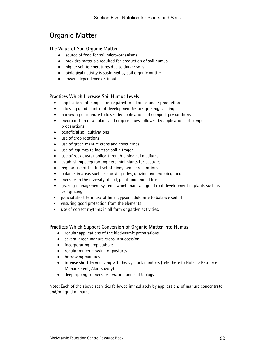# Organic Matter

### The Value of Soil Organic Matter

- source of food for soil micro-organisms
- provides materials required for production of soil humus
- higher soil temperatures due to darker soils
- biological activity is sustained by soil organic matter
- lowers dependence on inputs.

### Practices Which Increase Soil Humus Levels

- applications of compost as required to all areas under production
- allowing good plant root development before grazing/slashing
- harrowing of manure followed by applications of compost preparations
- incorporation of all plant and crop residues followed by applications of compost preparations
- beneficial soil cultivations
- use of crop rotations
- use of green manure crops and cover crops
- use of legumes to increase soil nitrogen
- use of rock dusts applied through biological mediums
- establishing deep rooting perennial plants for pastures
- regular use of the full set of biodynamic preparations
- balance in areas such as stocking rates, grazing and cropping land
- increase in the diversity of soil, plant and animal life
- grazing management systems which maintain good root development in plants such as cell grazing
- judicial short term use of lime, gypsum, dolomite to balance soil pH
- ensuring good protection from the elements
- use of correct rhythms in all farm or garden activities.

### Practices Which Support Conversion of Organic Matter into Humus

- regular applications of the biodynamic preparations
- several green manure crops in succession
- incorporating crop stubble
- regular mulch mowing of pastures
- harrowing manures
- intense short term gazing with heavy stock numbers (refer here to Holistic Resource Management; Alan Savory)
- deep ripping to increase aeration and soil biology.

Note: Each of the above activities followed immediately by applications of manure concentrate and/or liquid manures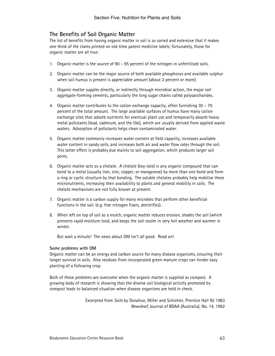## The Benefits of Soil Organic Matter

The list of benefits from having organic matter in soil is so varied and extensive that it makes one think of the clams printed on old-time patent medicine labels; fortunately, those for organic matter are all true:

- 1. Organic matter is the source of 90 95 percent of the nitrogen in unfertilised soils.
- 2. Organic matter can be the major source of both available phosphorus and available sulphur when soil humus is present is appreciable amount (about 2 percent or more).
- 3. Organic matter supples directly, or indirectly through microbial action, the major soil aggregate-forming cements, particularly the long sugar chains called polysaccharides.
- 4. Organic matter contributes to the cation exchange capacity, often furnishing 30 70 percent of the total amount. The large available surfaces of humus have many cation exchange sites that adsorb nutrients for eventual plant use and temporarily absorb heavy metal pollutants (lead, cadmium, and the like), which are usually derived from applied waste waters. Adsorption of pollutants helps clean contaminated water.
- 5. Organic matter commonly increases water content at field capacity, increases available water content in sandy soils, and increases both air and water flow rates through the soil. This latter effect is probably due mainly to soil aggregation, which produces larger soil pores.
- 6. Organic matter acts as a chelate. A chelate (key-late) is any organic compound that can bond to a metal (usually iron, zinc, copper, or manganese) by more than one bond and form a ring or cyclic structure by that bonding. The soluble chelates probably help mobilise these micronutrients, increasing their availability to plants and general mobility in soils. The chelate mechanisms are not fully known at present.
- 7. Organic matter is a carbon supply for many microbes that perform other beneficial functions in the soil. (e.g. free nitrogen fixers, denitrifies).
- 8. When left on top of soil as a mulch, organic matter reduces erosion, shades the soil (which prevents rapid moisture loss), and keeps the soil cooler in very hot weather and warmer in winter.

But wait a minute! The news about OM isn't all good. Read on!

### Some problems with OM

Organic matter can be an energy and carbon source for many disease organisms, ensuring their longer survival in soils. Also residues from incorporated green manure crops can hinder easy planting of a following crop.

Both of these problems are overcome when the organic matter is supplied as compost. A growing body of research is showing that the diverse soil biological activity promoted by compost leads to balanced situation when disease organisms are held in check.

> Excerpted from Soils by Donahue, Miller and Schickler, Prentice Hall NJ 1983 Newsleaf, Journal of BDAA (Australia), No. 14, 1992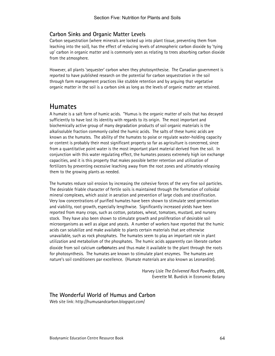## Carbon Sinks and Organic Matter Levels

Carbon sequestration (where minerals are locked up into plant tissue, preventing them from leaching into the soil), has the effect of reducing levels of atmospheric carbon dioxide by 'tying up' carbon in organic matter and is commonly seen as relating to trees absorbing carbon dioxide from the atmosphere.

However, all plants 'sequester' carbon when they photosynthesise. The Canadian government is reported to have published research on the potential for carbon sequestration in the soil through farm management practices like stubble retention and by arguing that vegetative organic matter in the soil is a carbon sink as long as the levels of organic matter are retained.

# Humates

A humate is a salt form of humic acids. "Humus is the organic matter of soils that has decayed sufficiently to have lost its identity with regards to its origin. The most important and biochemically active group of many degradation products of soil organic materials is the alkalisoluble fraction commonly called the humic acids. The salts of these humic acids are known as the humates. The ability of the humates to poise or regulate water-holding capacity or content is probably their most significant property so far as agriculture is concerned, since from a quantitative point water is the most important plant material derived from the soil. In conjunction with this water regulating effect, the humates possess extremely high ion exchange capacities, and it is this property that makes possible better retention and utilization of fertilizers by preventing excessive leaching away from the root zones and ultimately releasing them to the growing plants as needed.

The humates reduce soil erosion by increasing the cohesive forces of the very fine soil particles. The desirable friable character of fertile soils is maintained through the formation of colloidal mineral complexes, which assist in aeration and prevention of large clods and stratification. Very low concentrations of purified humates have been shown to stimulate seed germination and viability, root growth, especially lengthwise. Significantly increased yields have been reported from many crops, such as cotton, potatoes, wheat, tomatoes, mustard, and nursery stock. They have also been shown to stimulate growth and proliferation of desirable soil microorganisms as well as algae and yeasts. A number of workers have reported that the humic acids can solubilize and make available to plants certain materials that are otherwise unavailable, such as rock phosphates. The humates seem to play an important role in plant utilization and metabolism of the phosphates. The humic acids apparently can liberate carbon dioxide from soil calcium carbonates and thus make it available to the plant through the roots for photosynthesis. The humates are known to stimulate plant enzymes. The humates are nature's soil conditioners par excellence. (Humate materials are also known as Leonardite).

> Harvey Lisle The Enlivened Rock Powders, p98, Everette M. Burdick in Economic Botany

### The Wonderful World of Humus and Carbon

Web site link: http://humusandcarbon.blogspot.com/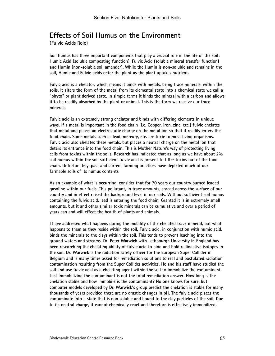# Effects of Soil Humus on the Environment

(Fulvic Acids Role)

Soil humus has three important components that play a crucial role in the life of the soil: Humic Acid (soluble composting function), Fulvic Acid (soluble mineral transfer function) and Humin (non-soluble soil amender). While the Humin is non-soluble and remains in the soil, Humic and Fulvic acids enter the plant as the plant uptakes nutrient.

Fulvic acid is a chelator, which means it binds with metals, being trace minerals, within the soils. It alters the form of the metal from its elemental state into a chemical state we call a "phyto" or plant derived state. In simple terms it binds the mineral with a carbon and allows it to be readily absorbed by the plant or animal. This is the form we receive our trace minerals.

Fulvic acid is an extremely strong chelator and binds with differing elements in unique ways. If a metal is important in the food chain (i.e. Copper, iron, zinc, etc.) fulvic chelates that metal and places an electrostatic charge on the metal ion so that it readily enters the food chain. Some metals such as lead, mercury, etc. are toxic to most living organisms. Fulvic acid also chelates these metals, but places a neutral charge on the metal ion that deters its entrance into the food chain. This is Mother Nature's way of protecting living cells from toxins within the soils. Research has indicated that as long as we have about 2% soil humus within the soil sufficient fulvic acid is present to filter toxins out of the food chain. Unfortunately, past and current farming practices have depleted much of our farmable soils of its humus contents.

As an example of what is occurring, consider that for 70 years our country burned leaded gasoline within our fuels. This pollutant, in trace amounts, spread across the surface of our country and in effect raised the background level in our soils. Without sufficient soil humus containing the fulvic acid, lead is entering the food chain. Granted it is in extremely small amounts, but it and other similar toxic minerals can be cumulative and over a period of years can and will effect the health of plants and animals.

I have addressed what happens during the mobility of the chelated trace mineral, but what happens to them as they reside within the soil. Fulvic acid, in conjunction with humic acid, binds the minerals to the clays within the soil. This tends to prevent leaching into the ground waters and streams. Dr. Peter Warwick with Lethbourgh University in England has been researching the chelating ability of fulvic acid to bind and hold radioactive isotopes in the soil. Dr. Warwick is the radiation safety officer for the European Super Collider in Belgium and is many times asked for remediation solutions to real and postulated radiation contamination resulting from the Super Collider activities. He and his staff have studied the soil and use fulvic acid as a chelating agent within the soil to immobilize the contaminant. Just immobilizing the contaminant is not the total remediation answer. How long is the chelation stable and how immobile is the contaminant? No one knows for sure, but computer models developed by Dr. Warwick's group predict the chelation is stable for many thousands of years provided there are no drastic changes in pH. The fulvic acid places the contaminate into a state that is non soluble and bound to the clay particles of the soil. Due to its neutral charge, it cannot chemically react and therefore is effectively immobilized.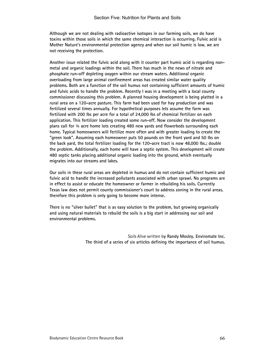Although we are not dealing with radioactive isotopes in our farming soils, we do have toxins within those soils in which the same chemical interaction is occurring. Fulvic acid is Mother Nature's environmental protection agency and when our soil humic is low, we are not receiving the protection.

Another issue related the fulvic acid along with it counter part humic acid is regarding nonmetal and organic loadings within the soil. There has much in the news of nitrate and phosphate run-off depleting oxygen within our stream waters. Additional organic overloading from large animal confinement areas has created similar water quality problems. Both are a function of the soil humus not containing sufficient amounts of humic and fulvic acids to handle the problem. Recently I was in a meeting with a local county commissioner discussing this problem. A planned housing development is being platted in a rural area on a 120-acre pasture. This farm had been used for hay production and was fertilized several times annually. For hypothetical purposes lets assume the farm was fertilized with 200 lbs per acre for a total of 24,000 lbs of chemical fertilizer on each application. This fertilizer loading created some run-off. Now consider the development plans call for ¼ acre home lots creating 480 new yards and flowerbeds surrounding each home. Typical homeowners will fertilize more often and with greater loading to create the "green look". Assuming each homeowner puts 50 pounds on the front yard and 50 lbs on the back yard, the total fertilizer loading for the 120-acre tract is now 48,000 lbs.; double the problem. Additionally, each home will have a septic system. This development will create 480 septic tanks placing additional organic loading into the ground, which eventually migrates into our streams and lakes.

Our soils in these rural areas are depleted in humus and do not contain sufficient humic and fulvic acid to handle the increased pollutants associated with urban sprawl. No programs are in effect to assist or educate the homeowner or farmer in rebuilding his soils. Currently Texas law does not permit county commissioner's court to address zoning in the rural areas, therefore this problem is only going to become more intense.

There is no "silver bullet" that is as easy solution to the problem, but growing organically and using natural materials to rebuild the soils is a big start in addressing our soil and environmental problems.

> Soils Alive written by Randy Mosley, Enviromate Inc. The third of a series of six articles defining the importance of soil humus.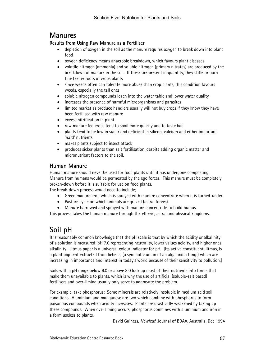# Manures

Results from Using Raw Manure as a Fertiliser

- depletion of oxygen in the soil as the manure requires oxygen to break down into plant food
- oxygen deficiency means anaerobic breakdown, which favours plant diseases
- volatile nitrogen (ammonia) and soluble nitrogen (primary nitrates) are produced by the breakdown of manure in the soil. If these are present in quantity, they stifle or burn fine feeder roots of crops plants
- since weeds often can tolerate more abuse than crop plants, this condition favours weeds, especially the tall ones
- soluble nitrogen compounds leach into the water table and lower water quality
- increases the presence of harmful microorganisms and parasites
- limited market as produce handlers usually will not buy crops if they know they have been fertilised with raw manure
- excess nitrification in plant
- raw manure fed crops tend to spoil more quickly and to taste bad
- plants tend to be low in sugar and deficient in silicon, calcium and either important 'hard' nutrients
- makes plants subject to insect attack
- produces sicker plants than salt fertilisation, despite adding organic matter and micronutrient factors to the soil.

# Human Manure

Human manure should never be used for food plants until it has undergone composting. Manure from humans would be permeated by the ego forces. This manure must be completely broken-down before it is suitable for use on food plants.

The break-down process would need to include;

- Green manure crop which is sprayed with manure concentrate when it is turned-under.
- Pasture cycle on which animals are grazed (astral forces).
- Manure harrowed and sprayed with manure concentrate to build humus.

This process takes the human manure through the etheric, astral and physical kingdoms.

# Soil pH

It is reasonably common knowledge that the pH scale is that by which the acidity or alkalinity of a solution is measured: pH 7.0 representing neutrality, lower values acidity, and higher ones alkalinity. Litmus paper is a universal colour indicator for pH. [Its active constituent, litmus, is a plant pigment extracted from lichens, (a symbiotic union of an alga and a fungi) which are increasing in importance and interest in today's world because of their sensitivity to pollution.]

Soils with a pH range below 6.0 or above 8.0 lock up most of their nutrients into forms that make them unavailable to plants, which is why the use of artificial (soluble-salt based) fertilisers and over-liming usually only serve to aggravate the problem.

For example, take phosphorus: Some minerals are relatively insoluble in medium acid soil conditions. Aluminium and manganese are two which combine with phosphorus to form poisonous compounds when acidity increases. Plants are drastically weakened by taking up these compounds. When over liming occurs, phosphorus combines with aluminium and iron in a form useless to plants.

David Guiness, Newleaf, Journal of BDAA, Australia, Dec 1994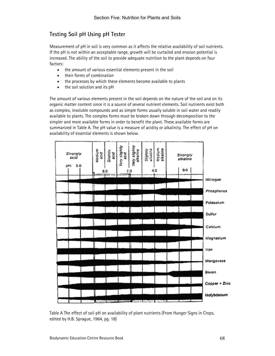# Testing Soil pH Using pH Tester

Measurement of pH in soil is very common as it affects the relative availability of soil nutrients. If the pH is not within an acceptable range, growth will be curtailed and erosion potential is increased. The ability of the soil to provide adequate nutrition to the plant depends on four factors:

- the amount of various essential elements present in the soil
- their forms of combination
- the processes by which these elements become available to plants
- the soil solution and its pH

The amount of various elements present in the soil depends on the nature of the soil and on its organic matter content since it is a source of several nutrient elements. Soil nutrients exist both as complex, insoluble compounds and as simple forms usually soluble in soil water and readily available to plants. The complex forms must be broken down through decomposition to the simpler and more available forms in order to benefit the plant. These available forms are summarized in Table A. The pH value is a measure of acidity or alkalinity. The effect of pH on availability of essential elements is shown below.



Table A The effect of soil pH on availability of plant nutrients (From Hunger Signs in Crops, edited by H.B. Sprague, 1964, pg. 18)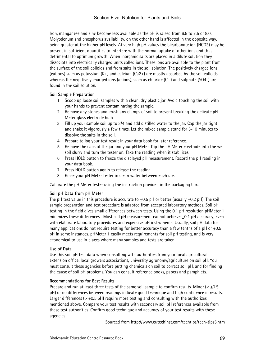Iron, manganese and zinc become less available as the pH is raised from 6.5 to 7.5 or 8.0. Molybdenum and phosphorus availability, on the other hand is affected in the opposite way, being greater at the higher pH levels. At very high pH values the bicarbonate ion (HCO3) may be present in sufficient quantities to interfere with the normal uptake of other ions and thus detrimental to optimum growth. When inorganic salts are placed in a dilute solution they dissociate into electrically charged units called ions. These ions are available to the plant from the surface of the soil colloids and from salts in the soil solution. The positively charged ions (cations) such as potassium (K+) and calcium (Ca2+) are mostly absorbed by the soil colloids, whereas the negatively charged ions (anions), such as chloride (Cl-) and sulphate (SO4-) are found in the soil solution.

### Soil Sample Preparation

- 1. Scoop up loose soil samples with a clean, dry plastic jar. Avoid touching the soil with your hands to prevent contaminating the sample.
- 2. Remove any stones and crush any clumps of soil to prevent breaking the delicate pH Meter glass electrode bulb.
- 3. Fill up your sample soil up to 3/4 and add distilled water to the jar. Cap the jar tight and shake it vigorously a few times. Let the mixed sample stand for 5-10 minutes to dissolve the salts in the soil.
- 4. Prepare to log your test result in your data book for later reference.
- 5. Remove the caps of the jar and your pH Meter. Dip the pH Meter electrode into the wet soil slurry and turn the tester on. Take the reading when it stabilizes.
- 6. Press HOLD button to freeze the displayed pH measurement. Record the pH reading in your data book.
- 7. Press HOLD button again to release the reading.
- 8. Rinse your pH Meter tester in clean water between each use.

Calibrate the pH Meter tester using the instruction provided in the packaging box.

### Soil pH Data from pH Meter

The pH test value in this procedure is accurate to  $\pm$ 0.5 pH or better (usually  $\pm$ 0.2 pH). The soil sample preparation and test procedure is adapted from accepted laboratory methods. Soil pH testing in the field gives small differences between tests. Using the 0.1 pH resolution pHMeter 1 minimizes these differences. Most soil pH measurement cannot achieve  $\pm$ 0.1 pH accuracy, even with elaborate laboratory procedures and expensive pH instruments. Usually, soil pH data for many applications do not require testing for better accuracy than a few tenths of a pH or  $\pm 0.5$ pH in some instances. pHMeter 1 easily meets requirements for soil pH testing, and is very economical to use in places where many samples and tests are taken.

### Use of Data

Use this soil pH test data when consulting with authorities from your local agricultural extension office, local growers associations, university agronomy/agriculture on soil pH. You must consult these agencies before putting chemicals on soil to correct soil pH, and for finding the cause of soil pH problems. You can consult reference books, papers and pamphlets.

### Recommendations for Best Results

Prepare and run at least three tests of the same soil sample to confirm results. Minor  $( $\pm 0.5$$ pH) or no differences between readings indicate good technique and high confidence in results. Larger differences ( $> \pm 0.5$  pH) require more testing and consulting with the authorizes mentioned above. Compare your test results with secondary soil pH references available from these test authorities. Confirm good technique and accuracy of your test results with these agencies.

Sourced from http://www.eutechinst.com/techtips/tech-tips5.htm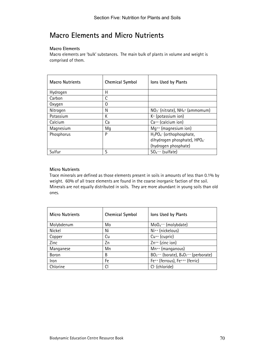# Macro Elements and Micro Nutrients

### Macro Elements

Macro elements are 'bulk' substances. The main bulk of plants in volume and weight is comprised of them.

| <b>Macro Nutrients</b> | <b>Chemical Symbol</b> | lons Used by Plants                               |
|------------------------|------------------------|---------------------------------------------------|
| Hydrogen               | H                      |                                                   |
| Carbon                 | C                      |                                                   |
| Oxygen                 | Ω                      |                                                   |
| Nitrogen               | N                      | $NO3$ (nitrate), $NH4$ (ammomum)                  |
| Potassium              | К                      | $K+$ (potassium ion)                              |
| Calcium                | Ca                     | Ca <sup>++</sup> (calcium ion)                    |
| Magnesium              | Mg                     | Mg++ (magnesium ion)                              |
| Phosphorus             | P                      | H <sub>2</sub> PO <sub>4</sub> - (orthophosphate, |
|                        |                        | dihydrogen phosphate), HPO <sub>4</sub> -         |
|                        |                        | (hydrogen phosphate)                              |
| Sulfur                 | S                      | $SO_4$ -- (sulfate)                               |

### Micro Nutrients

Trace minerals are defined as those elements present in soils in amounts of less than 0.1% by weight. 60% of all trace elements are found in the coarse inorganic faction of the soil. Minerals are not equally distributed in soils. They are more abundant in young soils than old ones.

| <b>Micro Nutrients</b> | <b>Chemical Symbol</b> | lons Used by Plants                                            |
|------------------------|------------------------|----------------------------------------------------------------|
| Molybdenum             | Mo                     | $MoO4$ -- (molybdate)                                          |
| Nickel                 | Ni                     | Ni++ (nickelous)                                               |
| Copper                 | Cu                     | $Cu++$ (cupric)                                                |
| Zinc                   | Zn                     | $Zn^{++}$ (zinc ion)                                           |
| Manganese              | Mn                     | Mn <sup>++</sup> (manganous)                                   |
| Boron                  | B                      | $BO3$ <sup>--</sup> (borate), $B4O7$ <sup>--</sup> (perborate) |
| Iron                   | Fe                     | Fe++ (ferrous), Fe+++ (ferric)                                 |
| Chlorine               | Cl                     | CI-(chloride)                                                  |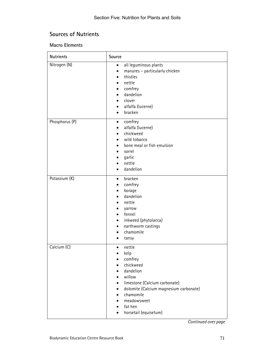# Sources of Nutrients

## Macro Elements

| <b>Nutrients</b> | Source                                                                                                                                                                                                                                                                                                                |
|------------------|-----------------------------------------------------------------------------------------------------------------------------------------------------------------------------------------------------------------------------------------------------------------------------------------------------------------------|
| Nitrogen (N)     | all leguminous plants<br>٠<br>manures - particularly chicken<br>$\bullet$<br>thistles<br>$\bullet$<br>nettle<br>$\bullet$<br>comfrey<br>$\bullet$<br>dandelion<br>$\bullet$<br>clover<br>$\bullet$<br>alfalfa (lucerne)<br>$\bullet$<br>bracken<br>$\bullet$                                                          |
| Phosphorus (P)   | comfrey<br>$\bullet$<br>alfalfa (lucerne)<br>$\bullet$<br>chickweed<br>$\bullet$<br>wild tobacco<br>$\bullet$<br>bone meal or fish emulsion<br>$\bullet$<br>sorrel<br>garlic<br>nettle<br>٠<br>dandelion<br>$\bullet$                                                                                                 |
| Potassium (K)    | bracken<br>$\bullet$<br>comfrey<br>borage<br>٠<br>dandelion<br>$\bullet$<br>nettle<br>$\bullet$<br>yarrow<br>٠<br>fennel<br>$\bullet$<br>inkweed (phytolacca)<br>$\bullet$<br>earthworm castings<br>$\bullet$<br>chamomile<br>$\bullet$<br>tansy                                                                      |
| Calcium (C)      | nettle<br>$\bullet$<br>kelp<br>comfrey<br>٠<br>chickweed<br>dandelion<br>$\bullet$<br>willow<br>$\bullet$<br>limestone (Calcium carbonate)<br>$\bullet$<br>dolomite (Calcium magnesium carbonate)<br>$\bullet$<br>chamomile<br>$\bullet$<br>meadowsweet<br>fat hen<br>$\bullet$<br>horsetail (equisetum)<br>$\bullet$ |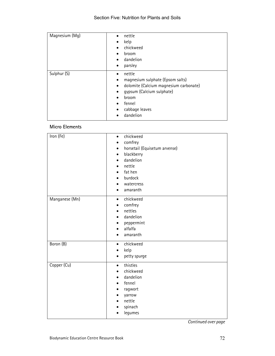### Section Five: Nutrition for Plants and Soils

| Magnesium (Mg) | nettle<br>kelp<br>chickweed<br>broom<br>dandelion<br>parsley<br>٠                                                                                                                          |
|----------------|--------------------------------------------------------------------------------------------------------------------------------------------------------------------------------------------|
| Sulphur (S)    | nettle<br>$\bullet$<br>magnesium sulphate (Epsom salts)<br>dolomite (Calcium magnesium carbonate)<br>٠<br>gypsum (Calcium sulphate)<br>broom<br>fennel<br>cabbage leaves<br>٠<br>dandelion |

## Micro Elements

| Iron (Fe)      | chickweed<br>$\bullet$<br>comfrey<br>horsetail (Equisetum arvense)<br>blackberry<br>٠<br>dandelion<br>$\bullet$<br>nettle<br>$\bullet$<br>fat hen<br>$\bullet$<br>burdock<br>watercress<br>amaranth |
|----------------|-----------------------------------------------------------------------------------------------------------------------------------------------------------------------------------------------------|
| Manganese (Mn) | chickweed<br>$\bullet$<br>comfrey<br>$\bullet$<br>nettles<br>$\bullet$<br>dandelion<br>$\bullet$<br>peppermint<br>$\bullet$<br>alfalfa<br>amaranth                                                  |
| Boron (B)      | chickweed<br>$\bullet$<br>kelp<br>$\bullet$<br>petty spurge<br>$\bullet$                                                                                                                            |
| Copper (Cu)    | thistles<br>$\bullet$<br>chickweed<br>$\bullet$<br>dandelion<br>fennel<br>$\bullet$<br>ragwort<br>yarrow<br>nettle<br>$\bullet$<br>spinach<br>legumes                                               |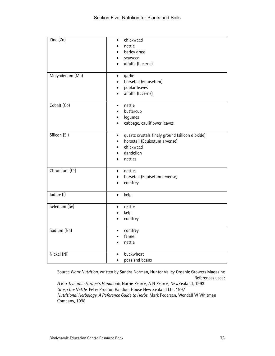| Zinc (Zn)       | chickweed<br>$\bullet$                                       |
|-----------------|--------------------------------------------------------------|
|                 | nettle                                                       |
|                 | barley grass                                                 |
|                 | seaweed                                                      |
|                 |                                                              |
|                 | alfalfa (lucerne)                                            |
| Molybdenum (Mo) | garlic<br>$\bullet$                                          |
|                 |                                                              |
|                 | horsetail (equisetum)                                        |
|                 | poplar leaves                                                |
|                 | alfalfa (lucerne)                                            |
|                 |                                                              |
| Cobalt (Co)     | nettle<br>$\bullet$                                          |
|                 | buttercup                                                    |
|                 | legumes<br>$\bullet$                                         |
|                 | cabbage, cauliflower leaves<br>$\bullet$                     |
|                 |                                                              |
| Silicon (Si)    | quartz crystals finely ground (silicon dioxide)<br>$\bullet$ |
|                 | horsetail (Equisetum arvense)<br>$\bullet$                   |
|                 | chickweed<br>$\bullet$                                       |
|                 | dandelion                                                    |
|                 |                                                              |
|                 | nettles                                                      |
| Chromium (Cr)   | nettles<br>$\bullet$                                         |
|                 |                                                              |
|                 | horsetail (Equisetum arvense)                                |
|                 | comfrey                                                      |
| lodine (I)      | kelp<br>$\bullet$                                            |
|                 |                                                              |
| Selenium (Se)   | nettle<br>$\bullet$                                          |
|                 | kelp                                                         |
|                 | comfrey                                                      |
|                 |                                                              |
| Sodium (Na)     | comfrey<br>٠                                                 |
|                 | fennel                                                       |
|                 | nettle                                                       |
|                 |                                                              |
| Nickel (Ni)     | buckwheat                                                    |
|                 | peas and beans                                               |

Source Plant Nutrition, written by Sandra Norman, Hunter Valley Organic Growers Magazine References used:

A Bio-Dynamic Farmer's Handbook, Norrie Pearce, A N Pearce, NewZealand, 1993 Grasp the Nettle, Peter Proctor, Random House New Zealand Ltd, 1997 Nutritional Herbology, A Reference Guide to Herbs, Mark Pedersen, Wendell W Whitman Company, 1998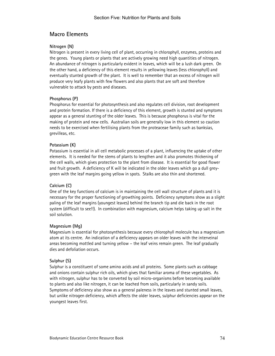### Macro Elements

#### Nitrogen (N)

Nitrogen is present in every living cell of plant, occurring in chlorophyll, enzymes, proteins and the genes. Young plants or plants that are actively growing need high quantities of nitrogen. An abundance of nitrogen is particularly evident in leaves, which will be a lush dark green. On the other hand, a deficiency of this element results in yellowing leaves (less chlorophyll) and eventually stunted growth of the plant. It is well to remember that an excess of nitrogen will produce very leafy plants with few flowers and also plants that are soft and therefore vulnerable to attack by pests and diseases.

#### Phosphorus (P)

Phosphorus for essential for photosynthesis and also regulates cell division, root development and protein formation. If there is a deficiency of this element, growth is stunted and symptoms appear as a general stunting of the older leaves. This is because phosphorus is vital for the making of protein and new cells. Australian soils are generally low in this element so caution needs to be exercised when fertilising plants from the proteaceae family such as banksias, grevilleas, etc.

#### Potassium (K)

Potassium is essential in all cell metabolic processes of a plant, influencing the uptake of other elements. It is needed for the stems of plants to lengthen and it also promotes thickening of the cell walls, which gives protection to the plant from disease. It is essential for good flower and fruit growth. A deficiency of K will be indicated in the older leaves which go a dull greygreen with the leaf margins going yellow in spots. Stalks are also thin and shortened.

#### Calcium (C)

One of the key functions of calcium is in maintaining the cell wall structure of plants and it is necessary for the proper functioning of growthing points. Deficiency symptoms show as a slight paling of the leaf margins (youngest leaves) behind the branch tip and die back in the root system (difficult to see!!). In combination with magnesium, calcium helps taking up salt in the soil solution.

#### Magnesium (Mg)

Magnesium is essential for photosynthesis because every chlorophyll molecule has a magnesium atom at its centre. An indication of a deficiency appears on older leaves with the interveinal areas becoming mottled and turning yellow – the leaf veins remain green. The leaf gradually dies and defoliation occurs.

#### Sulphur (S)

Sulphur is a constituent of some amino acids and all proteins. Some plants such as cabbage and onions contain sulphur rich oils, which gives that familiar aroma of these vegetables. As with nitrogen, sulphur has to be converted by soil micro-organisms before becoming available to plants and also like nitrogen, it can be leached from soils, particularly in sandy soils. Symptoms of deficiency also show as a general paleness in the leaves and stunted small leaves, but unlike nitrogen deficiency, which affects the older leaves, sulphur deficiencies appear on the youngest leaves first.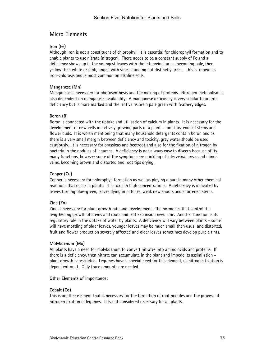### Micro Elements

#### Iron (Fe)

Although iron is not a constituent of chlorophyll, it is essential for chlorophyll formation and to enable plants to use nitrate (nitrogen). There needs to be a constant supply of Fe and a deficiency shows up in the youngest leaves with the interveinal areas becoming pale, then yellow then white or pink, tinged with vines standing out distinctly green. This is known as iron-chlorosis and is most common on alkaline soils.

#### Manganese (Mn)

Manganese is necessary for photosynthesis and the making of proteins. Nitrogen metabolism is also dependent on manganese availability. A manganese deficiency is very similar to an iron deficiency but is more marked and the leaf veins are a pale green with feathery edges.

#### Boron (B)

Boron is connected with the uptake and utilisation of calcium in plants. It is necessary for the development of new cells in actively growing parts of a plant – root tips, ends of stems and flower buds. It is worth mentioning that many household detergents contain boron and as there is a very small margin between deficiency and toxicity, grey water should be used cautiously. It is necessary for brassicas and beetroot and also for the fixation of nitrogen by bacteria in the nodules of legumes. A deficiency is not always easy to discern because of its many functions, however some of the symptoms are crinkling of interveinal areas and minor veins, becoming brown and distorted and root tips drying.

#### Copper (Cu)

Copper is necessary for chlorophyll formation as well as playing a part in many other chemical reactions that occur in plants. It is toxic in high concentrations. A deficiency is indicated by leaves turning blue-green, leaves dying in patches, weak new shoots and shortened stems.

#### Zinc (Zn)

Zinc is necessary for plant growth rate and development. The hormones that control the lengthening growth of stems and roots and leaf expansion need zinc. Another function is its regulatory role in the uptake of water by plants. A deficiency will vary between plants – some will have mottling of older leaves, younger leaves may be much small then usual and distorted, fruit and flower production severely affected and older leaves sometimes develop purple tints.

#### Molybdenum (Mo)

All plants have a need for molybdenum to convert nitrates into amino acids and proteins. If there is a deficiency, then nitrate can accumulate in the plant and impede its assimilation – plant growth is restricted. Legumes have a special need for this element, as nitrogen fixation is dependent on it. Only trace amounts are needed.

#### Other Elements of Importance:

#### Cobalt (Co)

This is another element that is necessary for the formation of root nodules and the process of nitrogen fixation in legumes. It is not considered necessary for all plants.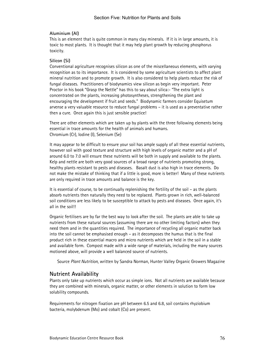#### Aluminium (Al)

This is an element that is quite common in many clay minerals. If it is in large amounts, it is toxic to most plants. It is thought that it may help plant growth by reducing phosphorus toxicity.

#### Silicon (Si)

Conventional agriculture recognises silicon as one of the miscellaneous elements, with varying recognition as to its importance. It is considered by some agriculture scientists to affect plant mineral nutrition and to promote growth. It is also considered to help plants reduce the risk of fungal diseases. Practitioners of biodynamics view silicon as begin very important. Peter Proctor in his book "Grasp the Nettle" has this to say about silica:- "The extra light is concentrated on the plants, increasing photosyntheses, strengthening the plant and encouraging the development if fruit and seeds." Biodynamic farmers consider Equisetum arvense a very valuable resource to reduce fungal problems – it is used as a preventative rather then a cure. Once again this is just sensible practice!

There are other elements which are taken up by plants with the three following elements being essential in trace amounts for the health of animals and humans. Chromium (Cr), Iodine (I), Selenium (Se)

It may appear to be difficult to ensure your soil has ample supply of all these essential nutrients, however soil with good texture and structure with high levels of organic matter and a pH of around 6.0 to 7.0 will ensure these nutrients will be both in supply and available to the plants. Kelp and nettle are both very good sources of a broad range of nutrients promoting strong, healthy plants resistant to pests and diseases. Basalt dust is also high in trace elements. Do not make the mistake of thinking that if a little is good, more is better! Many of these nutrients are only required in trace amounts and balance is the key.

It is essential of course, to be continually replenishing the fertility of the soil – as the plants absorb nutrients then naturally they need to be replaced. Plants grown in rich, well-balanced soil conditions are less likely to be susceptible to attack by pests and diseases. Once again, it's all in the soil!!

Organic fertilisers are by far the best way to look after the soil. The plants are able to take up nutrients from these natural sources (assuming there are no other limiting factors) when they need them and in the quantities required. The importance of recycling all organic matter back into the soil cannot be emphasised enough – as it decomposes the humus that is the final product rich in these essential macro and micro nutrients which are held in the soil in a stable and available form. Compost made with a wide range of materials, including the many sources motioned above, will provide a well balanced source of nutrients.

Source Plant Nutrition, written by Sandra Norman, Hunter Valley Organic Growers Magazine

#### Nutrient Availability

Plants only take up nutrients which occur as simple ions. Not all nutrients are available because they are combined with minerals, organic matter, or other elements in solution to form low solubility compounds.

Requirements for nitrogen fixation are pH between 6.5 and 6.8, soil contains rhyziobium bacteria, molybdenum (Mo) and cobalt (Co) are present.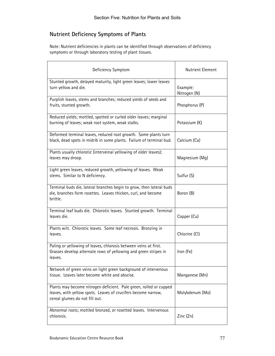## Nutrient Deficiency Symptoms of Plants

Note: Nutrient deficiencies in plants can be identified through observations of deficiency symptoms or through laboratory testing of plant tissues.

| Deficiency Symptom                                                                                                                                                    | <b>Nutrient Element</b>  |
|-----------------------------------------------------------------------------------------------------------------------------------------------------------------------|--------------------------|
| Stunted growth, delayed maturity, light green leaves; lower leaves<br>turn yellow and die.                                                                            | Example:<br>Nitrogen (N) |
| Purplish leaves, stems and branches; reduced yields of seeds and<br>fruits, stunted growth.                                                                           | Phosphorus (P)           |
| Reduced yields; mottled, spotted or curled older leaves; marginal<br>burning of leaves; weak root system, weak stalks.                                                | Potassium (K)            |
| Deformed terminal leaves, reduced root growth. Some plants turn<br>black, dead spots in midrib in some plants. Failure of terminal bud.                               | Calcium (Ca)             |
| Plants usually chlorotic (interveinal yellowing of older leaves);<br>leaves may droop.                                                                                | Magnesium (Mg)           |
| Light green leaves, reduced growth, yellowing of leaves. Weak<br>stems. Similar to N deficiency.                                                                      | Sulfur (S)               |
| Terminal buds die, lateral branches begin to grow, then lateral buds<br>die, branches form rosettes. Leaves thicken, curl, and become<br>brittle.                     | Boron (B)                |
| Terminal leaf buds die. Chlorotic leaves. Stunted growth. Terminal<br>leaves die.                                                                                     | Copper (Cu)              |
| Plants wilt. Chlorotic leaves. Some leaf necrosis. Bronzing in<br>leaves.                                                                                             | Chlorine (Cl)            |
| Paling or yellowing of leaves, chlorosis between veins at first.<br>Grasses develop alternate rows of yellowing and green stripes in<br>leaves.                       | Iron (Fe)                |
| Network of green veins on light green background of intervenous<br>tissue. Leaves later become white and abscise.                                                     | Manganese (Mn)           |
| Plants may become nitrogen deficient. Pale green, rolled or cupped<br>leaves, with yellow spots. Leaves of crucifers become narrow,<br>cereal glumes do not fill out. | Molybdenum (Mo)          |
| Abnormal roots; mottled bronzed, or rosetted leaves. Intervenous<br>chlorosis.                                                                                        | Zinc (Zn)                |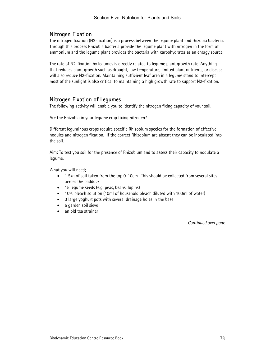### Nitrogen Fixation

The nitrogen fixation (N2-fixation) is a process between the legume plant and rhizobia bacteria. Through this process Rhizobia bacteria provide the legume plant with nitrogen in the form of ammonium and the legume plant provides the bacteria with carbohydrates as an energy source.

The rate of N2-fixation by legumes is directly related to legume plant growth rate. Anything that reduces plant growth such as drought, low temperature, limited plant nutrients, or disease will also reduce N2-fixation. Maintaining sufficient leaf area in a legume stand to intercept most of the sunlight is also critical to maintaining a high growth rate to support N2-fixation.

### Nitrogen Fixation of Legumes

The following activity will enable you to identify the nitrogen fixing capacity of your soil.

Are the Rhizobia in your legume crop fixing nitrogen?

Different leguminous crops require specific Rhizobium species for the formation of effective nodules and nitrogen fixation. If the correct Rhizobium are absent they can be inoculated into the soil.

Aim: To test you soil for the presence of Rhizobium and to assess their capacity to nodulate a legume.

What you will need;

- 1.5kg of soil taken from the top 0-10cm. This should be collected from several sites across the paddock
- 15 legume seeds (e.g. peas, beans, lupins)
- 10% bleach solution (10ml of household bleach diluted with 100ml of water)
- 3 large yoghurt pots with several drainage holes in the base
- a garden soil sieve
- an old tea strainer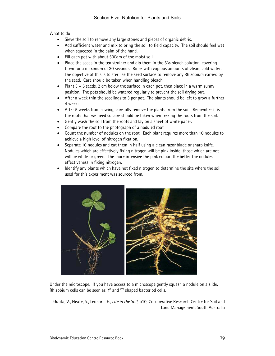What to do;

- Sieve the soil to remove any large stones and pieces of organic debris.
- Add sufficient water and mix to bring the soil to field capacity. The soil should feel wet when squeezed in the palm of the hand.
- Fill each pot with about 500gm of the moist soil.
- Place the seeds in the tea strainer and dip them in the 5% bleach solution, covering them for a maximum of 30 seconds. Rinse with copious amounts of clean, cold water. The objective of this is to sterilise the seed surface to remove any Rhizobium carried by the seed. Care should be taken when handling bleach.
- Plant 3 5 seeds, 2 cm below the surface in each pot, then place in a warm sunny position. The pots should be watered regularly to prevent the soil drying out.
- After a week thin the seedlings to 3 per pot. The plants should be left to grow a further 4 weeks.
- After 5 weeks from sowing, carefully remove the plants from the soil. Remember it is the roots that we need so care should be taken when freeing the roots from the soil.
- Gently wash the soil from the roots and lay on a sheet of white paper.
- Compare the root to the photograph of a noduled root.
- Count the number of nodules on the root. Each plant requires more than 10 nodules to achieve a high level of nitrogen fixation.
- Separate 10 nodules and cut them in half using a clean razor blade or sharp knife. Nodules which are effectively fixing nitrogen will be pink inside; those which are not will be white or green. The more intensive the pink colour, the better the nodules effectiveness in fixing nitrogen.
- Identify any plants which have not fixed nitrogen to determine the site where the soil used for this experiment was sourced from.



Under the microscope. If you have access to a microscope gently squash a nodule on a slide. Rhizobium cells can be seen as 'Y' and 'T' shaped bacteriod cells.

Gupta, V., Neate, S., Leonard, E., Life in the Soil, p10, Co-operative Research Centre for Soil and Land Management, South Australia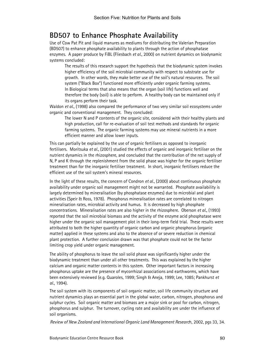# BD507 to Enhance Phosphate Availability

Use of Cow Pat Pit and liquid manures as mediums for distributing the Valerian Preparation (BD507) to enhance phosphate availability to plants through the action of phosphatase enzymes. A paper produce by FiBL (Fliesbach et al., 2000) on nutrient dynamics on biodynamic systems concluded:

The results of this research support the hypothesis that the biodynamic system invokes higher efficiency of the soil microbial community with respect to substrate use for growth. In other words, they make better use of the soil's natural resources. The soil system ("Black Box") functioned more efficiently under organic farming systems. In Biological terms that also means that the organ (soil life) functions well and therefore the body (soil) is able to perform. A healthy body can be maintained only if its organs perform their task.

Waldon et al., (1998) also compared the performance of two very similar soil ecosystems under organic and conventional management. They concluded:

The lower N and P contents of the organic site, considered with their healthy plants and high production, call for re-evaluation of soil test methods and standards for organic farming systems. The organic farming systems may use mineral nutrients in a more efficient manner and allow lower inputs.

This can partially be explained by the use of organic fertilisers as opposed to inorganic fertilisers. Moritsuka et al., (2001) studied the effects of organic and inorganic fertiliser on the nutrient dynamics in the rhizosphere, and concluded that the contribution of the net supply of N, P and K through the replenishment from the solid phase was higher for the organic fertiliser treatment than for the inorganic fertiliser treatment. In short, inorganic fertilisers reduce the efficient use of the soil system's mineral resources.

In the light of these results, the concern of Condron *et al.*, (2000) about continuous phosphate availability under organic soil management might not be warranted. Phosphate availability is largely determined by mineralisation (by phosphatase enzymes) due to microbial and plant activities (Speir & Ross, 1978). Phosphorus mineralisation rates are correlated to nitrogen mineralisation rates, microbial activity and humus. It is decreased by high phosphate concentrations. Mineralisation rates are also higher in the rhizosphere. Oberson et al., (1993) reported that the soil microbial biomass and the activity of the enzyme acid phosphatase were higher under the organic soil management plot in their long-term field trial. These results were attributed to both the higher quantity of organic carbon and organic phosphorus (organic matter) applied in these systems and also to the absence of or severe reduction in chemical plant protection. A further conclusion drawn was that phosphate could not be the factor limiting crop yield under organic management.

The ability of phosphorus to leave the soil solid phase was significantly higher under the biodynamic treatment than under all other treatments. This was explained by the higher calcium and organic matter contents in this system. Other important factors in increasing phosphorus uptake are the presence of mycorrhizal associations and earthworms, which have been extensively reviewed (e.g. Quaroles, 1999; Singh & Aneja, 1999; Lee, 1085; Pankhurst et al., 1994).

The soil system with its components of soil organic matter, soil life community structure and nutrient dynamics plays an essential part in the global water, carbon, nitrogen, phosphorus and sulphur cycles. Soil organic matter and biomass are a major sink or pool for carbon, nitrogen, phosphorus and sulphur. The turnover, cycling rate and availability are under the influence of soil organisms.

Review of New Zealand and International Organic Land Management Research, 2002, pgs 33, 34.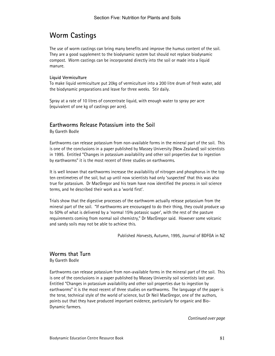# Worm Castings

The use of worm castings can bring many benefits and improve the humus content of the soil. They are a good supplement to the biodynamic system but should not replace biodynamic compost. Worm castings can be incorporated directly into the soil or made into a liquid manure.

#### Liquid Vermiculture

To make liquid vermiculture put 20kg of vermiculture into a 200 litre drum of fresh water, add the biodynamic preparations and leave for three weeks. Stir daily.

Spray at a rate of 10 litres of concentrate liquid, with enough water to spray per acre (equivalent of one kg of castings per acre).

### Earthworms Release Potassium into the Soil

By Gareth Bodle

Earthworms can release potassium from non-available forms in the mineral part of the soil. This is one of the conclusions in a paper published by Massey University (New Zealand) soil scientists in 1995. Entitled "Changes in potassium availability and other soil properties due to ingestion by earthworms" it is the most recent of three studies on earthworms.

It is well known that earthworms increase the availability of nitrogen and phosphorus in the top ten centimetres of the soil, but up until now scientists had only 'suspected' that this was also true for potassium. Dr MacGregor and his team have now identified the process in soil science terms, and he described their work as a 'world first'.

Trials show that the digestive processes of the earthworm actually release potassium from the mineral part of the soil. "If earthworms are encouraged to do their thing, they could produce up to 50% of what is delivered by a 'normal 15% potassic super', with the rest of the pasture requirements coming from normal soil chemistry," Dr MacGregor said. However some volcanic and sandy soils may not be able to achieve this.

Published Harvests, Autumn, 1995, Journal of BDFGA in NZ

# Worms that Turn

By Gareth Bodle

Earthworms can release potassium from non-available forms in the mineral part of the soil. This is one of the conclusions in a paper published by Massey University soil scientists last year. Entitled "Changes in potassium availability and other soil properties due to ingestion by earthworms" it is the most recent of three studies on earthworms. The language of the paper is the terse, technical style of the world of science, but Dr Neil MacGregor, one of the authors, points out that they have produced important evidence, particularly for organic and Bio-Dynamic farmers.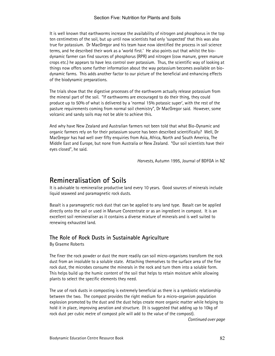It is well known that earthworms increase the availability of nitrogen and phosphorus in the top ten centimetres of the soil, but up until now scientists had only 'suspected' that this was also true for potassium. Dr MacGregor and his team have now identified the process in soil science terms, and he described their work as a 'world first.' He also points out that whilst the biodynamic farmer can find sources of phosphorus (RPR) and nitrogen (cow manure, green manure crops etc.) he appears to have less control over potassium. Thus, the scientific way of looking at things now offers some further information about the way potassium becomes available on biodynamic farms. This adds another factor to our picture of the beneficial and enhancing effects of the biodynamic preparations.

The trials show that the digestive processes of the earthworm actually release potassium from the mineral part of the soil. "If earthworms are encouraged to do their thing, they could produce up to 50% of what is delivered by a 'normal 15% potassic super', with the rest of the pasture requirements coming from normal soil chemistry", Dr MacGregor said. However, some volcanic and sandy soils may not be able to achieve this.

And why have New Zealand and Australian farmers not been told that what Bio-Dynamic and organic farmers rely on for their potassium source has been described scientifically? Well, Dr MacGregor has had well over fifty enquiries from Asia, Africa, North and South America, The Middle East and Europe, but none from Australia or New Zealand. "Our soil scientists have their eyes closed", he said.

Harvests, Autumn 1995, Journal of BDFGA in NZ

## Remineralisation of Soils

It is advisable to remineralise productive land every 10 years. Good sources of minerals include liquid seaweed and paramagnetic rock dusts.

Basalt is a paramagnetic rock dust that can be applied to any land type. Basalt can be applied directly onto the soil or used in Manure Concentrate or as an ingredient in compost. It is an excellent soil remineraliser as it contains a diverse mixture of minerals and is well suited to renewing exhausted land.

## The Role of Rock Dusts in Sustainable Agriculture

By Graeme Roberts

The finer the rock powder or dust the more readily can soil micro-organisms transform the rock dust from an insoluble to a soluble state. Attaching themselves to the surface area of the fine rock dust, the microbes consume the minerals in the rock and turn them into a soluble form. This helps build up the humic content of the soil that helps to retain moisture while allowing plants to select the specific elements they need.

The use of rock dusts in composting is extremely beneficial as there is a symbiotic relationship between the two. The compost provides the right medium for a micro-organism population explosion promoted by the dust and the dust helps create more organic matter while helping to hold it in place, improving aeration and structure. (It is suggested that adding up to 10kg of rock dust per cubic metre of compost pile will add to the value of the compost).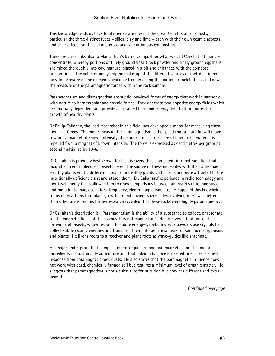This knowledge leads us back to Steiner's awareness of the great benefits of rock dusts, in particular the three distinct types – silica, clay and lime – each with their own cosmic aspects and their effects on the soil and crops and to continuous composting.

There are clear links also to Maria Thun's Barrel Compost, or what we call Cow Pat Pit manure concentrate, whereby portions of finely ground basalt rock powder and finely ground eggshells are mixed thoroughly into cow manure, placed in a pit and enhanced with the compost preparations. The value of analysing the make-up of the different sources of rock dust in not only to be aware of the elements available from crushing the particular rock but also to know the measure of the paramagnetic forces within the rock sample.

Paramagnetism and diamagnetism are subtle low-level forms of energy that work in harmony with nature to harness solar and cosmic forces. They generate two opposite energy fields which are mutually dependent and provide a sustained harmonic energy field that promotes the growth of healthy plants.

Dr Philip Callahan, the lead researcher in this field, has developed a meter for measuring these low level forces. The meter measure for paramagnetism is the speed that a material will move towards a magnet of known intensity; diamagnetism is a measure of how fast a material is repelled from a magnet of known intensity. The force is expressed as centimetres per gram per second multiplied by 10-6.

Dr Callahan is probably best known for his discovery that plants emit infrared radiation that magnifies scent molecules. Insects detect the source of these molecules with their antennae. Healthy plants emit a different signal to unhealthy plants and insects are more attracted to the nutritionally deficient plant and attack them. Dr. Callahans' experience in radio technology and low-level energy fields allowed him to draw comparisons between an insect's antennae system and radio (antennae, oscillators, frequency, electromagnetism, etc). He applied this knowledge to his observations that plant growth around ancient sacred sites involving rocks was better than other areas and his further research revealed that these rocks were highly paramagnetic.

Dr Callahan's description is, "Paramagnetism is the ability of a substance to collect, or resonate to, the magnetic fields of the cosmos. It is not magnetism". He discovered that unlike the antennae of insects, which respond to subtle energies, rocks and rock powders use crystals to collect subtle cosmic energies and transform them into beneficial uses for soil micro-organisms and plants. He likens rocks to a receiver and plant roots as wave-guides like antennae.

His major findings are that compost, micro-organisms and paramagnetism are the major ingredients for sustainable agriculture and that calcium balance is needed to ensure the best response from paramagnetic rock dusts. He also states that the paramagnetic influence does not work with dead, chemically farmed soil but requires a minimum level of organic matter. He suggests that paramagnetism is not a substitute for nutrition but provides different and extra benefits.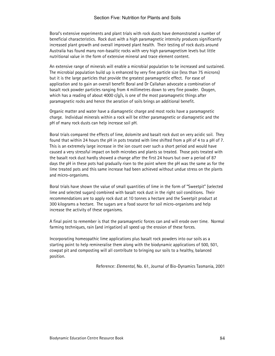Boral's extensive experiments and plant trials with rock dusts have demonstrated a number of beneficial characteristics. Rock dust with a high paramagnetic intensity produces significantly increased plant growth and overall improved plant health. Their testing of rock dusts around Australia has found many non-basaltic rocks with very high paramagnetism levels but little nutritional value in the form of extensive mineral and trace element content.

An extensive range of minerals will enable a microbial population to be increased and sustained. The microbial population build up is enhanced by very fine particle size (less than 75 microns) but it is the large particles that provide the greatest paramagnetic effect. For ease of application and to gain an overall benefit Boral and Dr Callahan advocate a combination of basalt rock powder particles ranging from 4 millimetres down to very fine powder. Oxygen, which has a reading of about 4000  $c/q/s$ , is one of the most paramagnetic things after paramagnetic rocks and hence the aeration of soils brings an additional benefit.

Organic matter and water have a diamagnetic charge and most rocks have a paramagnetic charge. Individual minerals within a rock will be either paramagnetic or diamagnetic and the pH of many rock dusts can help increase soil pH.

Boral trials compared the effects of lime, dolomite and basalt rock dust on very acidic soil. They found that within 24 hours the pH in pots treated with lime shifted from a pH of 4 to a pH of 7. This is an extremely large increase in the ion count over such a short period and would have caused a very stressful impact on both microbes and plants so treated. Those pots treated with the basalt rock dust hardly showed a change after the first 24 hours but over a period of 87 days the pH in these pots had gradually risen to the point where the pH was the same as for the lime treated pots and this same increase had been achieved without undue stress on the plants and micro-organisms.

Boral trials have shown the value of small quantities of lime in the form of "Sweetpit" (selected lime and selected sugars) combined with basalt rock dust in the right soil conditions. Their recommendations are to apply rock dust at 10 tonnes a hectare and the Sweetpit product at 300 kilograms a hectare. The sugars are a food source for soil micro-organisms and help increase the activity of these organisms.

A final point to remember is that the paramagnetic forces can and will erode over time. Normal farming techniques, rain (and irrigation) all speed up the erosion of these forces.

Incorporating homeopathic lime applications plus basalt rock powders into our soils as a starting point to help remineralise them along with the biodynamic applications of 500, 501, cowpat pit and composting will all contribute to bringing our soils to a healthy, balanced position.

Reference: Elemental, No. 61, Journal of Bio-Dynamics Tasmania, 2001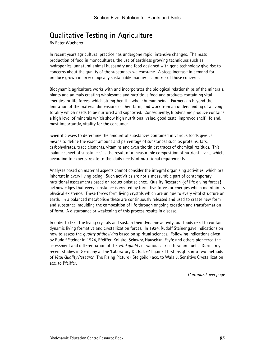# Qualitative Testing in Agriculture

By Peter Wucherer

In recent years agricultural practice has undergone rapid, intensive changes. The mass production of food in monocultures, the use of earthless growing techniques such as hydroponics, unnatural animal husbandry and food designed with gene technology give rise to concerns about the quality of the substances we consume. A steep increase in demand for produce grown in an ecologically sustainable manner is a mirror of those concerns.

Biodynamic agriculture works with and incorporates the biological relationships of the minerals, plants and animals creating wholesome and nutritious food and products containing vital energies, or life forces, which strengthen the whole human being. Farmers go beyond the limitation of the material dimensions of their farm, and work from an understanding of a living totality which needs to be nurtured and supported. Consequently, Biodynamic produce contains a high level of minerals which show high nutritional value, good taste, improved shelf life and, most importantly, vitality for the consumer.

Scientific ways to determine the amount of substances contained in various foods give us means to define the exact amount and percentage of substances such as proteins, fats, carbohydrates, trace elements, vitamins and even the tiniest traces of chemical residues. This 'balance sheet of substances' is the result of a measurable composition of nutrient levels, which, according to experts, relate to the 'daily needs' of nutritional requirements.

Analyses based on material aspects cannot consider the integral organising activities, which are inherent in every living being. Such activities are not a measurable part of contemporary nutritional assessments based on reductionist science. Quality Research {of life giving forces} acknowledges that every substance is created by formative forces or energies which maintain its physical existence. These forces form living crystals which are unique to every vital structure on earth. In a balanced metabolism these are continuously released and used to create new form and substance, moulding the composition of life through ongoing creation and transformation of form. A disturbance or weakening of this process results in disease.

In order to feed the living crystals and sustain their dynamic activity, our foods need to contain dynamic living formative and crystallization forces. In 1924, Rudolf Steiner gave indications on how to assess the *quality of the living* based on spiritual sciences. Following indications given by Rudolf Steiner in 1924, Pfeiffer, Kolisko, Selawry, Hauschka, Feyfe and others pioneered the assessment and differentiation of the vital quality of various agricultural products. During my recent studies in Germany at the 'Laboratory Dr. Balzer' I gained first insights into two methods of Vital Quality Research: The Rising Picture ('Steigbild') acc. to Wala & Sensitive Crystallization acc. to Pfeiffer.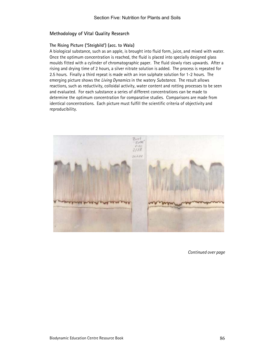#### Methodology of Vital Quality Research

#### The Rising Picture ('Steigbild') (acc. to Wala)

A biological substance, such as an apple, is brought into fluid form, juice, and mixed with water. Once the optimum concentration is reached, the fluid is placed into specially designed glass moulds fitted with a cylinder of chromatographic paper. The fluid slowly rises upwards. After a rising and drying time of 2 hours, a silver nitrate solution is added. The process is repeated for 2.5 hours. Finally a third repeat is made with an iron sulphate solution for 1-2 hours. The emerging picture shows the Living Dynamics in the watery Substance. The result allows reactions, such as reductivity, colloidal activity, water content and rotting processes to be seen and evaluated. For each substance a series of different concentrations can be made to determine the optimum concentration for comparative studies. Comparisons are made from identical concentrations. Each picture must fulfill the scientific criteria of objectivity and reproducibility.

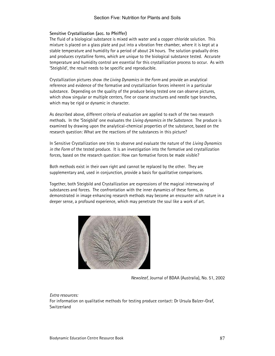#### Sensitive Crystallization (acc. to Pfeiffer)

The fluid of a biological substance is mixed with water and a copper chloride solution. This mixture is placed on a glass plate and put into a vibration free chamber, where it is kept at a stable temperature and humidity for a period of about 24 hours. The solution gradually dries and produces crystalline forms, which are unique to the biological substance tested. Accurate temperature and humidity control are essential for this crystallization process to occur. As with 'Steigbild', the result needs to be specific and reproducible.

Crystallization pictures show the Living Dynamics in the Form and provide an analytical reference and evidence of the formative and crystallization forces inherent in a particular substance. Depending on the quality of the produce being tested one can observe pictures, which show singular or multiple centers, fine or coarse structures and needle type branches, which may be rigid or dynamic in character.

As described above, different criteria of evaluation are applied to each of the two research methods. In the 'Steigbild' one evaluates the Living dynamics in the Substance. The produce is examined by drawing upon the analytical-chemical properties of the substance, based on the research question: What are the reactions of the substances in this picture?

In Sensitive Crystallization one tries to observe and evaluate the nature of the Living Dynamics in the Form of the tested produce. It is an investigation into the formative and crystallization forces, based on the research question: How can formative forces be made visible?

Both methods exist in their own right and cannot be replaced by the other. They are supplementary and, used in conjunction, provide a basis for qualitative comparisons.

Together, both Steigbild and Crystallization are expressions of the magical interweaving of substances and forces. The confrontation with the inner dynamics of these forms, as demonstrated in image enhancing research methods may become an encounter with nature in a deeper sense, a profound experience, which may penetrate the soul like a work of art.



Newsleaf, Journal of BDAA (Australia), No. 51, 2002

#### Extra resources:

For information on qualitative methods for testing produce contact: Dr Ursula Balzer-Graf, Switzerland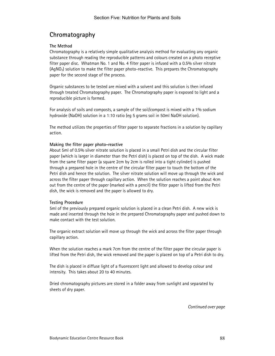# Chromatography

#### The Method

Chromatography is a relatively simple qualitative analysis method for evaluating any organic substance through reading the reproducible patterns and colours created on a photo receptive filter paper disc. Whatman No. 1 and No. 4 filter paper is infused with a 0.5% silver nitrate  $(AqNO<sub>3</sub>)$  solution to make the filter paper photo-reactive. This prepares the Chromatography paper for the second stage of the process.

Organic substances to be tested are mixed with a solvent and this solution is then infused through treated Chromatography paper. The Chromatography paper is exposed to light and a reproducible picture is formed.

For analysis of soils and composts, a sample of the soil/compost is mixed with a 1% sodium hydroxide (NaOH) solution in a 1:10 ratio (eg 5 grams soil in 50ml NaOH solution).

The method utilizes the properties of filter paper to separate fractions in a solution by capillary action.

#### Making the filter paper photo-reactive

About 5ml of 0.5% silver nitrate solution is placed in a small Petri dish and the circular filter paper (which is larger in diameter than the Petri dish) is placed on top of the dish. A wick made from the same filter paper (a square 2cm by 2cm is rolled into a tight cylinder) is pushed through a prepared hole in the centre of the circular filter paper to touch the bottom of the Petri dish and hence the solution. The silver nitrate solution will move up through the wick and across the filter paper through capillary action. When the solution reaches a point about 4cm out from the centre of the paper (marked with a pencil) the filter paper is lifted from the Petri dish, the wick is removed and the paper is allowed to dry.

#### Testing Procedure

5ml of the previously prepared organic solution is placed in a clean Petri dish. A new wick is made and inserted through the hole in the prepared Chromatography paper and pushed down to make contact with the test solution.

The organic extract solution will move up through the wick and across the filter paper through capillary action.

When the solution reaches a mark 7cm from the centre of the filter paper the circular paper is lifted from the Petri dish, the wick removed and the paper is placed on top of a Petri dish to dry.

The dish is placed in diffuse light of a fluorescent light and allowed to develop colour and intensity. This takes about 20 to 40 minutes.

Dried chromatography pictures are stored in a folder away from sunlight and separated by sheets of dry paper.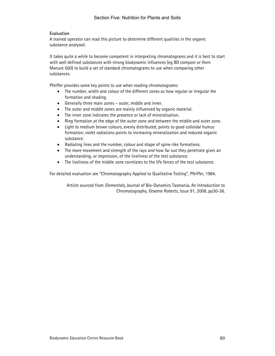#### **Evaluation**

A trained operator can read this picture to determine different qualities in the organic substance analysed.

It takes quite a while to become competent in interpreting chromatograms and it is best to start with well defined substances with strong biodynamic influences (eg BD compost or Horn Manure 500) to build a set of standard chromatograms to use when comparing other substances.

Pfeiffer provides some key points to use when reading chromatograms:

- The number, width and colour of the different zones as how regular or irregular the formation and shading.
- Generally three main zones outer, middle and inner.
- The outer and middle zones are mainly influenced by organic material.
- The inner zone indicates the presence or lack of mineralisation.
- Ring formation at the edge of the outer zone and between the middle and outer zone.
- Light to medium brown colours, evenly distributed, points to good colloidal humus formation; violet radiations points to increasing mineralization and reduced organic substance.
- Radiating lines and the number, colour and shape of spine-like formations.
- The more movement and strength of the rays and how far out they penetrate gives an understanding, or impression, of the liveliness of the test substance.
- The liveliness of the middle zone correlates to the life forces of the test substance.

For detailed evaluation see "Chromatography Applied to Qualitative Testing", Pfeiffer, 1984.

Article sourced from Elementals, Journal of Bio-Dynamics Tasmania, An Introduction to Chromatography, Graeme Roberts, Issue 91, 2008, pp30-36.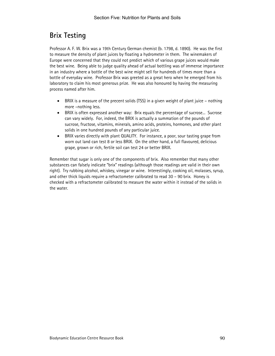# Brix Testing

Professor A. F. W. Brix was a 19th Century German chemist (b. 1798, d. 1890). He was the first to measure the density of plant juices by floating a hydrometer in them. The winemakers of Europe were concerned that they could not predict which of various grape juices would make the best wine. Being able to judge quality ahead of actual bottling was of immense importance in an industry where a bottle of the best wine might sell for hundreds of times more than a bottle of everyday wine. Professor Brix was greeted as a great hero when he emerged from his laboratory to claim his most generous prize. He was also honoured by having the measuring process named after him.

- BRIX is a measure of the precent solids (TSS) in a given weight of plant juice nothing more –nothing less.
- BRIX is often expressed another way: Brix equals the percentage of sucrose... Sucrose can vary widely. For, indeed, the BRIX is actually a summation of the pounds of sucrose, fructose, vitamins, minerals, amino acids, proteins, hormones, and other plant solids in one hundred pounds of any particular juice.
- BRIX varies directly with plant QUALITY. For instance, a poor, sour tasting grape from worn out land can test 8 or less BRIX. On the other hand, a full flavoured, delicious grape, grown or rich, fertile soil can test 24 or better BRIX.

Remember that sugar is only one of the components of brix. Also remember that many other substances can falsely indicate "brix" readings (although those readings are valid in their own right). Try rubbing alcohol, whiskey, vinegar or wine. Interestingly, cooking oil, molasses, syrup, and other thick liquids require a refractometer calibrated to read 30 – 90 brix. Honey is checked with a refractometer calibrated to measure the water within it instead of the solids in the water.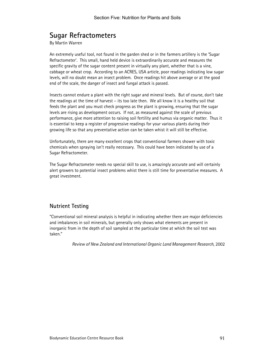# Sugar Refractometers

By Martin Warren

An extremely useful tool, not found in the garden shed or in the farmers artillery is the 'Sugar Refractometer'. This small, hand held device is extraordinarily accurate and measures the specific gravity of the sugar content present in virtually any plant, whether that is a vine, cabbage or wheat crop. According to an ACRES, USA article, poor readings indicating low sugar levels, will no doubt mean an insect problem. Once readings hit above average or at the good end of the scale, the danger of insect and fungal attack is passed.

Insects cannot endure a plant with the right sugar and mineral levels. But of course, don't take the readings at the time of harvest – its too late then. We all know it is a healthy soil that feeds the plant and you must check progress as the plant is growing, ensuring that the sugar levels are rising as development occurs. If not, as measured against the scale of previous performance, give more attention to raising soil fertility and humus via organic matter. Thus it is essential to keep a register of progressive readings for your various plants during their growing life so that any preventative action can be taken whist it will still be effective.

Unfortunately, there are many excellent crops that conventional farmers shower with toxic chemicals when spraying isn't really necessary. This could have been indicated by use of a Sugar Refractometer.

The Sugar Refractometer needs no special skill to use, is amazingly accurate and will certainly alert growers to potential insect problems whist there is still time for preventative measures. A great investment.

### Nutrient Testing

"Conventional soil mineral analysis is helpful in indicating whether there are major deficiencies and imbalances in soil minerals, but generally only shows what elements are present in inorganic from in the depth of soil sampled at the particular time at which the soil test was taken."

Review of New Zealand and International Organic Land Management Research, 2002